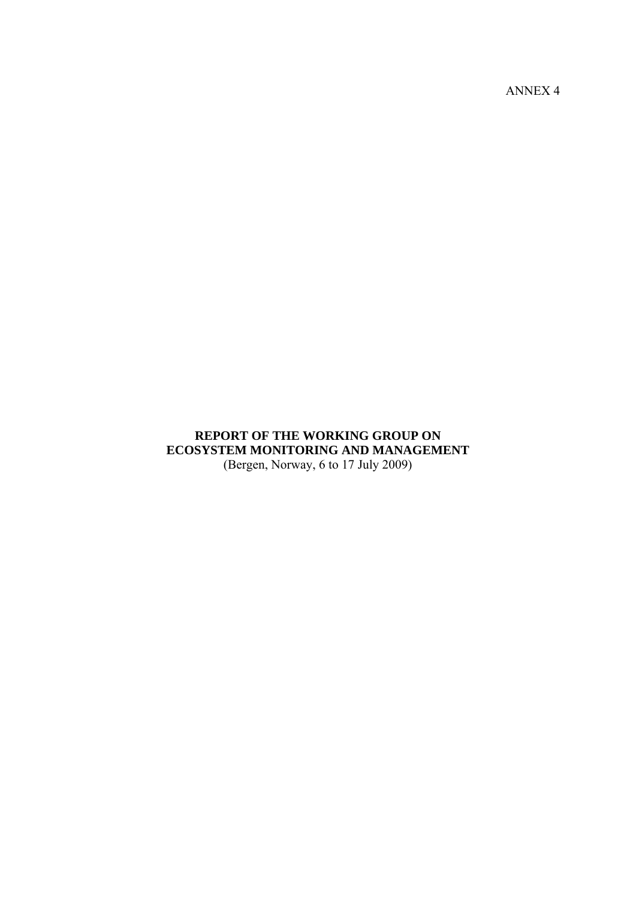ANNEX 4

# **REPORT OF THE WORKING GROUP ON ECOSYSTEM MONITORING AND MANAGEMENT**  (Bergen, Norway, 6 to 17 July 2009)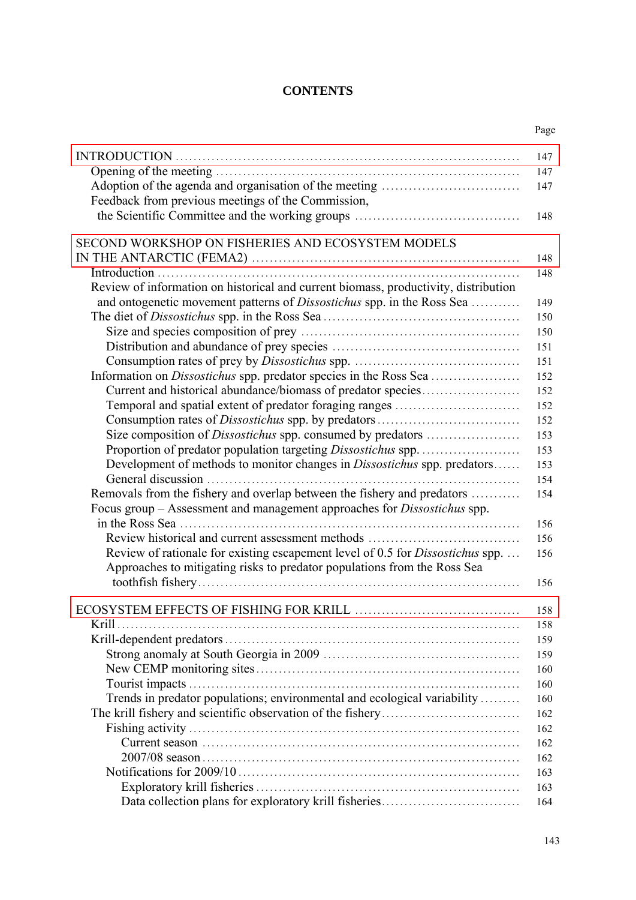### **CONTENTS**

Page

|                                                                                      | 143 |
|--------------------------------------------------------------------------------------|-----|
|                                                                                      |     |
|                                                                                      | 164 |
|                                                                                      | 163 |
|                                                                                      | 163 |
|                                                                                      | 162 |
|                                                                                      | 162 |
|                                                                                      | 162 |
|                                                                                      | 162 |
| Trends in predator populations; environmental and ecological variability             | 160 |
|                                                                                      | 160 |
|                                                                                      | 160 |
|                                                                                      | 159 |
|                                                                                      | 159 |
| Krill                                                                                | 158 |
|                                                                                      | 158 |
|                                                                                      | 156 |
| Approaches to mitigating risks to predator populations from the Ross Sea             |     |
| Review of rationale for existing escapement level of 0.5 for <i>Dissostichus</i> spp | 156 |
| Review historical and current assessment methods                                     | 156 |
|                                                                                      | 156 |
| Focus group – Assessment and management approaches for <i>Dissostichus</i> spp.      |     |
| Removals from the fishery and overlap between the fishery and predators              | 154 |
|                                                                                      | 154 |
| Development of methods to monitor changes in <i>Dissostichus</i> spp. predators      | 153 |
|                                                                                      | 153 |
| Size composition of <i>Dissostichus</i> spp. consumed by predators                   | 153 |
|                                                                                      | 152 |
| Temporal and spatial extent of predator foraging ranges                              | 152 |
| Current and historical abundance/biomass of predator species                         | 152 |
|                                                                                      | 152 |
|                                                                                      | 151 |
|                                                                                      | 151 |
|                                                                                      | 150 |
|                                                                                      | 150 |
| and ontogenetic movement patterns of Dissostichus spp. in the Ross Sea               | 149 |
| Review of information on historical and current biomass, productivity, distribution  |     |
|                                                                                      | 148 |
|                                                                                      | 148 |
| SECOND WORKSHOP ON FISHERIES AND ECOSYSTEM MODELS                                    |     |
|                                                                                      |     |
|                                                                                      | 148 |
| Feedback from previous meetings of the Commission,                                   |     |
|                                                                                      | 147 |
|                                                                                      | 147 |
|                                                                                      | 147 |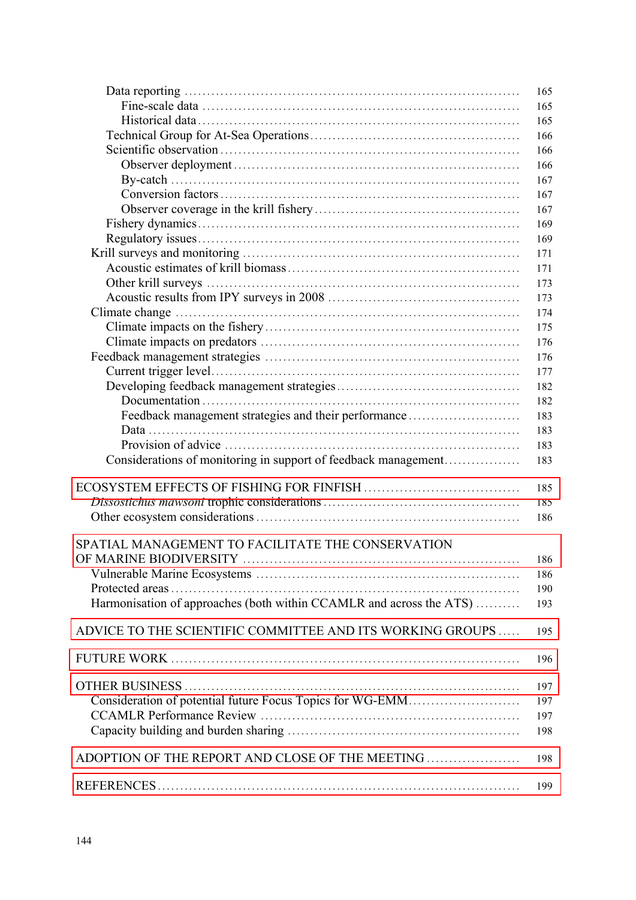|                                                                     | 165 |
|---------------------------------------------------------------------|-----|
|                                                                     | 165 |
|                                                                     | 165 |
|                                                                     | 166 |
|                                                                     | 166 |
|                                                                     | 166 |
|                                                                     | 167 |
|                                                                     | 167 |
|                                                                     | 167 |
|                                                                     | 169 |
|                                                                     | 169 |
|                                                                     |     |
|                                                                     | 171 |
|                                                                     | 171 |
|                                                                     | 173 |
|                                                                     | 173 |
|                                                                     | 174 |
|                                                                     | 175 |
|                                                                     | 176 |
|                                                                     | 176 |
|                                                                     | 177 |
|                                                                     | 182 |
|                                                                     | 182 |
| Feedback management strategies and their performance                | 183 |
|                                                                     | 183 |
|                                                                     | 183 |
| Considerations of monitoring in support of feedback management      | 183 |
|                                                                     |     |
|                                                                     | 185 |
|                                                                     | 185 |
|                                                                     | 186 |
|                                                                     |     |
| SPATIAL MANAGEMENT TO FACILITATE THE CONSERVATION                   |     |
| OF MARINE BIODIVERSITY                                              | 186 |
|                                                                     | 186 |
|                                                                     | 190 |
| Harmonisation of approaches (both within CCAMLR and across the ATS) | 193 |
| ADVICE TO THE SCIENTIFIC COMMITTEE AND ITS WORKING GROUPS           | 195 |
|                                                                     | 196 |
|                                                                     |     |
|                                                                     | 197 |
| Consideration of potential future Focus Topics for WG-EMM           | 197 |
|                                                                     | 197 |
|                                                                     | 198 |
| ADOPTION OF THE REPORT AND CLOSE OF THE MEETING                     | 198 |
|                                                                     |     |
|                                                                     | 199 |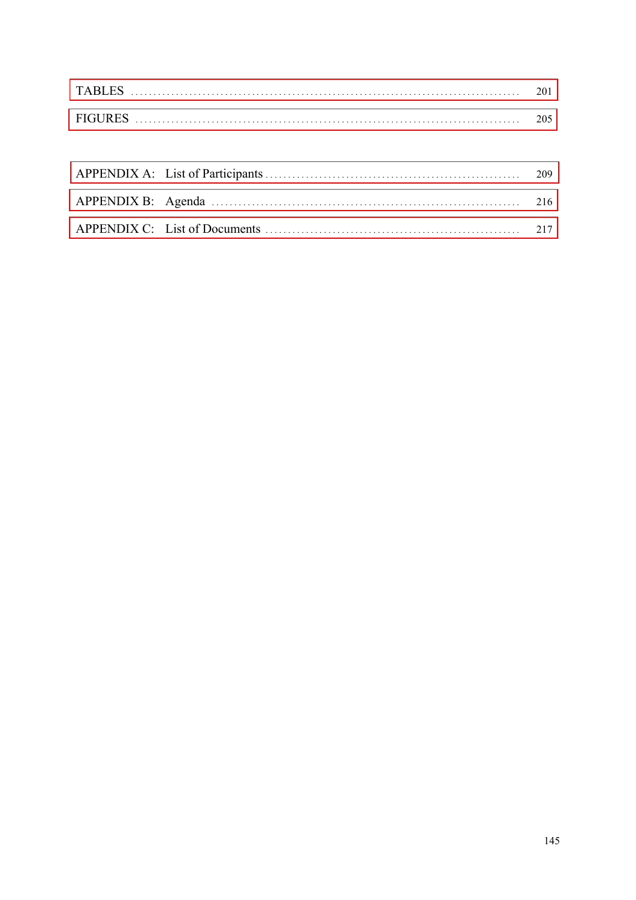| <b>TABI</b>   |      |
|---------------|------|
| <b>FIGURE</b> | 205. |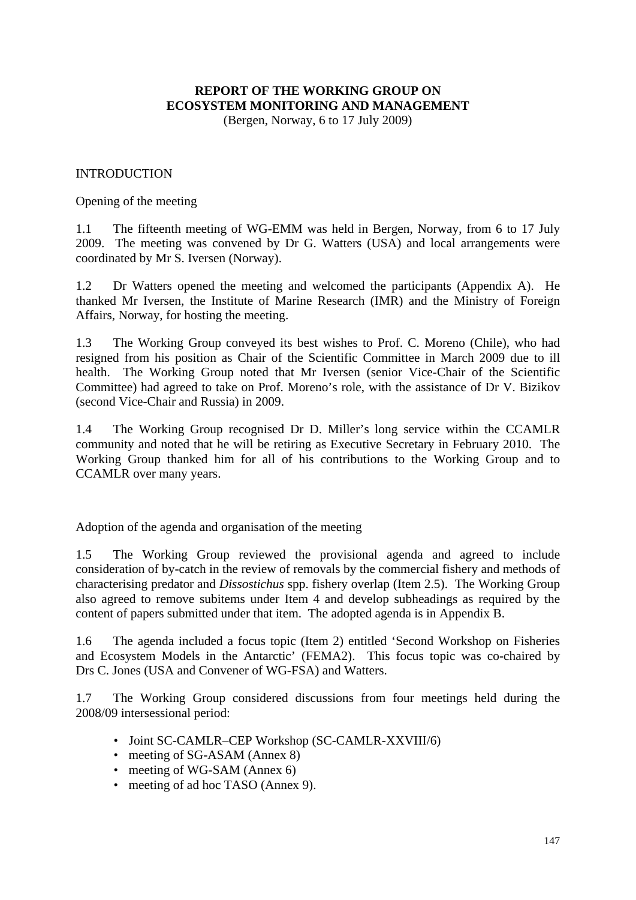# **REPORT OF THE WORKING GROUP ON ECOSYSTEM MONITORING AND MANAGEMENT**

(Bergen, Norway, 6 to 17 July 2009)

#### <span id="page-4-0"></span>INTRODUCTION

Opening of the meeting

1.1 The fifteenth meeting of WG-EMM was held in Bergen, Norway, from 6 to 17 July 2009. The meeting was convened by Dr G. Watters (USA) and local arrangements were coordinated by Mr S. Iversen (Norway).

1.2 Dr Watters opened the meeting and welcomed the participants (Appendix A). He thanked Mr Iversen, the Institute of Marine Research (IMR) and the Ministry of Foreign Affairs, Norway, for hosting the meeting.

1.3 The Working Group conveyed its best wishes to Prof. C. Moreno (Chile), who had resigned from his position as Chair of the Scientific Committee in March 2009 due to ill health. The Working Group noted that Mr Iversen (senior Vice-Chair of the Scientific Committee) had agreed to take on Prof. Moreno's role, with the assistance of Dr V. Bizikov (second Vice-Chair and Russia) in 2009.

1.4 The Working Group recognised Dr D. Miller's long service within the CCAMLR community and noted that he will be retiring as Executive Secretary in February 2010. The Working Group thanked him for all of his contributions to the Working Group and to CCAMLR over many years.

Adoption of the agenda and organisation of the meeting

1.5 The Working Group reviewed the provisional agenda and agreed to include consideration of by-catch in the review of removals by the commercial fishery and methods of characterising predator and *Dissostichus* spp. fishery overlap (Item 2.5). The Working Group also agreed to remove subitems under Item 4 and develop subheadings as required by the content of papers submitted under that item. The adopted agenda is in Appendix B.

1.6 The agenda included a focus topic (Item 2) entitled 'Second Workshop on Fisheries and Ecosystem Models in the Antarctic' (FEMA2). This focus topic was co-chaired by Drs C. Jones (USA and Convener of WG-FSA) and Watters.

1.7 The Working Group considered discussions from four meetings held during the 2008/09 intersessional period:

- Joint SC-CAMLR–CEP Workshop (SC-CAMLR-XXVIII/6)
- meeting of SG-ASAM (Annex 8)
- meeting of WG-SAM (Annex 6)
- meeting of ad hoc TASO (Annex 9).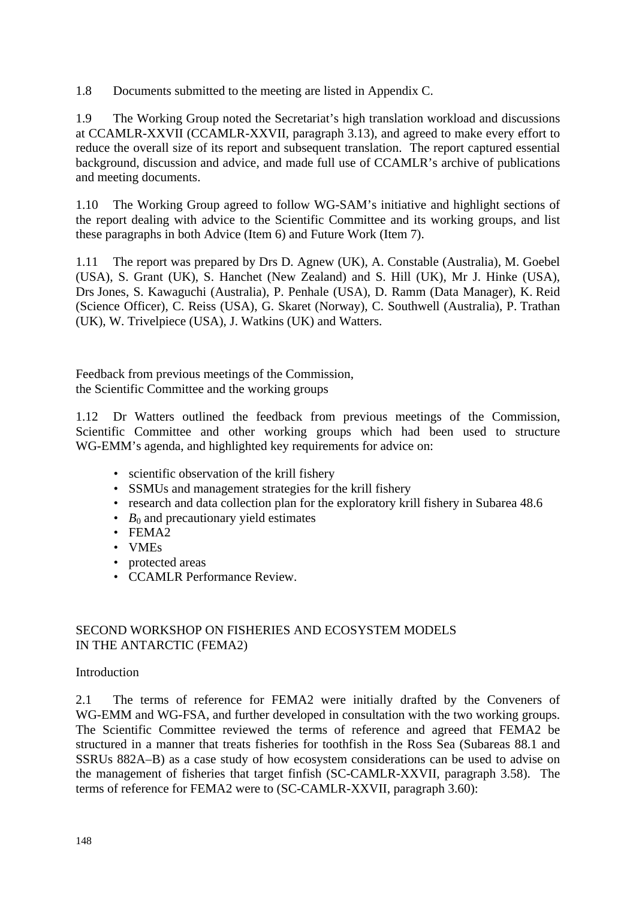<span id="page-5-0"></span>1.8 Documents submitted to the meeting are listed in Appendix C.

1.9 The Working Group noted the Secretariat's high translation workload and discussions at CCAMLR-XXVII (CCAMLR-XXVII, paragraph 3.13), and agreed to make every effort to reduce the overall size of its report and subsequent translation. The report captured essential background, discussion and advice, and made full use of CCAMLR's archive of publications and meeting documents.

1.10 The Working Group agreed to follow WG-SAM's initiative and highlight sections of the report dealing with advice to the Scientific Committee and its working groups, and list these paragraphs in both Advice (Item 6) and Future Work (Item 7).

1.11 The report was prepared by Drs D. Agnew (UK), A. Constable (Australia), M. Goebel (USA), S. Grant (UK), S. Hanchet (New Zealand) and S. Hill (UK), Mr J. Hinke (USA), Drs Jones, S. Kawaguchi (Australia), P. Penhale (USA), D. Ramm (Data Manager), K. Reid (Science Officer), C. Reiss (USA), G. Skaret (Norway), C. Southwell (Australia), P. Trathan (UK), W. Trivelpiece (USA), J. Watkins (UK) and Watters.

Feedback from previous meetings of the Commission, the Scientific Committee and the working groups

1.12 Dr Watters outlined the feedback from previous meetings of the Commission, Scientific Committee and other working groups which had been used to structure WG-EMM's agenda, and highlighted key requirements for advice on:

- scientific observation of the krill fishery
- SSMUs and management strategies for the krill fishery
- research and data collection plan for the exploratory krill fishery in Subarea 48.6
- $B_0$  and precautionary yield estimates
- FEMA2
- VMEs
- protected areas
- CCAMLR Performance Review.

### SECOND WORKSHOP ON FISHERIES AND ECOSYSTEM MODELS IN THE ANTARCTIC (FEMA2)

#### **Introduction**

2.1 The terms of reference for FEMA2 were initially drafted by the Conveners of WG-EMM and WG-FSA, and further developed in consultation with the two working groups. The Scientific Committee reviewed the terms of reference and agreed that FEMA2 be structured in a manner that treats fisheries for toothfish in the Ross Sea (Subareas 88.1 and SSRUs 882A–B) as a case study of how ecosystem considerations can be used to advise on the management of fisheries that target finfish (SC-CAMLR-XXVII, paragraph 3.58). The terms of reference for FEMA2 were to (SC-CAMLR-XXVII, paragraph 3.60):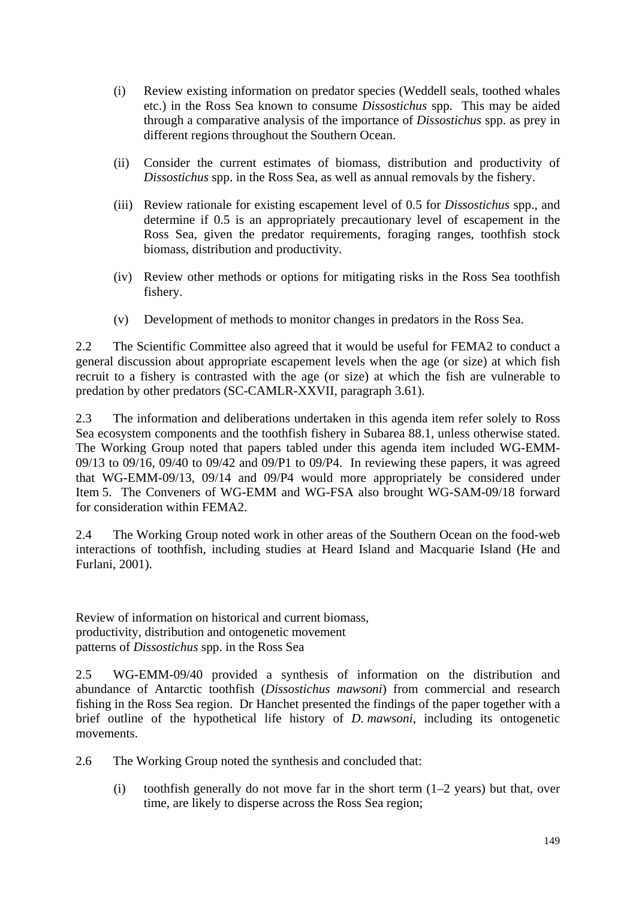- (i) Review existing information on predator species (Weddell seals, toothed whales etc.) in the Ross Sea known to consume *Dissostichus* spp. This may be aided through a comparative analysis of the importance of *Dissostichus* spp. as prey in different regions throughout the Southern Ocean.
- (ii) Consider the current estimates of biomass, distribution and productivity of *Dissostichus* spp. in the Ross Sea, as well as annual removals by the fishery.
- (iii) Review rationale for existing escapement level of 0.5 for *Dissostichus* spp., and determine if 0.5 is an appropriately precautionary level of escapement in the Ross Sea, given the predator requirements, foraging ranges, toothfish stock biomass, distribution and productivity.
- (iv) Review other methods or options for mitigating risks in the Ross Sea toothfish fishery.
- (v) Development of methods to monitor changes in predators in the Ross Sea.

2.2 The Scientific Committee also agreed that it would be useful for FEMA2 to conduct a general discussion about appropriate escapement levels when the age (or size) at which fish recruit to a fishery is contrasted with the age (or size) at which the fish are vulnerable to predation by other predators (SC-CAMLR-XXVII, paragraph 3.61).

2.3 The information and deliberations undertaken in this agenda item refer solely to Ross Sea ecosystem components and the toothfish fishery in Subarea 88.1, unless otherwise stated. The Working Group noted that papers tabled under this agenda item included WG-EMM-09/13 to 09/16, 09/40 to 09/42 and 09/P1 to 09/P4. In reviewing these papers, it was agreed that WG-EMM-09/13, 09/14 and 09/P4 would more appropriately be considered under Item 5. The Conveners of WG-EMM and WG-FSA also brought WG-SAM-09/18 forward for consideration within FEMA2.

2.4 The Working Group noted work in other areas of the Southern Ocean on the food-web interactions of toothfish, including studies at Heard Island and Macquarie Island (He and Furlani, 2001).

Review of information on historical and current biomass, productivity, distribution and ontogenetic movement patterns of *Dissostichus* spp. in the Ross Sea

2.5 WG-EMM-09/40 provided a synthesis of information on the distribution and abundance of Antarctic toothfish (*Dissostichus mawsoni*) from commercial and research fishing in the Ross Sea region. Dr Hanchet presented the findings of the paper together with a brief outline of the hypothetical life history of *D. mawsoni*, including its ontogenetic movements.

2.6 The Working Group noted the synthesis and concluded that:

(i) toothfish generally do not move far in the short term  $(1-2 \text{ years})$  but that, over time, are likely to disperse across the Ross Sea region;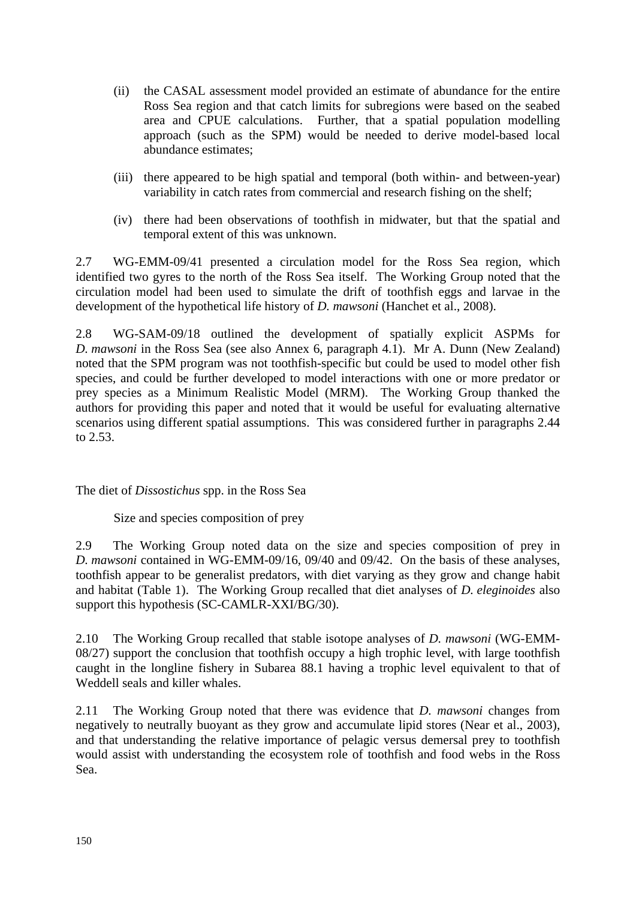- (ii) the CASAL assessment model provided an estimate of abundance for the entire Ross Sea region and that catch limits for subregions were based on the seabed area and CPUE calculations. Further, that a spatial population modelling approach (such as the SPM) would be needed to derive model-based local abundance estimates;
- (iii) there appeared to be high spatial and temporal (both within- and between-year) variability in catch rates from commercial and research fishing on the shelf;
- (iv) there had been observations of toothfish in midwater, but that the spatial and temporal extent of this was unknown.

2.7 WG-EMM-09/41 presented a circulation model for the Ross Sea region, which identified two gyres to the north of the Ross Sea itself. The Working Group noted that the circulation model had been used to simulate the drift of toothfish eggs and larvae in the development of the hypothetical life history of *D. mawsoni* (Hanchet et al., 2008).

2.8 WG-SAM-09/18 outlined the development of spatially explicit ASPMs for *D. mawsoni* in the Ross Sea (see also Annex 6, paragraph 4.1). Mr A. Dunn (New Zealand) noted that the SPM program was not toothfish-specific but could be used to model other fish species, and could be further developed to model interactions with one or more predator or prey species as a Minimum Realistic Model (MRM). The Working Group thanked the authors for providing this paper and noted that it would be useful for evaluating alternative scenarios using different spatial assumptions. This was considered further in paragraphs 2.44 to 2.53.

The diet of *Dissostichus* spp. in the Ross Sea

Size and species composition of prey

2.9 The Working Group noted data on the size and species composition of prey in *D. mawsoni* contained in WG-EMM-09/16, 09/40 and 09/42. On the basis of these analyses, toothfish appear to be generalist predators, with diet varying as they grow and change habit and habitat (Table 1). The Working Group recalled that diet analyses of *D. eleginoides* also support this hypothesis (SC-CAMLR-XXI/BG/30).

2.10 The Working Group recalled that stable isotope analyses of *D. mawsoni* (WG-EMM-08/27) support the conclusion that toothfish occupy a high trophic level, with large toothfish caught in the longline fishery in Subarea 88.1 having a trophic level equivalent to that of Weddell seals and killer whales.

2.11 The Working Group noted that there was evidence that *D. mawsoni* changes from negatively to neutrally buoyant as they grow and accumulate lipid stores (Near et al., 2003), and that understanding the relative importance of pelagic versus demersal prey to toothfish would assist with understanding the ecosystem role of toothfish and food webs in the Ross Sea.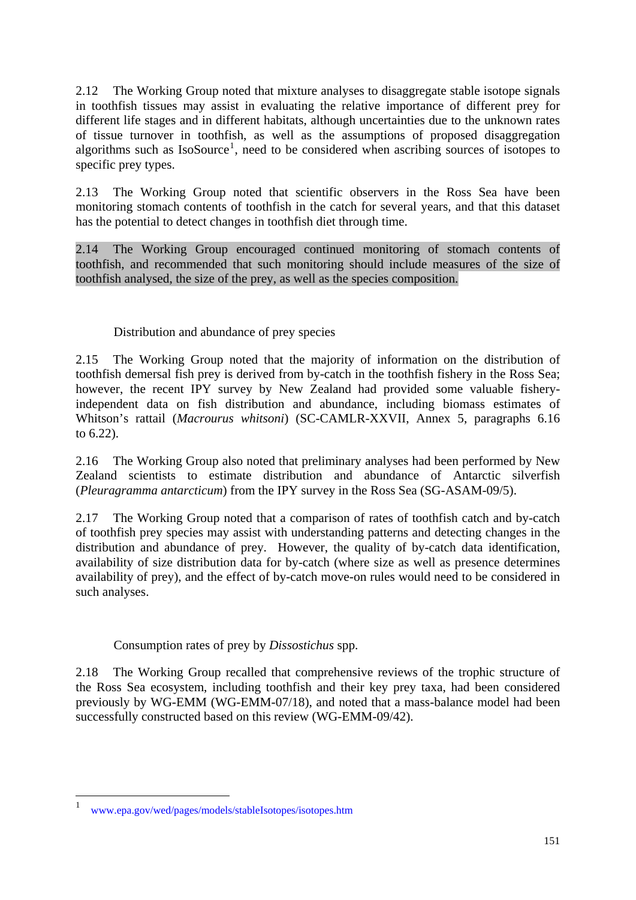2.12 The Working Group noted that mixture analyses to disaggregate stable isotope signals in toothfish tissues may assist in evaluating the relative importance of different prey for different life stages and in different habitats, although uncertainties due to the unknown rates of tissue turnover in toothfish, as well as the assumptions of proposed disaggregation algorithms such as  $IsoSource<sup>1</sup>$ , need to be considered when ascribing sources of isotopes to specific prey types.

2.13 The Working Group noted that scientific observers in the Ross Sea have been monitoring stomach contents of toothfish in the catch for several years, and that this dataset has the potential to detect changes in toothfish diet through time.

2.14 The Working Group encouraged continued monitoring of stomach contents of toothfish, and recommended that such monitoring should include measures of the size of toothfish analysed, the size of the prey, as well as the species composition.

# Distribution and abundance of prey species

2.15 The Working Group noted that the majority of information on the distribution of toothfish demersal fish prey is derived from by-catch in the toothfish fishery in the Ross Sea; however, the recent IPY survey by New Zealand had provided some valuable fisheryindependent data on fish distribution and abundance, including biomass estimates of Whitson's rattail (*Macrourus whitsoni*) (SC-CAMLR-XXVII, Annex 5, paragraphs 6.16 to 6.22).

2.16 The Working Group also noted that preliminary analyses had been performed by New Zealand scientists to estimate distribution and abundance of Antarctic silverfish (*Pleuragramma antarcticum*) from the IPY survey in the Ross Sea (SG-ASAM-09/5).

2.17 The Working Group noted that a comparison of rates of toothfish catch and by-catch of toothfish prey species may assist with understanding patterns and detecting changes in the distribution and abundance of prey. However, the quality of by-catch data identification, availability of size distribution data for by-catch (where size as well as presence determines availability of prey), and the effect of by-catch move-on rules would need to be considered in such analyses.

# Consumption rates of prey by *Dissostichus* spp.

2.18 The Working Group recalled that comprehensive reviews of the trophic structure of the Ross Sea ecosystem, including toothfish and their key prey taxa, had been considered previously by WG-EMM (WG-EMM-07/18), and noted that a mass-balance model had been successfully constructed based on this review (WG-EMM-09/42).

<u>.</u>

<sup>1</sup> www.epa.gov/wed/pages/models/stableIsotopes/isotopes.htm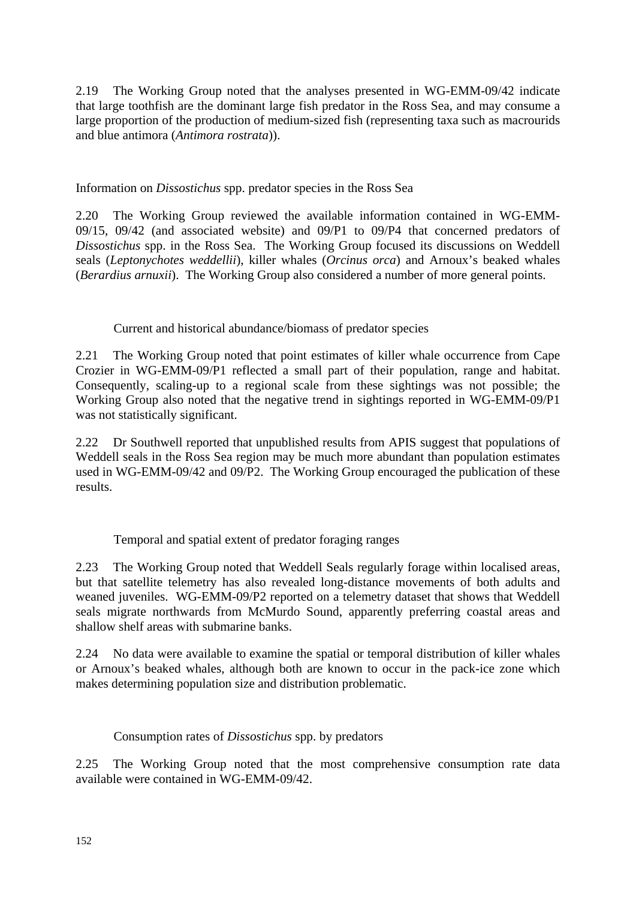2.19 The Working Group noted that the analyses presented in WG-EMM-09/42 indicate that large toothfish are the dominant large fish predator in the Ross Sea, and may consume a large proportion of the production of medium-sized fish (representing taxa such as macrourids and blue antimora (*Antimora rostrata*)).

Information on *Dissostichus* spp. predator species in the Ross Sea

2.20 The Working Group reviewed the available information contained in WG-EMM-09/15, 09/42 (and associated website) and 09/P1 to 09/P4 that concerned predators of *Dissostichus* spp. in the Ross Sea. The Working Group focused its discussions on Weddell seals (*Leptonychotes weddellii*), killer whales (*Orcinus orca*) and Arnoux's beaked whales (*Berardius arnuxii*). The Working Group also considered a number of more general points.

Current and historical abundance/biomass of predator species

2.21 The Working Group noted that point estimates of killer whale occurrence from Cape Crozier in WG-EMM-09/P1 reflected a small part of their population, range and habitat. Consequently, scaling-up to a regional scale from these sightings was not possible; the Working Group also noted that the negative trend in sightings reported in WG-EMM-09/P1 was not statistically significant.

2.22 Dr Southwell reported that unpublished results from APIS suggest that populations of Weddell seals in the Ross Sea region may be much more abundant than population estimates used in WG-EMM-09/42 and 09/P2. The Working Group encouraged the publication of these results.

Temporal and spatial extent of predator foraging ranges

2.23 The Working Group noted that Weddell Seals regularly forage within localised areas, but that satellite telemetry has also revealed long-distance movements of both adults and weaned juveniles. WG-EMM-09/P2 reported on a telemetry dataset that shows that Weddell seals migrate northwards from McMurdo Sound, apparently preferring coastal areas and shallow shelf areas with submarine banks.

2.24 No data were available to examine the spatial or temporal distribution of killer whales or Arnoux's beaked whales, although both are known to occur in the pack-ice zone which makes determining population size and distribution problematic.

# Consumption rates of *Dissostichus* spp. by predators

2.25 The Working Group noted that the most comprehensive consumption rate data available were contained in WG-EMM-09/42.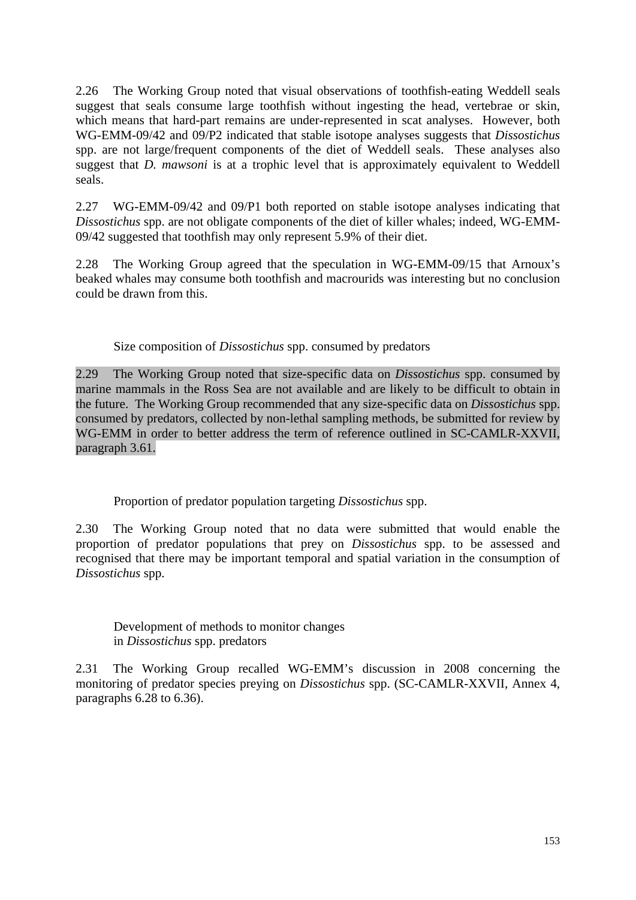2.26 The Working Group noted that visual observations of toothfish-eating Weddell seals suggest that seals consume large toothfish without ingesting the head, vertebrae or skin, which means that hard-part remains are under-represented in scat analyses. However, both WG-EMM-09/42 and 09/P2 indicated that stable isotope analyses suggests that *Dissostichus* spp. are not large/frequent components of the diet of Weddell seals. These analyses also suggest that *D. mawsoni* is at a trophic level that is approximately equivalent to Weddell seals.

2.27 WG-EMM-09/42 and 09/P1 both reported on stable isotope analyses indicating that *Dissostichus* spp. are not obligate components of the diet of killer whales; indeed, WG-EMM-09/42 suggested that toothfish may only represent 5.9% of their diet.

2.28 The Working Group agreed that the speculation in WG-EMM-09/15 that Arnoux's beaked whales may consume both toothfish and macrourids was interesting but no conclusion could be drawn from this.

Size composition of *Dissostichus* spp. consumed by predators

2.29 The Working Group noted that size-specific data on *Dissostichus* spp. consumed by marine mammals in the Ross Sea are not available and are likely to be difficult to obtain in the future. The Working Group recommended that any size-specific data on *Dissostichus* spp. consumed by predators, collected by non-lethal sampling methods, be submitted for review by WG-EMM in order to better address the term of reference outlined in SC-CAMLR-XXVII, paragraph 3.61.

Proportion of predator population targeting *Dissostichus* spp.

2.30 The Working Group noted that no data were submitted that would enable the proportion of predator populations that prey on *Dissostichus* spp. to be assessed and recognised that there may be important temporal and spatial variation in the consumption of *Dissostichus* spp.

Development of methods to monitor changes in *Dissostichus* spp. predators

2.31 The Working Group recalled WG-EMM's discussion in 2008 concerning the monitoring of predator species preying on *Dissostichus* spp. (SC-CAMLR-XXVII, Annex 4, paragraphs 6.28 to 6.36).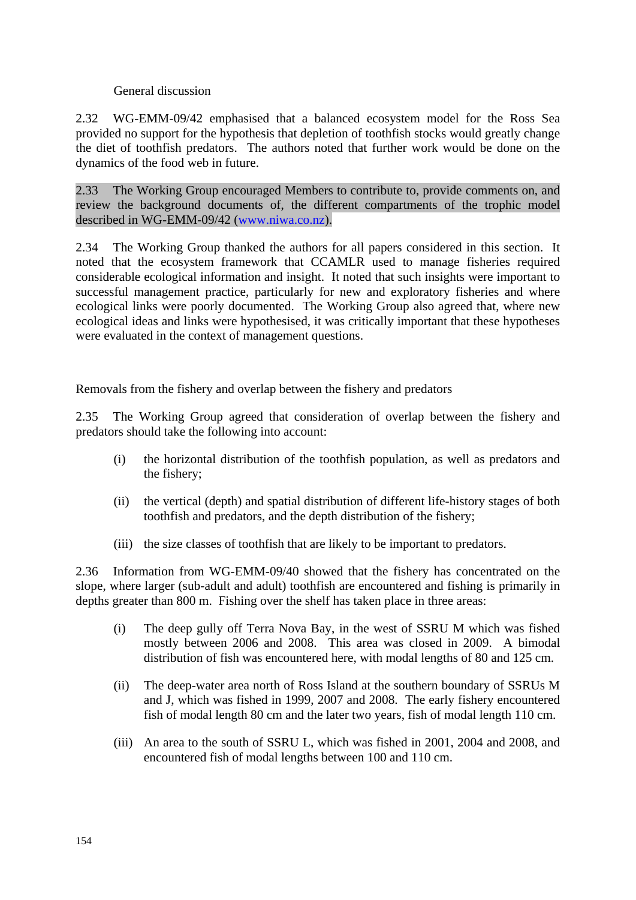### General discussion

2.32 WG-EMM-09/42 emphasised that a balanced ecosystem model for the Ross Sea provided no support for the hypothesis that depletion of toothfish stocks would greatly change the diet of toothfish predators. The authors noted that further work would be done on the dynamics of the food web in future.

2.33 The Working Group encouraged Members to contribute to, provide comments on, and review the background documents of, the different compartments of the trophic model described in WG-EMM-09/42 (www.niwa.co.nz).

2.34 The Working Group thanked the authors for all papers considered in this section. It noted that the ecosystem framework that CCAMLR used to manage fisheries required considerable ecological information and insight. It noted that such insights were important to successful management practice, particularly for new and exploratory fisheries and where ecological links were poorly documented. The Working Group also agreed that, where new ecological ideas and links were hypothesised, it was critically important that these hypotheses were evaluated in the context of management questions.

Removals from the fishery and overlap between the fishery and predators

2.35 The Working Group agreed that consideration of overlap between the fishery and predators should take the following into account:

- (i) the horizontal distribution of the toothfish population, as well as predators and the fishery;
- (ii) the vertical (depth) and spatial distribution of different life-history stages of both toothfish and predators, and the depth distribution of the fishery;
- (iii) the size classes of toothfish that are likely to be important to predators.

2.36 Information from WG-EMM-09/40 showed that the fishery has concentrated on the slope, where larger (sub-adult and adult) toothfish are encountered and fishing is primarily in depths greater than 800 m. Fishing over the shelf has taken place in three areas:

- (i) The deep gully off Terra Nova Bay, in the west of SSRU M which was fished mostly between 2006 and 2008. This area was closed in 2009. A bimodal distribution of fish was encountered here, with modal lengths of 80 and 125 cm.
- (ii) The deep-water area north of Ross Island at the southern boundary of SSRUs M and J, which was fished in 1999, 2007 and 2008. The early fishery encountered fish of modal length 80 cm and the later two years, fish of modal length 110 cm.
- (iii) An area to the south of SSRU L, which was fished in 2001, 2004 and 2008, and encountered fish of modal lengths between 100 and 110 cm.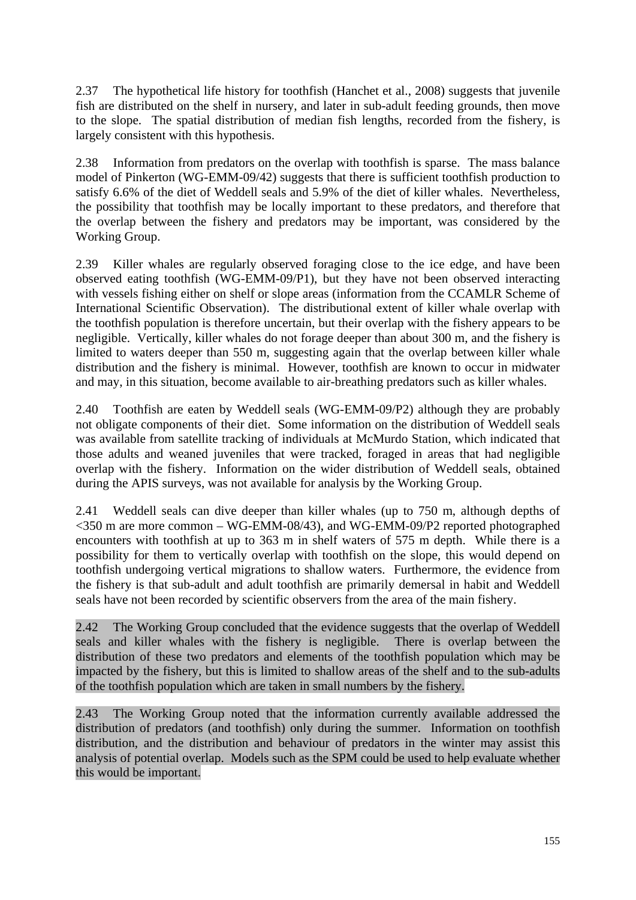2.37 The hypothetical life history for toothfish (Hanchet et al., 2008) suggests that juvenile fish are distributed on the shelf in nursery, and later in sub-adult feeding grounds, then move to the slope. The spatial distribution of median fish lengths, recorded from the fishery, is largely consistent with this hypothesis.

2.38 Information from predators on the overlap with toothfish is sparse. The mass balance model of Pinkerton (WG-EMM-09/42) suggests that there is sufficient toothfish production to satisfy 6.6% of the diet of Weddell seals and 5.9% of the diet of killer whales. Nevertheless, the possibility that toothfish may be locally important to these predators, and therefore that the overlap between the fishery and predators may be important, was considered by the Working Group.

2.39 Killer whales are regularly observed foraging close to the ice edge, and have been observed eating toothfish (WG-EMM-09/P1), but they have not been observed interacting with vessels fishing either on shelf or slope areas (information from the CCAMLR Scheme of International Scientific Observation). The distributional extent of killer whale overlap with the toothfish population is therefore uncertain, but their overlap with the fishery appears to be negligible. Vertically, killer whales do not forage deeper than about 300 m, and the fishery is limited to waters deeper than 550 m, suggesting again that the overlap between killer whale distribution and the fishery is minimal. However, toothfish are known to occur in midwater and may, in this situation, become available to air-breathing predators such as killer whales.

2.40 Toothfish are eaten by Weddell seals (WG-EMM-09/P2) although they are probably not obligate components of their diet. Some information on the distribution of Weddell seals was available from satellite tracking of individuals at McMurdo Station, which indicated that those adults and weaned juveniles that were tracked, foraged in areas that had negligible overlap with the fishery. Information on the wider distribution of Weddell seals, obtained during the APIS surveys, was not available for analysis by the Working Group.

2.41 Weddell seals can dive deeper than killer whales (up to 750 m, although depths of <350 m are more common – WG-EMM-08/43), and WG-EMM-09/P2 reported photographed encounters with toothfish at up to 363 m in shelf waters of 575 m depth. While there is a possibility for them to vertically overlap with toothfish on the slope, this would depend on toothfish undergoing vertical migrations to shallow waters. Furthermore, the evidence from the fishery is that sub-adult and adult toothfish are primarily demersal in habit and Weddell seals have not been recorded by scientific observers from the area of the main fishery.

2.42 The Working Group concluded that the evidence suggests that the overlap of Weddell seals and killer whales with the fishery is negligible. There is overlap between the distribution of these two predators and elements of the toothfish population which may be impacted by the fishery, but this is limited to shallow areas of the shelf and to the sub-adults of the toothfish population which are taken in small numbers by the fishery.

2.43 The Working Group noted that the information currently available addressed the distribution of predators (and toothfish) only during the summer. Information on toothfish distribution, and the distribution and behaviour of predators in the winter may assist this analysis of potential overlap. Models such as the SPM could be used to help evaluate whether this would be important.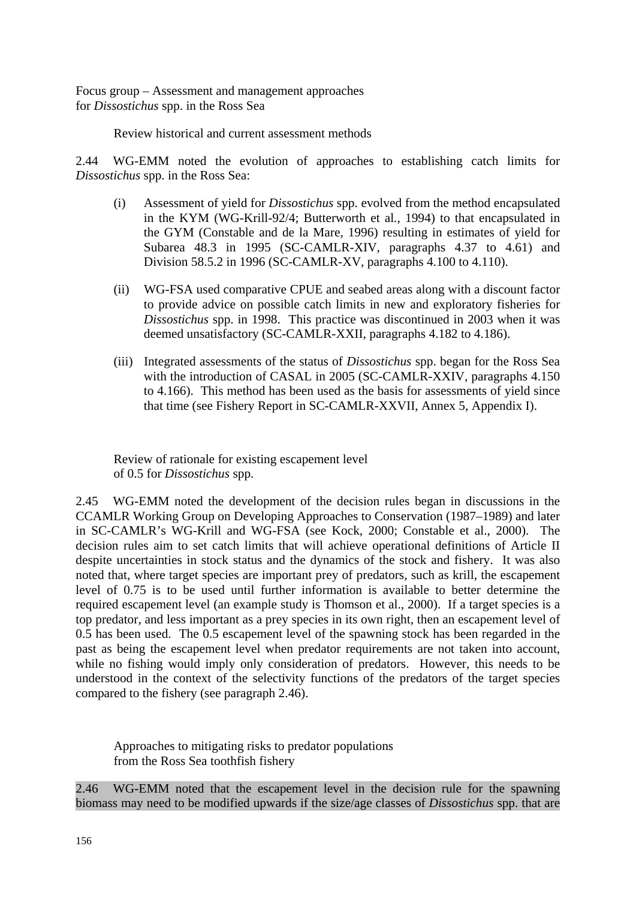Focus group – Assessment and management approaches for *Dissostichus* spp. in the Ross Sea

Review historical and current assessment methods

2.44 WG-EMM noted the evolution of approaches to establishing catch limits for *Dissostichus* spp. in the Ross Sea:

- (i) Assessment of yield for *Dissostichus* spp. evolved from the method encapsulated in the KYM (WG-Krill-92/4; Butterworth et al*.*, 1994) to that encapsulated in the GYM (Constable and de la Mare, 1996) resulting in estimates of yield for Subarea 48.3 in 1995 (SC-CAMLR-XIV, paragraphs 4.37 to 4.61) and Division 58.5.2 in 1996 (SC-CAMLR-XV, paragraphs 4.100 to 4.110).
- (ii) WG-FSA used comparative CPUE and seabed areas along with a discount factor to provide advice on possible catch limits in new and exploratory fisheries for *Dissostichus* spp. in 1998. This practice was discontinued in 2003 when it was deemed unsatisfactory (SC-CAMLR-XXII, paragraphs 4.182 to 4.186).
- (iii) Integrated assessments of the status of *Dissostichus* spp. began for the Ross Sea with the introduction of CASAL in 2005 (SC-CAMLR-XXIV, paragraphs 4.150 to 4.166). This method has been used as the basis for assessments of yield since that time (see Fishery Report in SC-CAMLR-XXVII, Annex 5, Appendix I).

Review of rationale for existing escapement level of 0.5 for *Dissostichus* spp.

2.45 WG-EMM noted the development of the decision rules began in discussions in the CCAMLR Working Group on Developing Approaches to Conservation (1987–1989) and later in SC-CAMLR's WG-Krill and WG-FSA (see Kock, 2000; Constable et al., 2000). The decision rules aim to set catch limits that will achieve operational definitions of Article II despite uncertainties in stock status and the dynamics of the stock and fishery. It was also noted that, where target species are important prey of predators, such as krill, the escapement level of 0.75 is to be used until further information is available to better determine the required escapement level (an example study is Thomson et al., 2000). If a target species is a top predator, and less important as a prey species in its own right, then an escapement level of 0.5 has been used. The 0.5 escapement level of the spawning stock has been regarded in the past as being the escapement level when predator requirements are not taken into account, while no fishing would imply only consideration of predators. However, this needs to be understood in the context of the selectivity functions of the predators of the target species compared to the fishery (see paragraph 2.46).

Approaches to mitigating risks to predator populations from the Ross Sea toothfish fishery

2.46 WG-EMM noted that the escapement level in the decision rule for the spawning biomass may need to be modified upwards if the size/age classes of *Dissostichus* spp. that are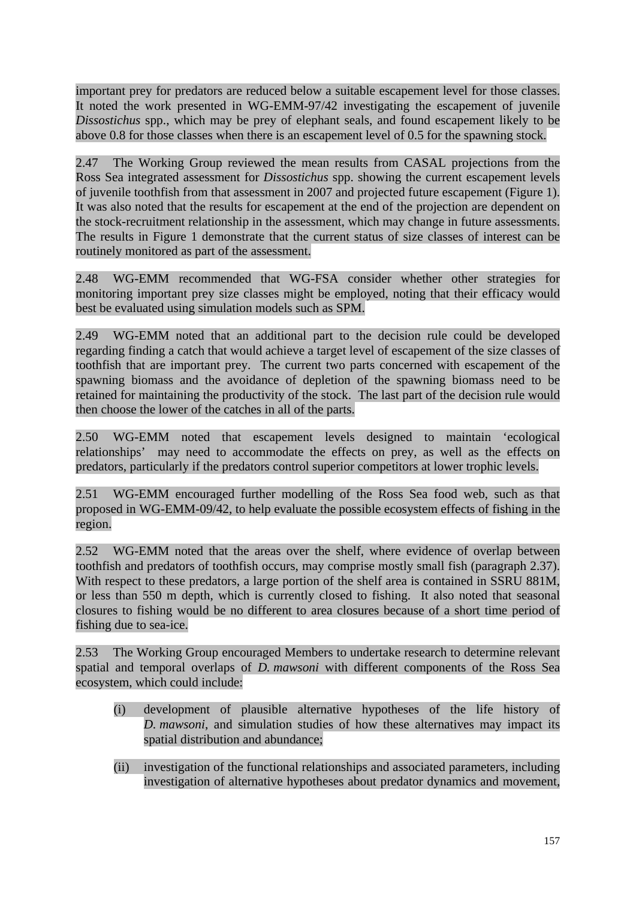important prey for predators are reduced below a suitable escapement level for those classes. It noted the work presented in WG-EMM-97/42 investigating the escapement of juvenile *Dissostichus* spp., which may be prey of elephant seals, and found escapement likely to be above 0.8 for those classes when there is an escapement level of 0.5 for the spawning stock.

2.47 The Working Group reviewed the mean results from CASAL projections from the Ross Sea integrated assessment for *Dissostichus* spp. showing the current escapement levels of juvenile toothfish from that assessment in 2007 and projected future escapement (Figure 1). It was also noted that the results for escapement at the end of the projection are dependent on the stock-recruitment relationship in the assessment, which may change in future assessments. The results in Figure 1 demonstrate that the current status of size classes of interest can be routinely monitored as part of the assessment.

2.48 WG-EMM recommended that WG-FSA consider whether other strategies for monitoring important prey size classes might be employed, noting that their efficacy would best be evaluated using simulation models such as SPM.

2.49 WG-EMM noted that an additional part to the decision rule could be developed regarding finding a catch that would achieve a target level of escapement of the size classes of toothfish that are important prey. The current two parts concerned with escapement of the spawning biomass and the avoidance of depletion of the spawning biomass need to be retained for maintaining the productivity of the stock. The last part of the decision rule would then choose the lower of the catches in all of the parts.

2.50 WG-EMM noted that escapement levels designed to maintain 'ecological relationships' may need to accommodate the effects on prey, as well as the effects on predators, particularly if the predators control superior competitors at lower trophic levels.

2.51 WG-EMM encouraged further modelling of the Ross Sea food web, such as that proposed in WG-EMM-09/42, to help evaluate the possible ecosystem effects of fishing in the region.

2.52 WG-EMM noted that the areas over the shelf, where evidence of overlap between toothfish and predators of toothfish occurs, may comprise mostly small fish (paragraph 2.37). With respect to these predators, a large portion of the shelf area is contained in SSRU 881M, or less than 550 m depth, which is currently closed to fishing. It also noted that seasonal closures to fishing would be no different to area closures because of a short time period of fishing due to sea-ice.

2.53 The Working Group encouraged Members to undertake research to determine relevant spatial and temporal overlaps of *D. mawsoni* with different components of the Ross Sea ecosystem, which could include:

- (i) development of plausible alternative hypotheses of the life history of *D. mawsoni*, and simulation studies of how these alternatives may impact its spatial distribution and abundance;
- (ii) investigation of the functional relationships and associated parameters, including investigation of alternative hypotheses about predator dynamics and movement,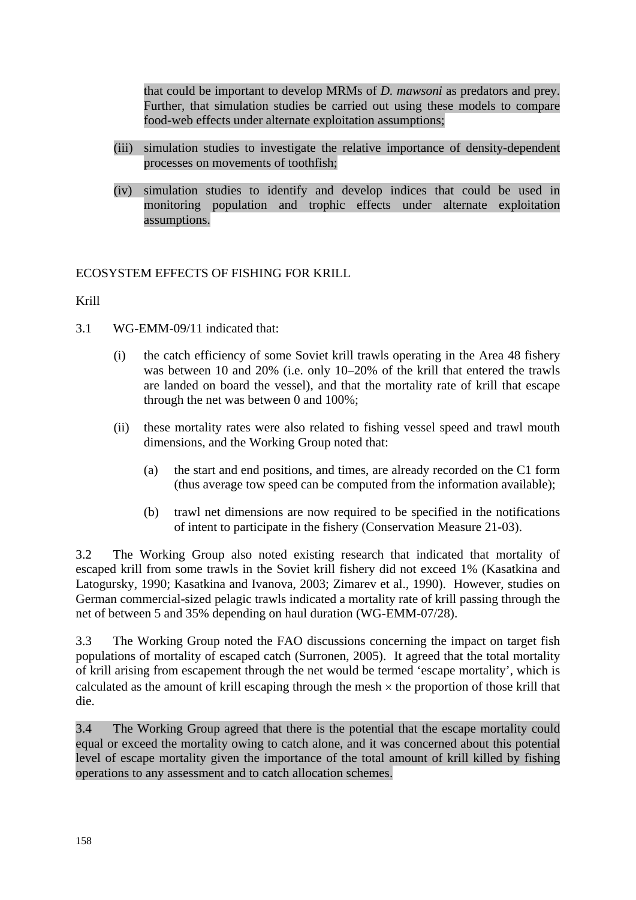<span id="page-15-0"></span>that could be important to develop MRMs of *D. mawsoni* as predators and prey. Further, that simulation studies be carried out using these models to compare food-web effects under alternate exploitation assumptions;

- (iii) simulation studies to investigate the relative importance of density-dependent processes on movements of toothfish;
- (iv) simulation studies to identify and develop indices that could be used in monitoring population and trophic effects under alternate exploitation assumptions.

# ECOSYSTEM EFFECTS OF FISHING FOR KRILL

Krill

- 3.1 WG-EMM-09/11 indicated that:
	- (i) the catch efficiency of some Soviet krill trawls operating in the Area 48 fishery was between 10 and 20% (i.e. only 10–20% of the krill that entered the trawls are landed on board the vessel), and that the mortality rate of krill that escape through the net was between 0 and 100%;
	- (ii) these mortality rates were also related to fishing vessel speed and trawl mouth dimensions, and the Working Group noted that:
		- (a) the start and end positions, and times, are already recorded on the C1 form (thus average tow speed can be computed from the information available);
		- (b) trawl net dimensions are now required to be specified in the notifications of intent to participate in the fishery (Conservation Measure 21-03).

3.2 The Working Group also noted existing research that indicated that mortality of escaped krill from some trawls in the Soviet krill fishery did not exceed 1% (Kasatkina and Latogursky, 1990; Kasatkina and Ivanova, 2003; Zimarev et al., 1990). However, studies on German commercial-sized pelagic trawls indicated a mortality rate of krill passing through the net of between 5 and 35% depending on haul duration (WG-EMM-07/28).

3.3 The Working Group noted the FAO discussions concerning the impact on target fish populations of mortality of escaped catch (Surronen, 2005). It agreed that the total mortality of krill arising from escapement through the net would be termed 'escape mortality', which is calculated as the amount of krill escaping through the mesh  $\times$  the proportion of those krill that die.

3.4 The Working Group agreed that there is the potential that the escape mortality could equal or exceed the mortality owing to catch alone, and it was concerned about this potential level of escape mortality given the importance of the total amount of krill killed by fishing operations to any assessment and to catch allocation schemes.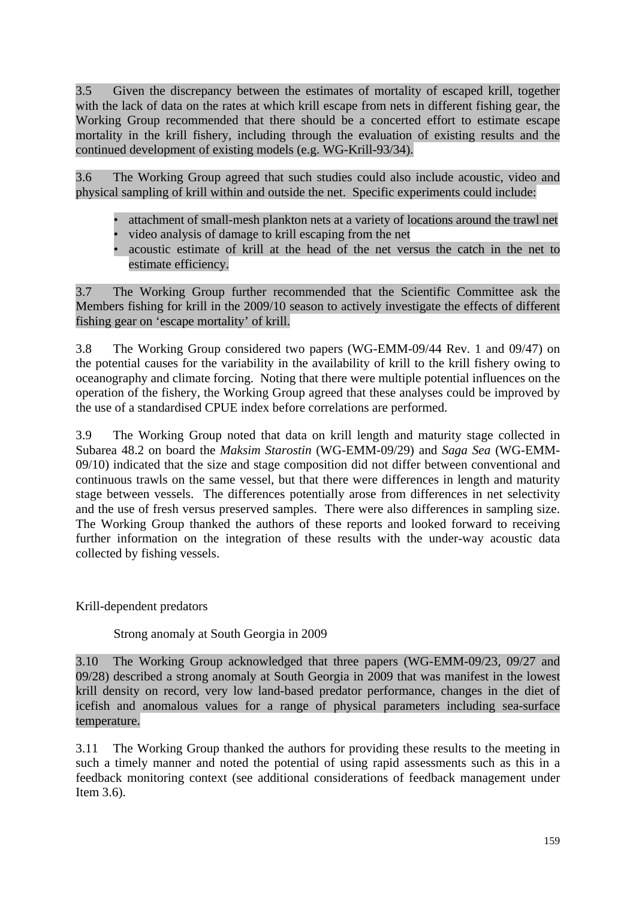3.5 Given the discrepancy between the estimates of mortality of escaped krill, together with the lack of data on the rates at which krill escape from nets in different fishing gear, the Working Group recommended that there should be a concerted effort to estimate escape mortality in the krill fishery, including through the evaluation of existing results and the continued development of existing models (e.g. WG-Krill-93/34).

3.6 The Working Group agreed that such studies could also include acoustic, video and physical sampling of krill within and outside the net. Specific experiments could include:

- attachment of small-mesh plankton nets at a variety of locations around the trawl net
- video analysis of damage to krill escaping from the net
- acoustic estimate of krill at the head of the net versus the catch in the net to estimate efficiency.

3.7 The Working Group further recommended that the Scientific Committee ask the Members fishing for krill in the 2009/10 season to actively investigate the effects of different fishing gear on 'escape mortality' of krill.

3.8 The Working Group considered two papers (WG-EMM-09/44 Rev. 1 and 09/47) on the potential causes for the variability in the availability of krill to the krill fishery owing to oceanography and climate forcing. Noting that there were multiple potential influences on the operation of the fishery, the Working Group agreed that these analyses could be improved by the use of a standardised CPUE index before correlations are performed.

3.9 The Working Group noted that data on krill length and maturity stage collected in Subarea 48.2 on board the *Maksim Starostin* (WG-EMM-09/29) and *Saga Sea* (WG-EMM-09/10) indicated that the size and stage composition did not differ between conventional and continuous trawls on the same vessel, but that there were differences in length and maturity stage between vessels. The differences potentially arose from differences in net selectivity and the use of fresh versus preserved samples. There were also differences in sampling size. The Working Group thanked the authors of these reports and looked forward to receiving further information on the integration of these results with the under-way acoustic data collected by fishing vessels.

Krill-dependent predators

Strong anomaly at South Georgia in 2009

3.10 The Working Group acknowledged that three papers (WG-EMM-09/23, 09/27 and 09/28) described a strong anomaly at South Georgia in 2009 that was manifest in the lowest krill density on record, very low land-based predator performance, changes in the diet of icefish and anomalous values for a range of physical parameters including sea-surface temperature.

3.11 The Working Group thanked the authors for providing these results to the meeting in such a timely manner and noted the potential of using rapid assessments such as this in a feedback monitoring context (see additional considerations of feedback management under Item 3.6).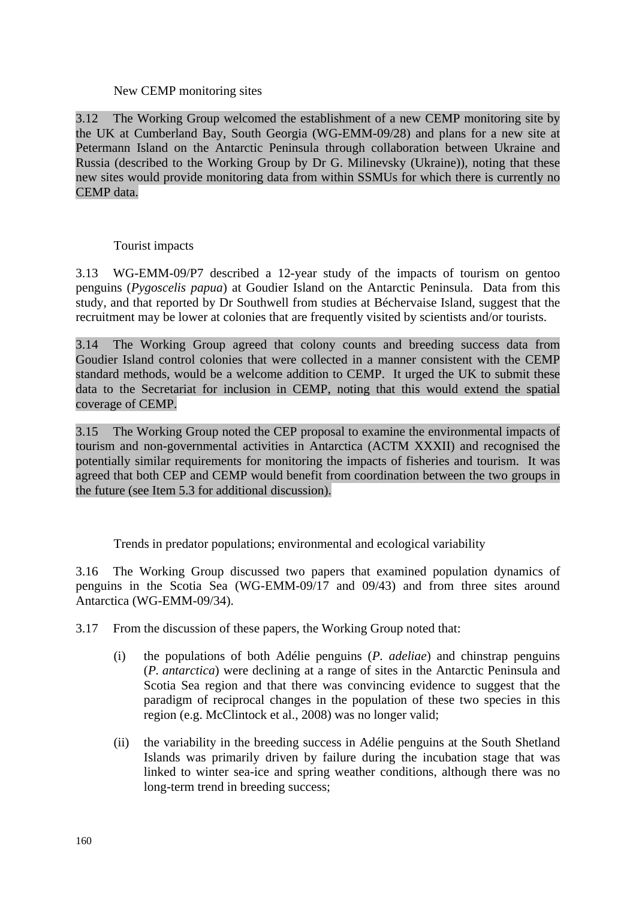### New CEMP monitoring sites

3.12 The Working Group welcomed the establishment of a new CEMP monitoring site by the UK at Cumberland Bay, South Georgia (WG-EMM-09/28) and plans for a new site at Petermann Island on the Antarctic Peninsula through collaboration between Ukraine and Russia (described to the Working Group by Dr G. Milinevsky (Ukraine)), noting that these new sites would provide monitoring data from within SSMUs for which there is currently no CEMP data.

# Tourist impacts

3.13 WG-EMM-09/P7 described a 12-year study of the impacts of tourism on gentoo penguins (*Pygoscelis papua*) at Goudier Island on the Antarctic Peninsula. Data from this study, and that reported by Dr Southwell from studies at Béchervaise Island, suggest that the recruitment may be lower at colonies that are frequently visited by scientists and/or tourists.

3.14 The Working Group agreed that colony counts and breeding success data from Goudier Island control colonies that were collected in a manner consistent with the CEMP standard methods, would be a welcome addition to CEMP. It urged the UK to submit these data to the Secretariat for inclusion in CEMP, noting that this would extend the spatial coverage of CEMP.

3.15 The Working Group noted the CEP proposal to examine the environmental impacts of tourism and non-governmental activities in Antarctica (ACTM XXXII) and recognised the potentially similar requirements for monitoring the impacts of fisheries and tourism. It was agreed that both CEP and CEMP would benefit from coordination between the two groups in the future (see Item 5.3 for additional discussion).

Trends in predator populations; environmental and ecological variability

3.16 The Working Group discussed two papers that examined population dynamics of penguins in the Scotia Sea (WG-EMM-09/17 and 09/43) and from three sites around Antarctica (WG-EMM-09/34).

- 3.17 From the discussion of these papers, the Working Group noted that:
	- (i) the populations of both Adélie penguins (*P. adeliae*) and chinstrap penguins (*P. antarctica*) were declining at a range of sites in the Antarctic Peninsula and Scotia Sea region and that there was convincing evidence to suggest that the paradigm of reciprocal changes in the population of these two species in this region (e.g. McClintock et al., 2008) was no longer valid;
	- (ii) the variability in the breeding success in Adélie penguins at the South Shetland Islands was primarily driven by failure during the incubation stage that was linked to winter sea-ice and spring weather conditions, although there was no long-term trend in breeding success;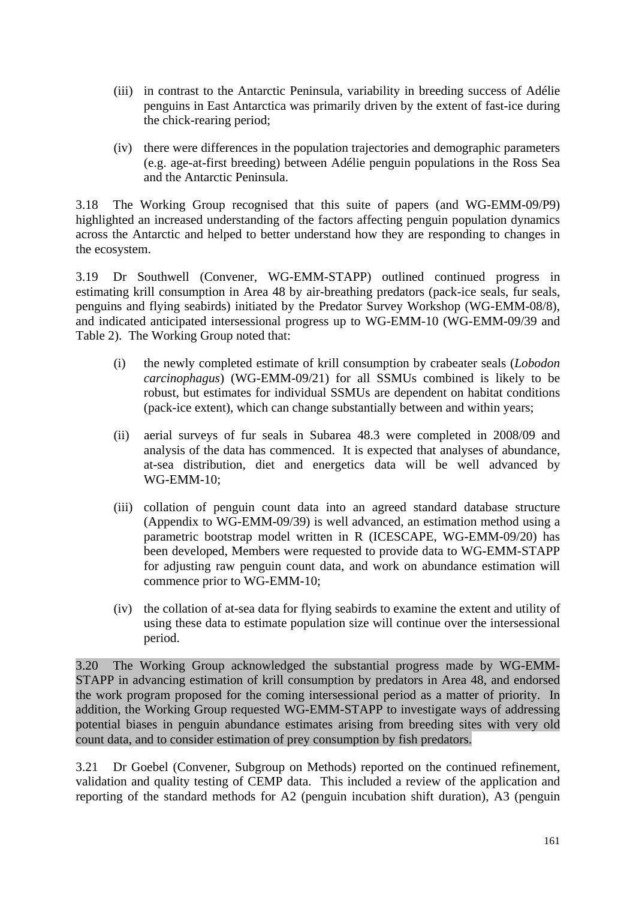- (iii) in contrast to the Antarctic Peninsula, variability in breeding success of Adélie penguins in East Antarctica was primarily driven by the extent of fast-ice during the chick-rearing period;
- (iv) there were differences in the population trajectories and demographic parameters (e.g. age-at-first breeding) between Adélie penguin populations in the Ross Sea and the Antarctic Peninsula.

3.18 The Working Group recognised that this suite of papers (and WG-EMM-09/P9) highlighted an increased understanding of the factors affecting penguin population dynamics across the Antarctic and helped to better understand how they are responding to changes in the ecosystem.

3.19 Dr Southwell (Convener, WG-EMM-STAPP) outlined continued progress in estimating krill consumption in Area 48 by air-breathing predators (pack-ice seals, fur seals, penguins and flying seabirds) initiated by the Predator Survey Workshop (WG-EMM-08/8), and indicated anticipated intersessional progress up to WG-EMM-10 (WG-EMM-09/39 and Table 2). The Working Group noted that:

- (i) the newly completed estimate of krill consumption by crabeater seals (*Lobodon carcinophagus*) (WG-EMM-09/21) for all SSMUs combined is likely to be robust, but estimates for individual SSMUs are dependent on habitat conditions (pack-ice extent), which can change substantially between and within years;
- (ii) aerial surveys of fur seals in Subarea 48.3 were completed in 2008/09 and analysis of the data has commenced. It is expected that analyses of abundance, at-sea distribution, diet and energetics data will be well advanced by WG-EMM-10;
- (iii) collation of penguin count data into an agreed standard database structure (Appendix to WG-EMM-09/39) is well advanced, an estimation method using a parametric bootstrap model written in R (ICESCAPE, WG-EMM-09/20) has been developed, Members were requested to provide data to WG-EMM-STAPP for adjusting raw penguin count data, and work on abundance estimation will commence prior to WG-EMM-10;
- (iv) the collation of at-sea data for flying seabirds to examine the extent and utility of using these data to estimate population size will continue over the intersessional period.

3.20 The Working Group acknowledged the substantial progress made by WG-EMM-STAPP in advancing estimation of krill consumption by predators in Area 48, and endorsed the work program proposed for the coming intersessional period as a matter of priority. In addition, the Working Group requested WG-EMM-STAPP to investigate ways of addressing potential biases in penguin abundance estimates arising from breeding sites with very old count data, and to consider estimation of prey consumption by fish predators.

3.21 Dr Goebel (Convener, Subgroup on Methods) reported on the continued refinement, validation and quality testing of CEMP data. This included a review of the application and reporting of the standard methods for A2 (penguin incubation shift duration), A3 (penguin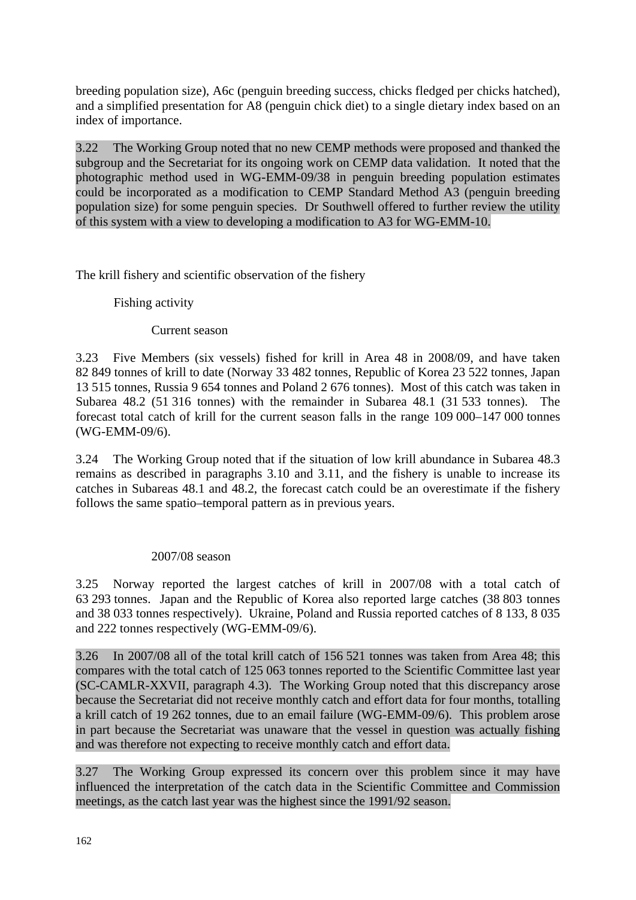breeding population size), A6c (penguin breeding success, chicks fledged per chicks hatched), and a simplified presentation for A8 (penguin chick diet) to a single dietary index based on an index of importance.

3.22 The Working Group noted that no new CEMP methods were proposed and thanked the subgroup and the Secretariat for its ongoing work on CEMP data validation. It noted that the photographic method used in WG-EMM-09/38 in penguin breeding population estimates could be incorporated as a modification to CEMP Standard Method A3 (penguin breeding population size) for some penguin species. Dr Southwell offered to further review the utility of this system with a view to developing a modification to A3 for WG-EMM-10.

The krill fishery and scientific observation of the fishery

Fishing activity

Current season

3.23 Five Members (six vessels) fished for krill in Area 48 in 2008/09, and have taken 82 849 tonnes of krill to date (Norway 33 482 tonnes, Republic of Korea 23 522 tonnes, Japan 13 515 tonnes, Russia 9 654 tonnes and Poland 2 676 tonnes). Most of this catch was taken in Subarea 48.2 (51 316 tonnes) with the remainder in Subarea 48.1 (31 533 tonnes). The forecast total catch of krill for the current season falls in the range 109 000–147 000 tonnes (WG-EMM-09/6).

3.24 The Working Group noted that if the situation of low krill abundance in Subarea 48.3 remains as described in paragraphs 3.10 and 3.11, and the fishery is unable to increase its catches in Subareas 48.1 and 48.2, the forecast catch could be an overestimate if the fishery follows the same spatio–temporal pattern as in previous years.

#### 2007/08 season

3.25 Norway reported the largest catches of krill in 2007/08 with a total catch of 63 293 tonnes. Japan and the Republic of Korea also reported large catches (38 803 tonnes and 38 033 tonnes respectively). Ukraine, Poland and Russia reported catches of 8 133, 8 035 and 222 tonnes respectively (WG-EMM-09/6).

3.26 In 2007/08 all of the total krill catch of 156 521 tonnes was taken from Area 48; this compares with the total catch of 125 063 tonnes reported to the Scientific Committee last year (SC-CAMLR-XXVII, paragraph 4.3). The Working Group noted that this discrepancy arose because the Secretariat did not receive monthly catch and effort data for four months, totalling a krill catch of 19 262 tonnes, due to an email failure (WG-EMM-09/6). This problem arose in part because the Secretariat was unaware that the vessel in question was actually fishing and was therefore not expecting to receive monthly catch and effort data.

3.27 The Working Group expressed its concern over this problem since it may have influenced the interpretation of the catch data in the Scientific Committee and Commission meetings, as the catch last year was the highest since the 1991/92 season.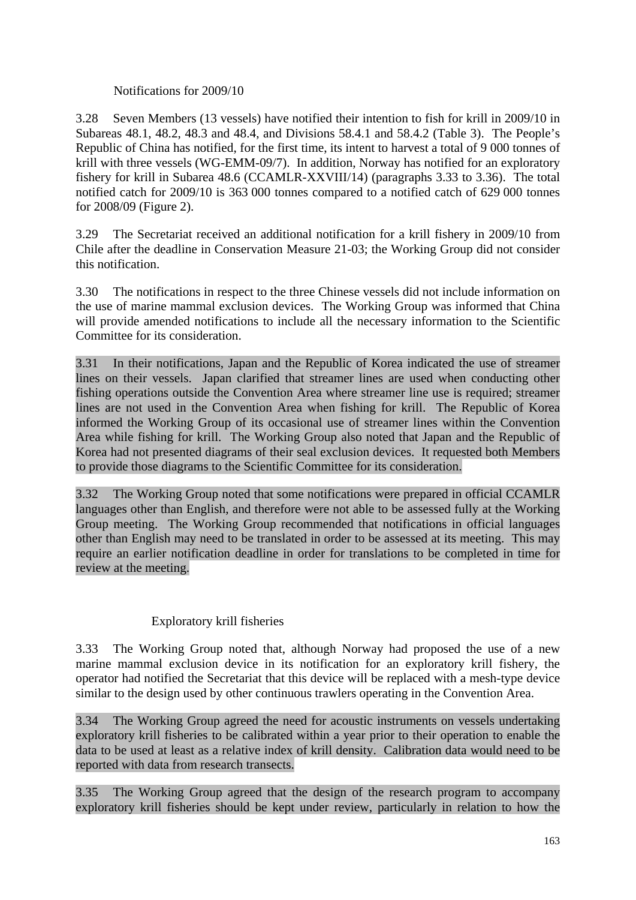# Notifications for 2009/10

3.28 Seven Members (13 vessels) have notified their intention to fish for krill in 2009/10 in Subareas 48.1, 48.2, 48.3 and 48.4, and Divisions 58.4.1 and 58.4.2 (Table 3). The People's Republic of China has notified, for the first time, its intent to harvest a total of 9 000 tonnes of krill with three vessels (WG-EMM-09/7). In addition, Norway has notified for an exploratory fishery for krill in Subarea 48.6 (CCAMLR-XXVIII/14) (paragraphs 3.33 to 3.36). The total notified catch for 2009/10 is 363 000 tonnes compared to a notified catch of 629 000 tonnes for 2008/09 (Figure 2).

3.29 The Secretariat received an additional notification for a krill fishery in 2009/10 from Chile after the deadline in Conservation Measure 21-03; the Working Group did not consider this notification.

3.30 The notifications in respect to the three Chinese vessels did not include information on the use of marine mammal exclusion devices. The Working Group was informed that China will provide amended notifications to include all the necessary information to the Scientific Committee for its consideration.

3.31 In their notifications, Japan and the Republic of Korea indicated the use of streamer lines on their vessels. Japan clarified that streamer lines are used when conducting other fishing operations outside the Convention Area where streamer line use is required; streamer lines are not used in the Convention Area when fishing for krill. The Republic of Korea informed the Working Group of its occasional use of streamer lines within the Convention Area while fishing for krill. The Working Group also noted that Japan and the Republic of Korea had not presented diagrams of their seal exclusion devices. It requested both Members to provide those diagrams to the Scientific Committee for its consideration.

3.32 The Working Group noted that some notifications were prepared in official CCAMLR languages other than English, and therefore were not able to be assessed fully at the Working Group meeting. The Working Group recommended that notifications in official languages other than English may need to be translated in order to be assessed at its meeting. This may require an earlier notification deadline in order for translations to be completed in time for review at the meeting.

# Exploratory krill fisheries

3.33 The Working Group noted that, although Norway had proposed the use of a new marine mammal exclusion device in its notification for an exploratory krill fishery, the operator had notified the Secretariat that this device will be replaced with a mesh-type device similar to the design used by other continuous trawlers operating in the Convention Area.

3.34 The Working Group agreed the need for acoustic instruments on vessels undertaking exploratory krill fisheries to be calibrated within a year prior to their operation to enable the data to be used at least as a relative index of krill density. Calibration data would need to be reported with data from research transects.

3.35 The Working Group agreed that the design of the research program to accompany exploratory krill fisheries should be kept under review, particularly in relation to how the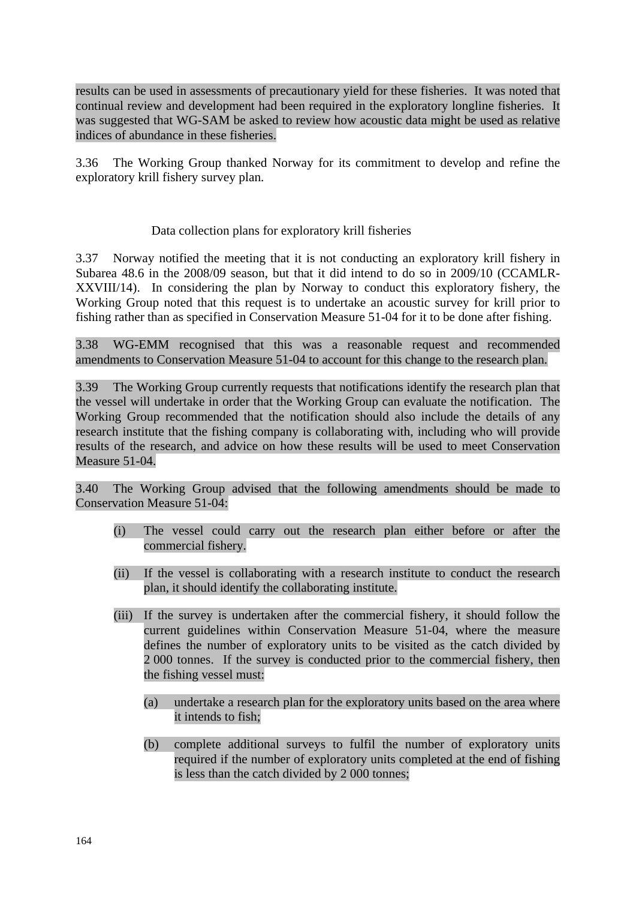results can be used in assessments of precautionary yield for these fisheries. It was noted that continual review and development had been required in the exploratory longline fisheries. It was suggested that WG-SAM be asked to review how acoustic data might be used as relative indices of abundance in these fisheries.

3.36 The Working Group thanked Norway for its commitment to develop and refine the exploratory krill fishery survey plan.

### Data collection plans for exploratory krill fisheries

3.37 Norway notified the meeting that it is not conducting an exploratory krill fishery in Subarea 48.6 in the 2008/09 season, but that it did intend to do so in 2009/10 (CCAMLR-XXVIII/14). In considering the plan by Norway to conduct this exploratory fishery, the Working Group noted that this request is to undertake an acoustic survey for krill prior to fishing rather than as specified in Conservation Measure 51-04 for it to be done after fishing.

3.38 WG-EMM recognised that this was a reasonable request and recommended amendments to Conservation Measure 51-04 to account for this change to the research plan.

3.39 The Working Group currently requests that notifications identify the research plan that the vessel will undertake in order that the Working Group can evaluate the notification. The Working Group recommended that the notification should also include the details of any research institute that the fishing company is collaborating with, including who will provide results of the research, and advice on how these results will be used to meet Conservation Measure 51-04.

3.40 The Working Group advised that the following amendments should be made to Conservation Measure 51-04:

- (i) The vessel could carry out the research plan either before or after the commercial fishery.
- (ii) If the vessel is collaborating with a research institute to conduct the research plan, it should identify the collaborating institute.
- (iii) If the survey is undertaken after the commercial fishery, it should follow the current guidelines within Conservation Measure 51-04, where the measure defines the number of exploratory units to be visited as the catch divided by 2 000 tonnes. If the survey is conducted prior to the commercial fishery, then the fishing vessel must:
	- (a) undertake a research plan for the exploratory units based on the area where it intends to fish;
	- (b) complete additional surveys to fulfil the number of exploratory units required if the number of exploratory units completed at the end of fishing is less than the catch divided by 2 000 tonnes;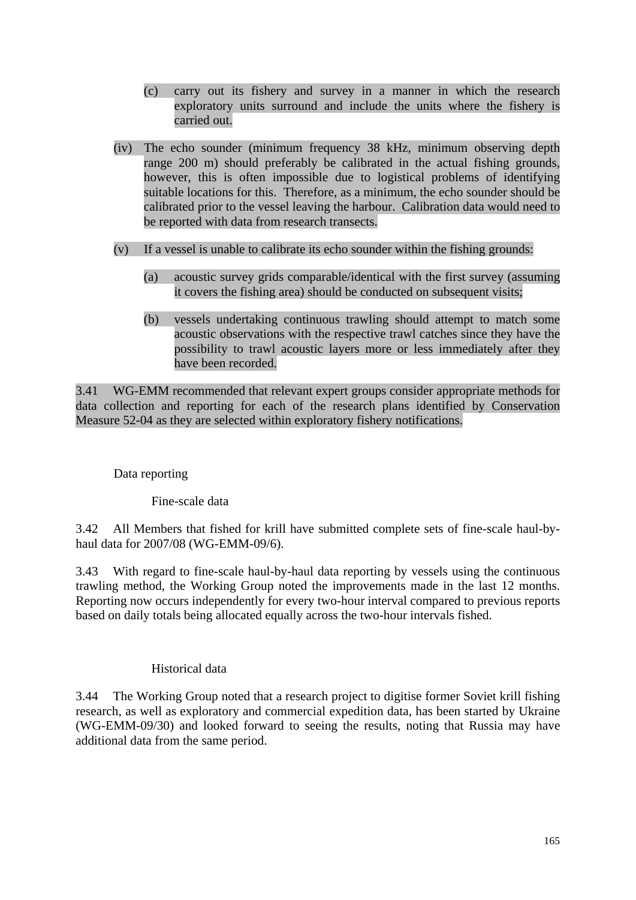- (c) carry out its fishery and survey in a manner in which the research exploratory units surround and include the units where the fishery is carried out.
- (iv) The echo sounder (minimum frequency 38 kHz, minimum observing depth range 200 m) should preferably be calibrated in the actual fishing grounds, however, this is often impossible due to logistical problems of identifying suitable locations for this. Therefore, as a minimum, the echo sounder should be calibrated prior to the vessel leaving the harbour. Calibration data would need to be reported with data from research transects.
- (v) If a vessel is unable to calibrate its echo sounder within the fishing grounds:
	- (a) acoustic survey grids comparable/identical with the first survey (assuming it covers the fishing area) should be conducted on subsequent visits;
	- (b) vessels undertaking continuous trawling should attempt to match some acoustic observations with the respective trawl catches since they have the possibility to trawl acoustic layers more or less immediately after they have been recorded.

3.41 WG-EMM recommended that relevant expert groups consider appropriate methods for data collection and reporting for each of the research plans identified by Conservation Measure 52-04 as they are selected within exploratory fishery notifications.

Data reporting

Fine-scale data

3.42 All Members that fished for krill have submitted complete sets of fine-scale haul-byhaul data for 2007/08 (WG-EMM-09/6).

3.43 With regard to fine-scale haul-by-haul data reporting by vessels using the continuous trawling method, the Working Group noted the improvements made in the last 12 months. Reporting now occurs independently for every two-hour interval compared to previous reports based on daily totals being allocated equally across the two-hour intervals fished.

# Historical data

3.44 The Working Group noted that a research project to digitise former Soviet krill fishing research, as well as exploratory and commercial expedition data, has been started by Ukraine (WG-EMM-09/30) and looked forward to seeing the results, noting that Russia may have additional data from the same period.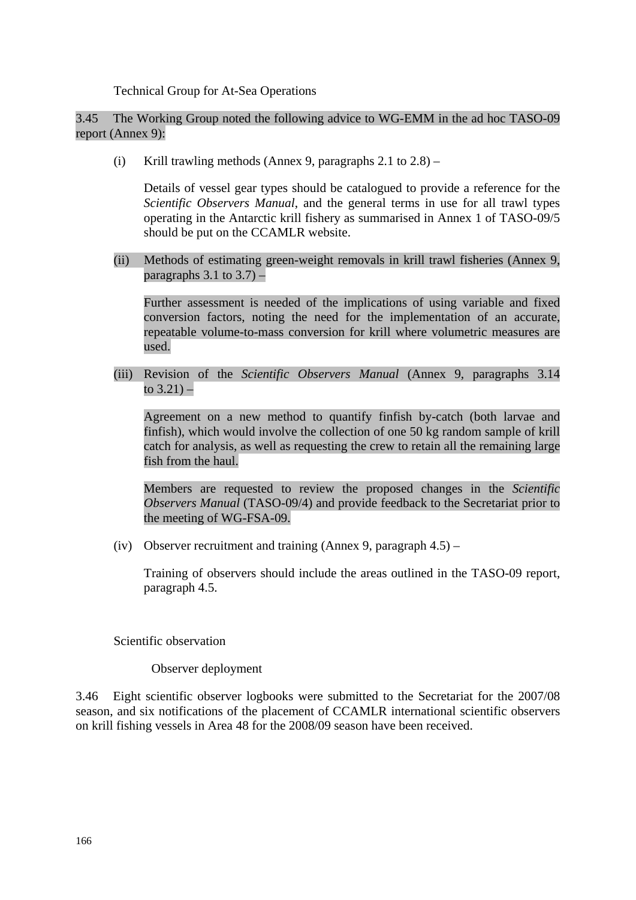Technical Group for At-Sea Operations

3.45 The Working Group noted the following advice to WG-EMM in the ad hoc TASO-09 report (Annex 9):

(i) Krill trawling methods (Annex 9, paragraphs  $2.1$  to  $2.8$ ) –

 Details of vessel gear types should be catalogued to provide a reference for the *Scientific Observers Manual*, and the general terms in use for all trawl types operating in the Antarctic krill fishery as summarised in Annex 1 of TASO-09/5 should be put on the CCAMLR website.

(ii) Methods of estimating green-weight removals in krill trawl fisheries (Annex 9, paragraphs  $3.1$  to  $3.7$ ) –

 Further assessment is needed of the implications of using variable and fixed conversion factors, noting the need for the implementation of an accurate, repeatable volume-to-mass conversion for krill where volumetric measures are used.

(iii) Revision of the *Scientific Observers Manual* (Annex 9, paragraphs 3.14 to  $3.21$ ) –

 Agreement on a new method to quantify finfish by-catch (both larvae and finfish), which would involve the collection of one 50 kg random sample of krill catch for analysis, as well as requesting the crew to retain all the remaining large fish from the haul.

 Members are requested to review the proposed changes in the *Scientific Observers Manual* (TASO-09/4) and provide feedback to the Secretariat prior to the meeting of WG-FSA-09.

(iv) Observer recruitment and training (Annex 9, paragraph  $4.5$ ) –

 Training of observers should include the areas outlined in the TASO-09 report, paragraph 4.5.

Scientific observation

Observer deployment

3.46 Eight scientific observer logbooks were submitted to the Secretariat for the 2007/08 season, and six notifications of the placement of CCAMLR international scientific observers on krill fishing vessels in Area 48 for the 2008/09 season have been received.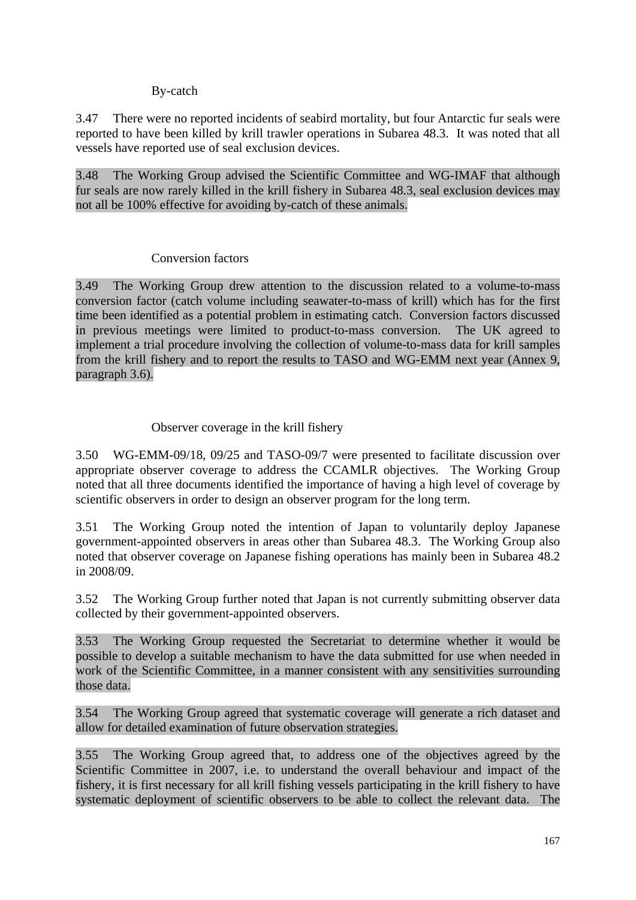### By-catch

3.47 There were no reported incidents of seabird mortality, but four Antarctic fur seals were reported to have been killed by krill trawler operations in Subarea 48.3. It was noted that all vessels have reported use of seal exclusion devices.

3.48 The Working Group advised the Scientific Committee and WG-IMAF that although fur seals are now rarely killed in the krill fishery in Subarea 48.3, seal exclusion devices may not all be 100% effective for avoiding by-catch of these animals.

### Conversion factors

3.49 The Working Group drew attention to the discussion related to a volume-to-mass conversion factor (catch volume including seawater-to-mass of krill) which has for the first time been identified as a potential problem in estimating catch. Conversion factors discussed in previous meetings were limited to product-to-mass conversion. The UK agreed to implement a trial procedure involving the collection of volume-to-mass data for krill samples from the krill fishery and to report the results to TASO and WG-EMM next year (Annex 9, paragraph 3.6).

# Observer coverage in the krill fishery

3.50 WG-EMM-09/18, 09/25 and TASO-09/7 were presented to facilitate discussion over appropriate observer coverage to address the CCAMLR objectives. The Working Group noted that all three documents identified the importance of having a high level of coverage by scientific observers in order to design an observer program for the long term.

3.51 The Working Group noted the intention of Japan to voluntarily deploy Japanese government-appointed observers in areas other than Subarea 48.3. The Working Group also noted that observer coverage on Japanese fishing operations has mainly been in Subarea 48.2 in 2008/09.

3.52 The Working Group further noted that Japan is not currently submitting observer data collected by their government-appointed observers.

3.53 The Working Group requested the Secretariat to determine whether it would be possible to develop a suitable mechanism to have the data submitted for use when needed in work of the Scientific Committee, in a manner consistent with any sensitivities surrounding those data.

3.54 The Working Group agreed that systematic coverage will generate a rich dataset and allow for detailed examination of future observation strategies.

3.55 The Working Group agreed that, to address one of the objectives agreed by the Scientific Committee in 2007, i.e. to understand the overall behaviour and impact of the fishery, it is first necessary for all krill fishing vessels participating in the krill fishery to have systematic deployment of scientific observers to be able to collect the relevant data. The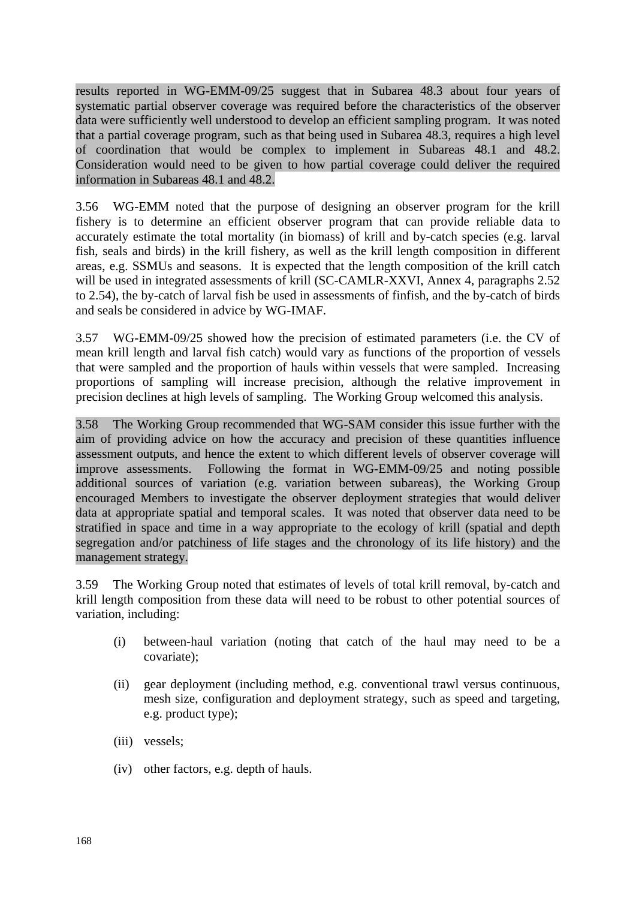results reported in WG-EMM-09/25 suggest that in Subarea 48.3 about four years of systematic partial observer coverage was required before the characteristics of the observer data were sufficiently well understood to develop an efficient sampling program. It was noted that a partial coverage program, such as that being used in Subarea 48.3, requires a high level of coordination that would be complex to implement in Subareas 48.1 and 48.2. Consideration would need to be given to how partial coverage could deliver the required information in Subareas 48.1 and 48.2.

3.56 WG-EMM noted that the purpose of designing an observer program for the krill fishery is to determine an efficient observer program that can provide reliable data to accurately estimate the total mortality (in biomass) of krill and by-catch species (e.g. larval fish, seals and birds) in the krill fishery, as well as the krill length composition in different areas, e.g. SSMUs and seasons. It is expected that the length composition of the krill catch will be used in integrated assessments of krill (SC-CAMLR-XXVI, Annex 4, paragraphs 2.52) to 2.54), the by-catch of larval fish be used in assessments of finfish, and the by-catch of birds and seals be considered in advice by WG-IMAF.

3.57 WG-EMM-09/25 showed how the precision of estimated parameters (i.e. the CV of mean krill length and larval fish catch) would vary as functions of the proportion of vessels that were sampled and the proportion of hauls within vessels that were sampled. Increasing proportions of sampling will increase precision, although the relative improvement in precision declines at high levels of sampling. The Working Group welcomed this analysis.

3.58 The Working Group recommended that WG-SAM consider this issue further with the aim of providing advice on how the accuracy and precision of these quantities influence assessment outputs, and hence the extent to which different levels of observer coverage will improve assessments. Following the format in WG-EMM-09/25 and noting possible additional sources of variation (e.g. variation between subareas), the Working Group encouraged Members to investigate the observer deployment strategies that would deliver data at appropriate spatial and temporal scales. It was noted that observer data need to be stratified in space and time in a way appropriate to the ecology of krill (spatial and depth segregation and/or patchiness of life stages and the chronology of its life history) and the management strategy.

3.59 The Working Group noted that estimates of levels of total krill removal, by-catch and krill length composition from these data will need to be robust to other potential sources of variation, including:

- (i) between-haul variation (noting that catch of the haul may need to be a covariate);
- (ii) gear deployment (including method, e.g. conventional trawl versus continuous, mesh size, configuration and deployment strategy, such as speed and targeting, e.g. product type);
- (iii) vessels;
- (iv) other factors, e.g. depth of hauls.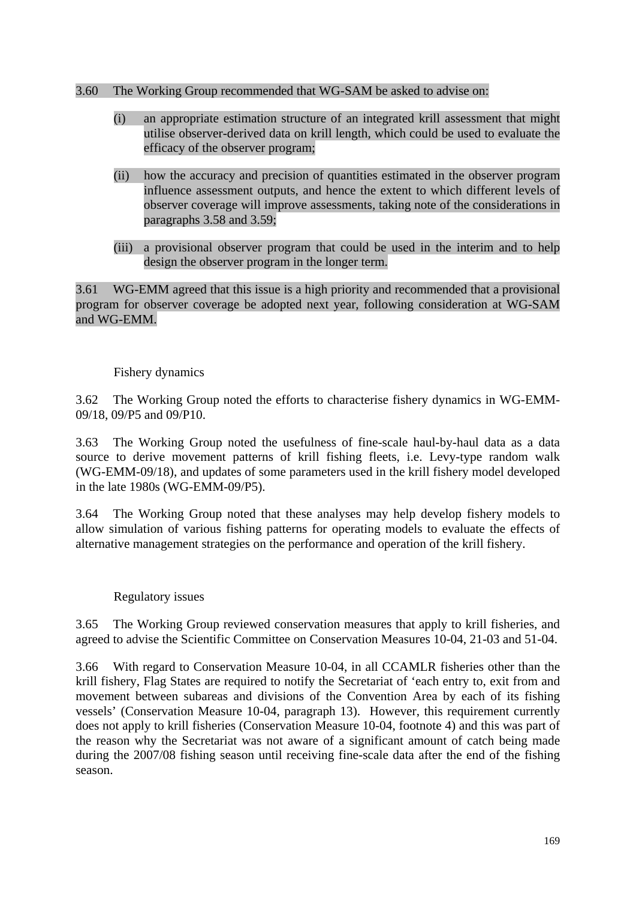### 3.60 The Working Group recommended that WG-SAM be asked to advise on:

- (i) an appropriate estimation structure of an integrated krill assessment that might utilise observer-derived data on krill length, which could be used to evaluate the efficacy of the observer program;
- (ii) how the accuracy and precision of quantities estimated in the observer program influence assessment outputs, and hence the extent to which different levels of observer coverage will improve assessments, taking note of the considerations in paragraphs 3.58 and 3.59;
- (iii) a provisional observer program that could be used in the interim and to help design the observer program in the longer term.

3.61 WG-EMM agreed that this issue is a high priority and recommended that a provisional program for observer coverage be adopted next year, following consideration at WG-SAM and WG-EMM.

### Fishery dynamics

3.62 The Working Group noted the efforts to characterise fishery dynamics in WG-EMM-09/18, 09/P5 and 09/P10.

3.63 The Working Group noted the usefulness of fine-scale haul-by-haul data as a data source to derive movement patterns of krill fishing fleets, i.e. Levy-type random walk (WG-EMM-09/18), and updates of some parameters used in the krill fishery model developed in the late 1980s (WG-EMM-09/P5).

3.64 The Working Group noted that these analyses may help develop fishery models to allow simulation of various fishing patterns for operating models to evaluate the effects of alternative management strategies on the performance and operation of the krill fishery.

#### Regulatory issues

3.65 The Working Group reviewed conservation measures that apply to krill fisheries, and agreed to advise the Scientific Committee on Conservation Measures 10-04, 21-03 and 51-04.

3.66 With regard to Conservation Measure 10-04, in all CCAMLR fisheries other than the krill fishery, Flag States are required to notify the Secretariat of 'each entry to, exit from and movement between subareas and divisions of the Convention Area by each of its fishing vessels' (Conservation Measure 10-04, paragraph 13). However, this requirement currently does not apply to krill fisheries (Conservation Measure 10-04, footnote 4) and this was part of the reason why the Secretariat was not aware of a significant amount of catch being made during the 2007/08 fishing season until receiving fine-scale data after the end of the fishing season.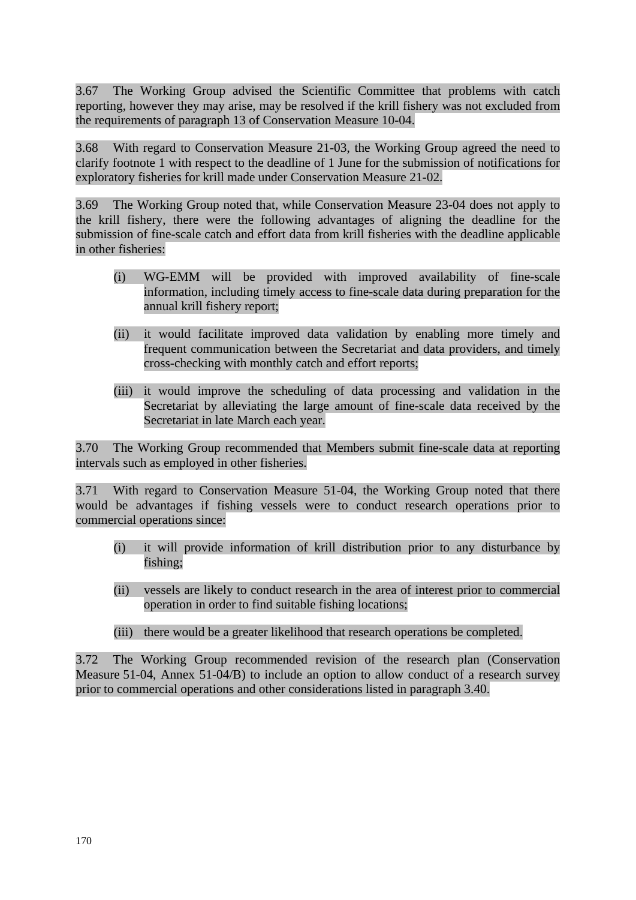3.67 The Working Group advised the Scientific Committee that problems with catch reporting, however they may arise, may be resolved if the krill fishery was not excluded from the requirements of paragraph 13 of Conservation Measure 10-04.

3.68 With regard to Conservation Measure 21-03, the Working Group agreed the need to clarify footnote 1 with respect to the deadline of 1 June for the submission of notifications for exploratory fisheries for krill made under Conservation Measure 21-02.

3.69 The Working Group noted that, while Conservation Measure 23-04 does not apply to the krill fishery, there were the following advantages of aligning the deadline for the submission of fine-scale catch and effort data from krill fisheries with the deadline applicable in other fisheries:

- (i) WG-EMM will be provided with improved availability of fine-scale information, including timely access to fine-scale data during preparation for the annual krill fishery report;
- (ii) it would facilitate improved data validation by enabling more timely and frequent communication between the Secretariat and data providers, and timely cross-checking with monthly catch and effort reports;
- (iii) it would improve the scheduling of data processing and validation in the Secretariat by alleviating the large amount of fine-scale data received by the Secretariat in late March each year.

3.70 The Working Group recommended that Members submit fine-scale data at reporting intervals such as employed in other fisheries.

3.71 With regard to Conservation Measure 51-04, the Working Group noted that there would be advantages if fishing vessels were to conduct research operations prior to commercial operations since:

- (i) it will provide information of krill distribution prior to any disturbance by fishing;
- (ii) vessels are likely to conduct research in the area of interest prior to commercial operation in order to find suitable fishing locations;
- (iii) there would be a greater likelihood that research operations be completed.

3.72 The Working Group recommended revision of the research plan (Conservation Measure 51-04, Annex 51-04/B) to include an option to allow conduct of a research survey prior to commercial operations and other considerations listed in paragraph 3.40.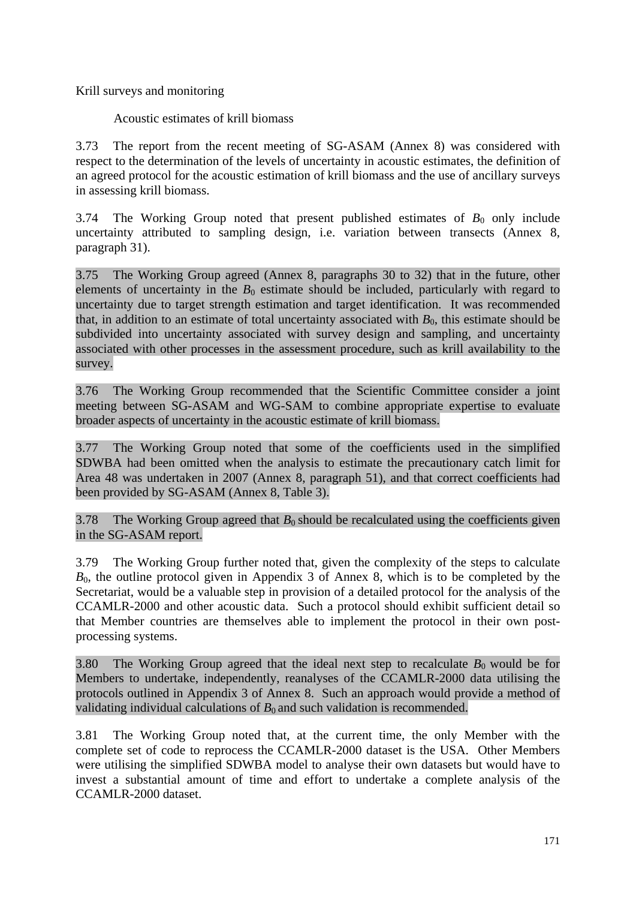Krill surveys and monitoring

Acoustic estimates of krill biomass

3.73 The report from the recent meeting of SG-ASAM (Annex 8) was considered with respect to the determination of the levels of uncertainty in acoustic estimates, the definition of an agreed protocol for the acoustic estimation of krill biomass and the use of ancillary surveys in assessing krill biomass.

3.74 The Working Group noted that present published estimates of  $B_0$  only include uncertainty attributed to sampling design, i.e. variation between transects (Annex 8, paragraph 31).

3.75 The Working Group agreed (Annex 8, paragraphs 30 to 32) that in the future, other elements of uncertainty in the  $B_0$  estimate should be included, particularly with regard to uncertainty due to target strength estimation and target identification. It was recommended that, in addition to an estimate of total uncertainty associated with  $B<sub>0</sub>$ , this estimate should be subdivided into uncertainty associated with survey design and sampling, and uncertainty associated with other processes in the assessment procedure, such as krill availability to the survey.

3.76 The Working Group recommended that the Scientific Committee consider a joint meeting between SG-ASAM and WG-SAM to combine appropriate expertise to evaluate broader aspects of uncertainty in the acoustic estimate of krill biomass.

3.77 The Working Group noted that some of the coefficients used in the simplified SDWBA had been omitted when the analysis to estimate the precautionary catch limit for Area 48 was undertaken in 2007 (Annex 8, paragraph 51), and that correct coefficients had been provided by SG-ASAM (Annex 8, Table 3).

3.78 The Working Group agreed that  $B_0$  should be recalculated using the coefficients given in the SG-ASAM report.

3.79 The Working Group further noted that, given the complexity of the steps to calculate  $B_0$ , the outline protocol given in Appendix 3 of Annex 8, which is to be completed by the Secretariat, would be a valuable step in provision of a detailed protocol for the analysis of the CCAMLR-2000 and other acoustic data. Such a protocol should exhibit sufficient detail so that Member countries are themselves able to implement the protocol in their own postprocessing systems.

3.80 The Working Group agreed that the ideal next step to recalculate  $B_0$  would be for Members to undertake, independently, reanalyses of the CCAMLR-2000 data utilising the protocols outlined in Appendix 3 of Annex 8. Such an approach would provide a method of validating individual calculations of  $B_0$  and such validation is recommended.

3.81 The Working Group noted that, at the current time, the only Member with the complete set of code to reprocess the CCAMLR-2000 dataset is the USA. Other Members were utilising the simplified SDWBA model to analyse their own datasets but would have to invest a substantial amount of time and effort to undertake a complete analysis of the CCAMLR-2000 dataset.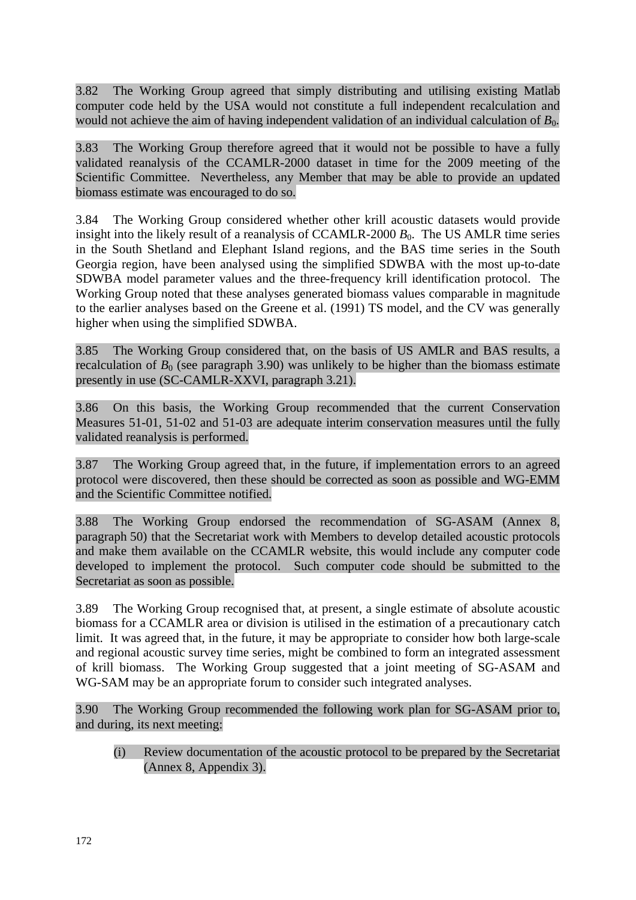3.82 The Working Group agreed that simply distributing and utilising existing Matlab computer code held by the USA would not constitute a full independent recalculation and would not achieve the aim of having independent validation of an individual calculation of  $B_0$ .

3.83 The Working Group therefore agreed that it would not be possible to have a fully validated reanalysis of the CCAMLR-2000 dataset in time for the 2009 meeting of the Scientific Committee. Nevertheless, any Member that may be able to provide an updated biomass estimate was encouraged to do so.

3.84 The Working Group considered whether other krill acoustic datasets would provide insight into the likely result of a reanalysis of CCAMLR-2000  $B_0$ . The US AMLR time series in the South Shetland and Elephant Island regions, and the BAS time series in the South Georgia region, have been analysed using the simplified SDWBA with the most up-to-date SDWBA model parameter values and the three-frequency krill identification protocol. The Working Group noted that these analyses generated biomass values comparable in magnitude to the earlier analyses based on the Greene et al. (1991) TS model, and the CV was generally higher when using the simplified SDWBA.

3.85 The Working Group considered that, on the basis of US AMLR and BAS results, a recalculation of  $B_0$  (see paragraph 3.90) was unlikely to be higher than the biomass estimate presently in use (SC-CAMLR-XXVI, paragraph 3.21).

3.86 On this basis, the Working Group recommended that the current Conservation Measures 51-01, 51-02 and 51-03 are adequate interim conservation measures until the fully validated reanalysis is performed.

3.87 The Working Group agreed that, in the future, if implementation errors to an agreed protocol were discovered, then these should be corrected as soon as possible and WG-EMM and the Scientific Committee notified.

3.88 The Working Group endorsed the recommendation of SG-ASAM (Annex 8, paragraph 50) that the Secretariat work with Members to develop detailed acoustic protocols and make them available on the CCAMLR website, this would include any computer code developed to implement the protocol. Such computer code should be submitted to the Secretariat as soon as possible.

3.89 The Working Group recognised that, at present, a single estimate of absolute acoustic biomass for a CCAMLR area or division is utilised in the estimation of a precautionary catch limit. It was agreed that, in the future, it may be appropriate to consider how both large-scale and regional acoustic survey time series, might be combined to form an integrated assessment of krill biomass. The Working Group suggested that a joint meeting of SG-ASAM and WG-SAM may be an appropriate forum to consider such integrated analyses.

3.90 The Working Group recommended the following work plan for SG-ASAM prior to, and during, its next meeting:

(i) Review documentation of the acoustic protocol to be prepared by the Secretariat (Annex 8, Appendix 3).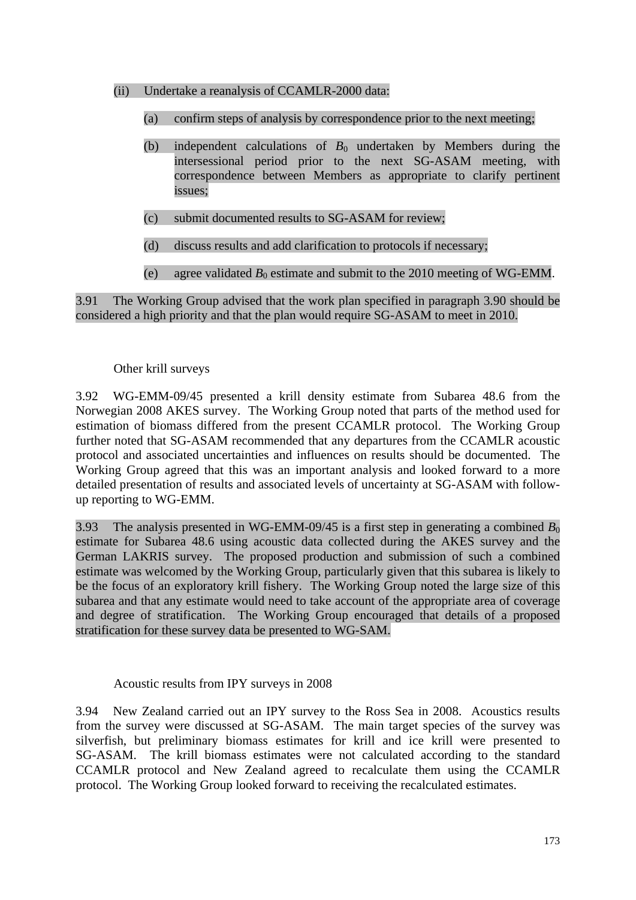- (ii) Undertake a reanalysis of CCAMLR-2000 data:
	- (a) confirm steps of analysis by correspondence prior to the next meeting;
	- (b) independent calculations of  $B_0$  undertaken by Members during the intersessional period prior to the next SG-ASAM meeting, with correspondence between Members as appropriate to clarify pertinent issues;
	- (c) submit documented results to SG-ASAM for review;
	- (d) discuss results and add clarification to protocols if necessary;
	- (e) agree validated  $B_0$  estimate and submit to the 2010 meeting of WG-EMM.

3.91 The Working Group advised that the work plan specified in paragraph 3.90 should be considered a high priority and that the plan would require SG-ASAM to meet in 2010.

### Other krill surveys

3.92 WG-EMM-09/45 presented a krill density estimate from Subarea 48.6 from the Norwegian 2008 AKES survey. The Working Group noted that parts of the method used for estimation of biomass differed from the present CCAMLR protocol. The Working Group further noted that SG-ASAM recommended that any departures from the CCAMLR acoustic protocol and associated uncertainties and influences on results should be documented. The Working Group agreed that this was an important analysis and looked forward to a more detailed presentation of results and associated levels of uncertainty at SG-ASAM with followup reporting to WG-EMM.

3.93 The analysis presented in WG-EMM-09/45 is a first step in generating a combined  $B_0$ estimate for Subarea 48.6 using acoustic data collected during the AKES survey and the German LAKRIS survey. The proposed production and submission of such a combined estimate was welcomed by the Working Group, particularly given that this subarea is likely to be the focus of an exploratory krill fishery. The Working Group noted the large size of this subarea and that any estimate would need to take account of the appropriate area of coverage and degree of stratification. The Working Group encouraged that details of a proposed stratification for these survey data be presented to WG-SAM.

Acoustic results from IPY surveys in 2008

3.94 New Zealand carried out an IPY survey to the Ross Sea in 2008. Acoustics results from the survey were discussed at SG-ASAM. The main target species of the survey was silverfish, but preliminary biomass estimates for krill and ice krill were presented to SG-ASAM. The krill biomass estimates were not calculated according to the standard CCAMLR protocol and New Zealand agreed to recalculate them using the CCAMLR protocol. The Working Group looked forward to receiving the recalculated estimates.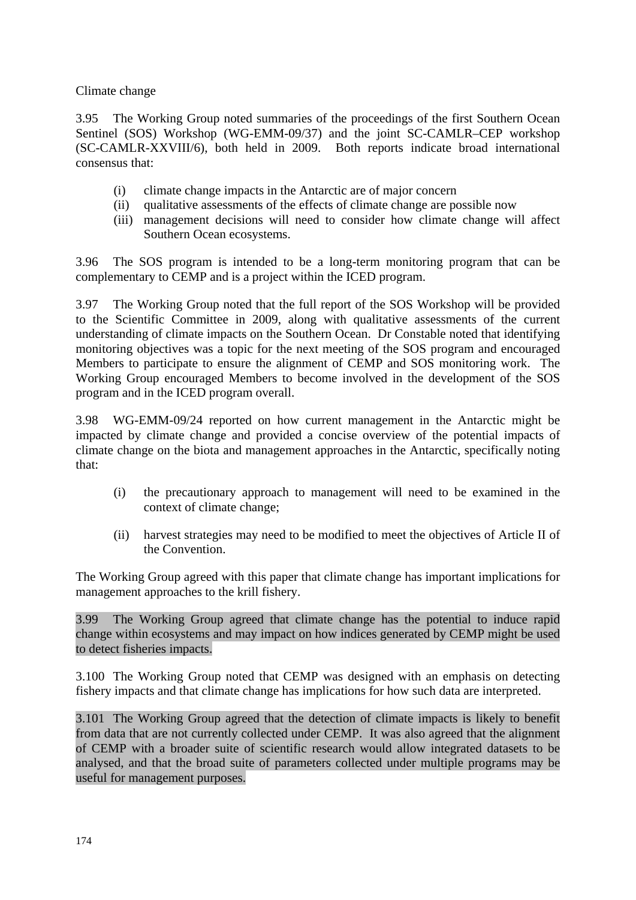Climate change

3.95 The Working Group noted summaries of the proceedings of the first Southern Ocean Sentinel (SOS) Workshop (WG-EMM-09/37) and the joint SC-CAMLR–CEP workshop (SC-CAMLR-XXVIII/6), both held in 2009. Both reports indicate broad international consensus that:

- (i) climate change impacts in the Antarctic are of major concern
- (ii) qualitative assessments of the effects of climate change are possible now
- (iii) management decisions will need to consider how climate change will affect Southern Ocean ecosystems.

3.96 The SOS program is intended to be a long-term monitoring program that can be complementary to CEMP and is a project within the ICED program.

3.97 The Working Group noted that the full report of the SOS Workshop will be provided to the Scientific Committee in 2009, along with qualitative assessments of the current understanding of climate impacts on the Southern Ocean. Dr Constable noted that identifying monitoring objectives was a topic for the next meeting of the SOS program and encouraged Members to participate to ensure the alignment of CEMP and SOS monitoring work. The Working Group encouraged Members to become involved in the development of the SOS program and in the ICED program overall.

3.98 WG-EMM-09/24 reported on how current management in the Antarctic might be impacted by climate change and provided a concise overview of the potential impacts of climate change on the biota and management approaches in the Antarctic, specifically noting that:

- (i) the precautionary approach to management will need to be examined in the context of climate change;
- (ii) harvest strategies may need to be modified to meet the objectives of Article II of the Convention.

The Working Group agreed with this paper that climate change has important implications for management approaches to the krill fishery.

3.99 The Working Group agreed that climate change has the potential to induce rapid change within ecosystems and may impact on how indices generated by CEMP might be used to detect fisheries impacts.

3.100 The Working Group noted that CEMP was designed with an emphasis on detecting fishery impacts and that climate change has implications for how such data are interpreted.

3.101 The Working Group agreed that the detection of climate impacts is likely to benefit from data that are not currently collected under CEMP. It was also agreed that the alignment of CEMP with a broader suite of scientific research would allow integrated datasets to be analysed, and that the broad suite of parameters collected under multiple programs may be useful for management purposes.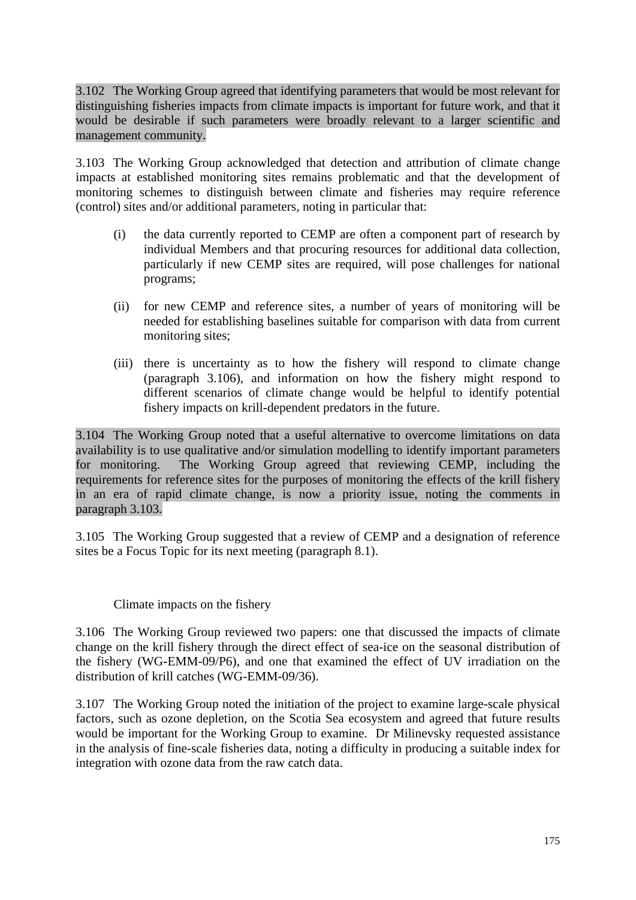3.102 The Working Group agreed that identifying parameters that would be most relevant for distinguishing fisheries impacts from climate impacts is important for future work, and that it would be desirable if such parameters were broadly relevant to a larger scientific and management community.

3.103 The Working Group acknowledged that detection and attribution of climate change impacts at established monitoring sites remains problematic and that the development of monitoring schemes to distinguish between climate and fisheries may require reference (control) sites and/or additional parameters, noting in particular that:

- (i) the data currently reported to CEMP are often a component part of research by individual Members and that procuring resources for additional data collection, particularly if new CEMP sites are required, will pose challenges for national programs;
- (ii) for new CEMP and reference sites, a number of years of monitoring will be needed for establishing baselines suitable for comparison with data from current monitoring sites;
- (iii) there is uncertainty as to how the fishery will respond to climate change (paragraph 3.106), and information on how the fishery might respond to different scenarios of climate change would be helpful to identify potential fishery impacts on krill-dependent predators in the future.

3.104 The Working Group noted that a useful alternative to overcome limitations on data availability is to use qualitative and/or simulation modelling to identify important parameters for monitoring. The Working Group agreed that reviewing CEMP, including the requirements for reference sites for the purposes of monitoring the effects of the krill fishery in an era of rapid climate change, is now a priority issue, noting the comments in paragraph 3.103.

3.105 The Working Group suggested that a review of CEMP and a designation of reference sites be a Focus Topic for its next meeting (paragraph 8.1).

# Climate impacts on the fishery

3.106 The Working Group reviewed two papers: one that discussed the impacts of climate change on the krill fishery through the direct effect of sea-ice on the seasonal distribution of the fishery (WG-EMM-09/P6), and one that examined the effect of UV irradiation on the distribution of krill catches (WG-EMM-09/36).

3.107 The Working Group noted the initiation of the project to examine large-scale physical factors, such as ozone depletion, on the Scotia Sea ecosystem and agreed that future results would be important for the Working Group to examine. Dr Milinevsky requested assistance in the analysis of fine-scale fisheries data, noting a difficulty in producing a suitable index for integration with ozone data from the raw catch data.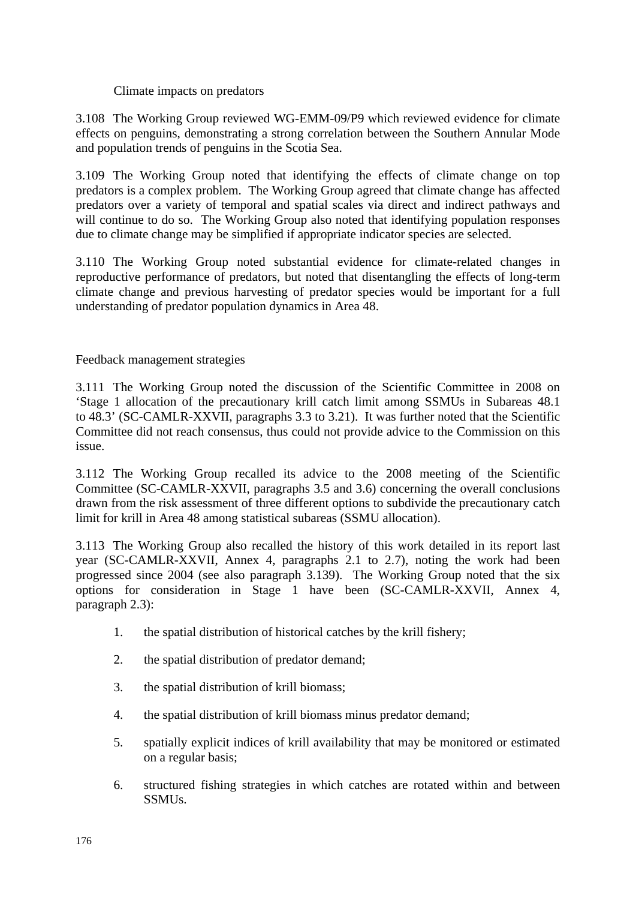Climate impacts on predators

3.108 The Working Group reviewed WG-EMM-09/P9 which reviewed evidence for climate effects on penguins, demonstrating a strong correlation between the Southern Annular Mode and population trends of penguins in the Scotia Sea.

3.109 The Working Group noted that identifying the effects of climate change on top predators is a complex problem. The Working Group agreed that climate change has affected predators over a variety of temporal and spatial scales via direct and indirect pathways and will continue to do so. The Working Group also noted that identifying population responses due to climate change may be simplified if appropriate indicator species are selected.

3.110 The Working Group noted substantial evidence for climate-related changes in reproductive performance of predators, but noted that disentangling the effects of long-term climate change and previous harvesting of predator species would be important for a full understanding of predator population dynamics in Area 48.

Feedback management strategies

3.111 The Working Group noted the discussion of the Scientific Committee in 2008 on 'Stage 1 allocation of the precautionary krill catch limit among SSMUs in Subareas 48.1 to 48.3' (SC-CAMLR-XXVII, paragraphs 3.3 to 3.21). It was further noted that the Scientific Committee did not reach consensus, thus could not provide advice to the Commission on this issue.

3.112 The Working Group recalled its advice to the 2008 meeting of the Scientific Committee (SC-CAMLR-XXVII, paragraphs 3.5 and 3.6) concerning the overall conclusions drawn from the risk assessment of three different options to subdivide the precautionary catch limit for krill in Area 48 among statistical subareas (SSMU allocation).

3.113 The Working Group also recalled the history of this work detailed in its report last year (SC-CAMLR-XXVII, Annex 4, paragraphs 2.1 to 2.7), noting the work had been progressed since 2004 (see also paragraph 3.139). The Working Group noted that the six options for consideration in Stage 1 have been (SC-CAMLR-XXVII, Annex 4, paragraph 2.3):

- 1. the spatial distribution of historical catches by the krill fishery;
- 2. the spatial distribution of predator demand;
- 3. the spatial distribution of krill biomass;
- 4. the spatial distribution of krill biomass minus predator demand;
- 5. spatially explicit indices of krill availability that may be monitored or estimated on a regular basis;
- 6. structured fishing strategies in which catches are rotated within and between SSMUs.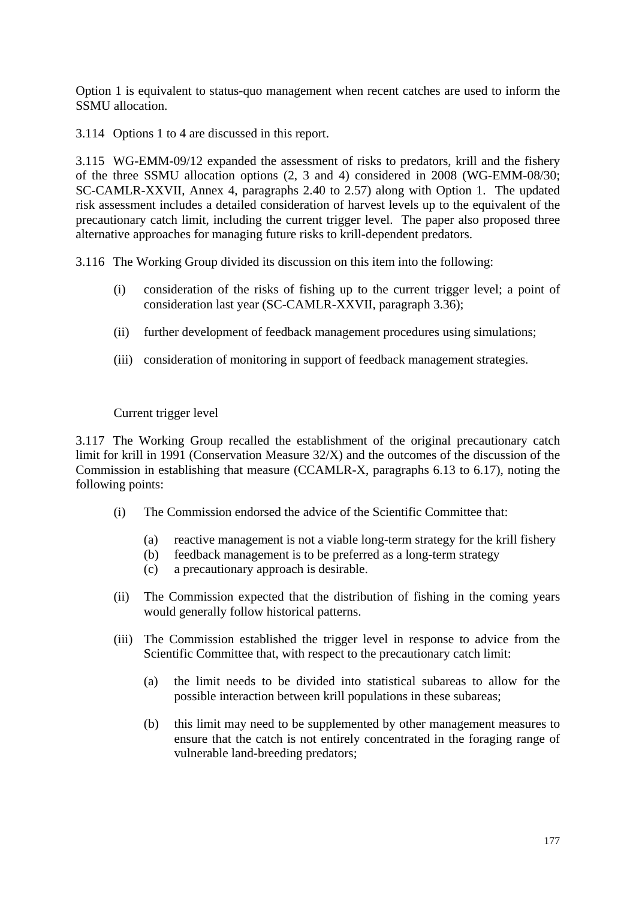Option 1 is equivalent to status-quo management when recent catches are used to inform the SSMU allocation.

3.114 Options 1 to 4 are discussed in this report.

3.115 WG-EMM-09/12 expanded the assessment of risks to predators, krill and the fishery of the three SSMU allocation options (2, 3 and 4) considered in 2008 (WG-EMM-08/30; SC-CAMLR-XXVII, Annex 4, paragraphs 2.40 to 2.57) along with Option 1. The updated risk assessment includes a detailed consideration of harvest levels up to the equivalent of the precautionary catch limit, including the current trigger level. The paper also proposed three alternative approaches for managing future risks to krill-dependent predators.

3.116 The Working Group divided its discussion on this item into the following:

- (i) consideration of the risks of fishing up to the current trigger level; a point of consideration last year (SC-CAMLR-XXVII, paragraph 3.36);
- (ii) further development of feedback management procedures using simulations;
- (iii) consideration of monitoring in support of feedback management strategies.

Current trigger level

3.117 The Working Group recalled the establishment of the original precautionary catch limit for krill in 1991 (Conservation Measure 32/X) and the outcomes of the discussion of the Commission in establishing that measure (CCAMLR-X, paragraphs 6.13 to 6.17), noting the following points:

- (i) The Commission endorsed the advice of the Scientific Committee that:
	- (a) reactive management is not a viable long-term strategy for the krill fishery
	- (b) feedback management is to be preferred as a long-term strategy
	- (c) a precautionary approach is desirable.
- (ii) The Commission expected that the distribution of fishing in the coming years would generally follow historical patterns.
- (iii) The Commission established the trigger level in response to advice from the Scientific Committee that, with respect to the precautionary catch limit:
	- (a) the limit needs to be divided into statistical subareas to allow for the possible interaction between krill populations in these subareas;
	- (b) this limit may need to be supplemented by other management measures to ensure that the catch is not entirely concentrated in the foraging range of vulnerable land-breeding predators;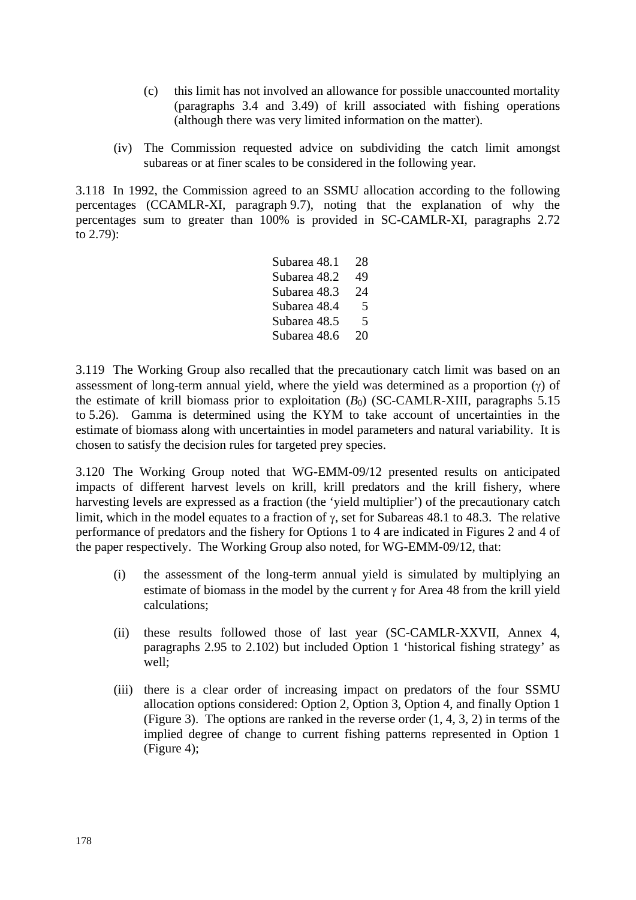- (c) this limit has not involved an allowance for possible unaccounted mortality (paragraphs 3.4 and 3.49) of krill associated with fishing operations (although there was very limited information on the matter).
- (iv) The Commission requested advice on subdividing the catch limit amongst subareas or at finer scales to be considered in the following year.

3.118 In 1992, the Commission agreed to an SSMU allocation according to the following percentages (CCAMLR-XI, paragraph 9.7), noting that the explanation of why the percentages sum to greater than 100% is provided in SC-CAMLR-XI, paragraphs 2.72 to 2.79):

> Subarea 48.1 28 Subarea 48.2 49 Subarea 48.3 24 Subarea 48.4 5 Subarea 48.5 5 Subarea 48.6 20

3.119 The Working Group also recalled that the precautionary catch limit was based on an assessment of long-term annual yield, where the yield was determined as a proportion  $(y)$  of the estimate of krill biomass prior to exploitation  $(B_0)$  (SC-CAMLR-XIII, paragraphs 5.15) to 5.26). Gamma is determined using the KYM to take account of uncertainties in the estimate of biomass along with uncertainties in model parameters and natural variability. It is chosen to satisfy the decision rules for targeted prey species.

3.120 The Working Group noted that WG-EMM-09/12 presented results on anticipated impacts of different harvest levels on krill, krill predators and the krill fishery, where harvesting levels are expressed as a fraction (the 'yield multiplier') of the precautionary catch limit, which in the model equates to a fraction of  $\gamma$ , set for Subareas 48.1 to 48.3. The relative performance of predators and the fishery for Options 1 to 4 are indicated in Figures 2 and 4 of the paper respectively. The Working Group also noted, for WG-EMM-09/12, that:

- (i) the assessment of the long-term annual yield is simulated by multiplying an estimate of biomass in the model by the current  $\gamma$  for Area 48 from the krill yield calculations;
- (ii) these results followed those of last year (SC-CAMLR-XXVII, Annex 4, paragraphs 2.95 to 2.102) but included Option 1 'historical fishing strategy' as well;
- (iii) there is a clear order of increasing impact on predators of the four SSMU allocation options considered: Option 2, Option 3, Option 4, and finally Option 1 (Figure 3). The options are ranked in the reverse order (1, 4, 3, 2) in terms of the implied degree of change to current fishing patterns represented in Option 1 (Figure 4);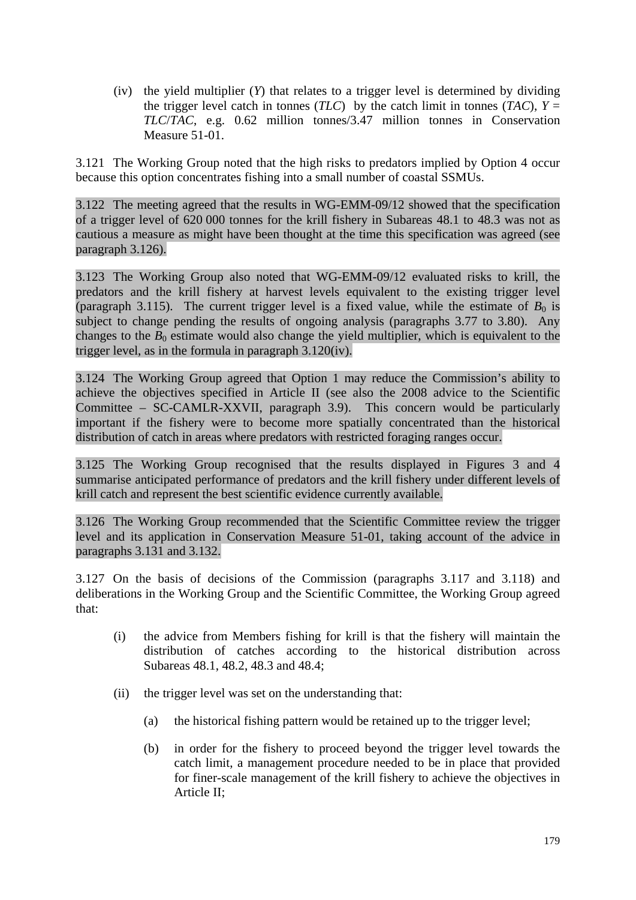(iv) the yield multiplier (*Y*) that relates to a trigger level is determined by dividing the trigger level catch in tonnes (*TLC*) by the catch limit in tonnes (*TAC*),  $Y =$ *TLC*/*TAC*, e.g. 0.62 million tonnes/3.47 million tonnes in Conservation Measure 51-01.

3.121 The Working Group noted that the high risks to predators implied by Option 4 occur because this option concentrates fishing into a small number of coastal SSMUs.

3.122 The meeting agreed that the results in WG-EMM-09/12 showed that the specification of a trigger level of 620 000 tonnes for the krill fishery in Subareas 48.1 to 48.3 was not as cautious a measure as might have been thought at the time this specification was agreed (see paragraph 3.126).

3.123 The Working Group also noted that WG-EMM-09/12 evaluated risks to krill, the predators and the krill fishery at harvest levels equivalent to the existing trigger level (paragraph 3.115). The current trigger level is a fixed value, while the estimate of  $B_0$  is subject to change pending the results of ongoing analysis (paragraphs 3.77 to 3.80). Any changes to the  $B_0$  estimate would also change the yield multiplier, which is equivalent to the trigger level, as in the formula in paragraph 3.120(iv).

3.124 The Working Group agreed that Option 1 may reduce the Commission's ability to achieve the objectives specified in Article II (see also the 2008 advice to the Scientific Committee – SC-CAMLR-XXVII, paragraph 3.9). This concern would be particularly important if the fishery were to become more spatially concentrated than the historical distribution of catch in areas where predators with restricted foraging ranges occur.

3.125 The Working Group recognised that the results displayed in Figures 3 and 4 summarise anticipated performance of predators and the krill fishery under different levels of krill catch and represent the best scientific evidence currently available.

3.126 The Working Group recommended that the Scientific Committee review the trigger level and its application in Conservation Measure 51-01, taking account of the advice in paragraphs 3.131 and 3.132.

3.127 On the basis of decisions of the Commission (paragraphs 3.117 and 3.118) and deliberations in the Working Group and the Scientific Committee, the Working Group agreed that:

- (i) the advice from Members fishing for krill is that the fishery will maintain the distribution of catches according to the historical distribution across Subareas 48.1, 48.2, 48.3 and 48.4;
- (ii) the trigger level was set on the understanding that:
	- (a) the historical fishing pattern would be retained up to the trigger level;
	- (b) in order for the fishery to proceed beyond the trigger level towards the catch limit, a management procedure needed to be in place that provided for finer-scale management of the krill fishery to achieve the objectives in Article II;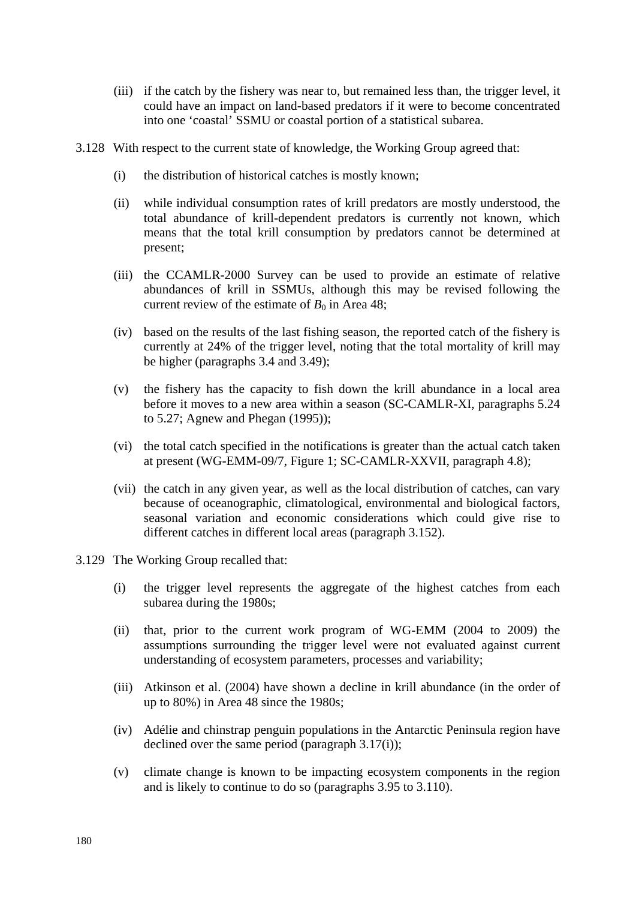- (iii) if the catch by the fishery was near to, but remained less than, the trigger level, it could have an impact on land-based predators if it were to become concentrated into one 'coastal' SSMU or coastal portion of a statistical subarea.
- 3.128 With respect to the current state of knowledge, the Working Group agreed that:
	- (i) the distribution of historical catches is mostly known;
	- (ii) while individual consumption rates of krill predators are mostly understood, the total abundance of krill-dependent predators is currently not known, which means that the total krill consumption by predators cannot be determined at present;
	- (iii) the CCAMLR-2000 Survey can be used to provide an estimate of relative abundances of krill in SSMUs, although this may be revised following the current review of the estimate of  $B_0$  in Area 48;
	- (iv) based on the results of the last fishing season, the reported catch of the fishery is currently at 24% of the trigger level, noting that the total mortality of krill may be higher (paragraphs 3.4 and 3.49);
	- (v) the fishery has the capacity to fish down the krill abundance in a local area before it moves to a new area within a season (SC-CAMLR-XI, paragraphs 5.24 to 5.27; Agnew and Phegan (1995));
	- (vi) the total catch specified in the notifications is greater than the actual catch taken at present (WG-EMM-09/7, Figure 1; SC-CAMLR-XXVII, paragraph 4.8);
	- (vii) the catch in any given year, as well as the local distribution of catches, can vary because of oceanographic, climatological, environmental and biological factors, seasonal variation and economic considerations which could give rise to different catches in different local areas (paragraph 3.152).
- 3.129 The Working Group recalled that:
	- (i) the trigger level represents the aggregate of the highest catches from each subarea during the 1980s;
	- (ii) that, prior to the current work program of WG-EMM (2004 to 2009) the assumptions surrounding the trigger level were not evaluated against current understanding of ecosystem parameters, processes and variability;
	- (iii) Atkinson et al. (2004) have shown a decline in krill abundance (in the order of up to 80%) in Area 48 since the 1980s;
	- (iv) Adélie and chinstrap penguin populations in the Antarctic Peninsula region have declined over the same period (paragraph 3.17(i));
	- (v) climate change is known to be impacting ecosystem components in the region and is likely to continue to do so (paragraphs 3.95 to 3.110).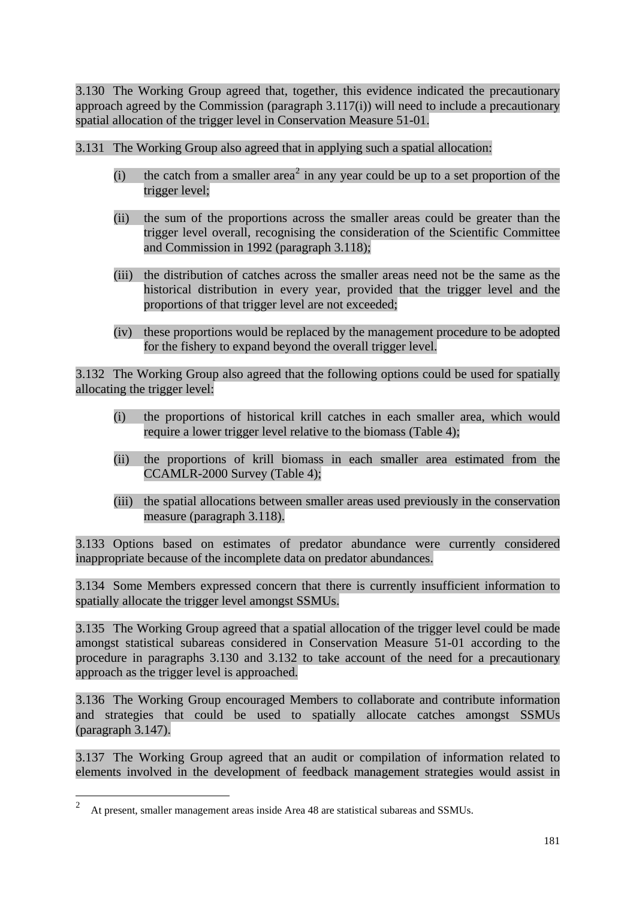3.130 The Working Group agreed that, together, this evidence indicated the precautionary approach agreed by the Commission (paragraph 3.117(i)) will need to include a precautionary spatial allocation of the trigger level in Conservation Measure 51-01.

3.131 The Working Group also agreed that in applying such a spatial allocation:

- (i) the catch from a smaller area<sup>2</sup> in any year could be up to a set proportion of the trigger level;
- (ii) the sum of the proportions across the smaller areas could be greater than the trigger level overall, recognising the consideration of the Scientific Committee and Commission in 1992 (paragraph 3.118);
- (iii) the distribution of catches across the smaller areas need not be the same as the historical distribution in every year, provided that the trigger level and the proportions of that trigger level are not exceeded;
- (iv) these proportions would be replaced by the management procedure to be adopted for the fishery to expand beyond the overall trigger level.

3.132 The Working Group also agreed that the following options could be used for spatially allocating the trigger level:

- (i) the proportions of historical krill catches in each smaller area, which would require a lower trigger level relative to the biomass (Table 4);
- (ii) the proportions of krill biomass in each smaller area estimated from the CCAMLR-2000 Survey (Table 4);
- (iii) the spatial allocations between smaller areas used previously in the conservation measure (paragraph 3.118).

3.133 Options based on estimates of predator abundance were currently considered inappropriate because of the incomplete data on predator abundances.

3.134 Some Members expressed concern that there is currently insufficient information to spatially allocate the trigger level amongst SSMUs.

3.135 The Working Group agreed that a spatial allocation of the trigger level could be made amongst statistical subareas considered in Conservation Measure 51-01 according to the procedure in paragraphs 3.130 and 3.132 to take account of the need for a precautionary approach as the trigger level is approached.

3.136 The Working Group encouraged Members to collaborate and contribute information and strategies that could be used to spatially allocate catches amongst SSMUs (paragraph 3.147).

3.137 The Working Group agreed that an audit or compilation of information related to elements involved in the development of feedback management strategies would assist in

 $\frac{1}{2}$ At present, smaller management areas inside Area 48 are statistical subareas and SSMUs.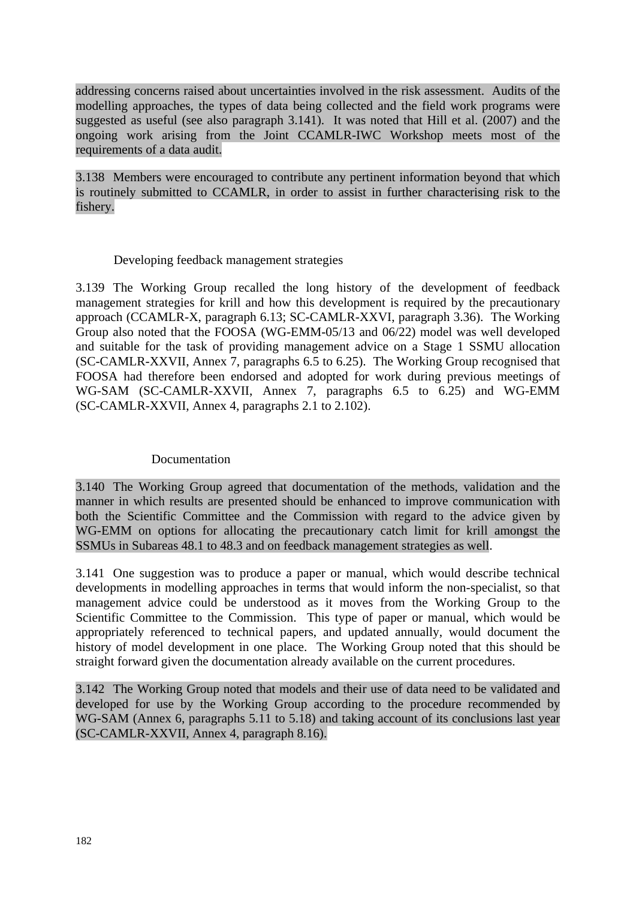addressing concerns raised about uncertainties involved in the risk assessment. Audits of the modelling approaches, the types of data being collected and the field work programs were suggested as useful (see also paragraph 3.141). It was noted that Hill et al. (2007) and the ongoing work arising from the Joint CCAMLR-IWC Workshop meets most of the requirements of a data audit.

3.138 Members were encouraged to contribute any pertinent information beyond that which is routinely submitted to CCAMLR, in order to assist in further characterising risk to the fishery.

### Developing feedback management strategies

3.139 The Working Group recalled the long history of the development of feedback management strategies for krill and how this development is required by the precautionary approach (CCAMLR-X, paragraph 6.13; SC-CAMLR-XXVI, paragraph 3.36). The Working Group also noted that the FOOSA (WG-EMM-05/13 and 06/22) model was well developed and suitable for the task of providing management advice on a Stage 1 SSMU allocation (SC-CAMLR-XXVII, Annex 7, paragraphs 6.5 to 6.25). The Working Group recognised that FOOSA had therefore been endorsed and adopted for work during previous meetings of WG-SAM (SC-CAMLR-XXVII, Annex 7, paragraphs 6.5 to 6.25) and WG-EMM (SC-CAMLR-XXVII, Annex 4, paragraphs 2.1 to 2.102).

#### Documentation

3.140 The Working Group agreed that documentation of the methods, validation and the manner in which results are presented should be enhanced to improve communication with both the Scientific Committee and the Commission with regard to the advice given by WG-EMM on options for allocating the precautionary catch limit for krill amongst the SSMUs in Subareas 48.1 to 48.3 and on feedback management strategies as well.

3.141 One suggestion was to produce a paper or manual, which would describe technical developments in modelling approaches in terms that would inform the non-specialist, so that management advice could be understood as it moves from the Working Group to the Scientific Committee to the Commission. This type of paper or manual, which would be appropriately referenced to technical papers, and updated annually, would document the history of model development in one place. The Working Group noted that this should be straight forward given the documentation already available on the current procedures.

3.142 The Working Group noted that models and their use of data need to be validated and developed for use by the Working Group according to the procedure recommended by WG-SAM (Annex 6, paragraphs 5.11 to 5.18) and taking account of its conclusions last year (SC-CAMLR-XXVII, Annex 4, paragraph 8.16).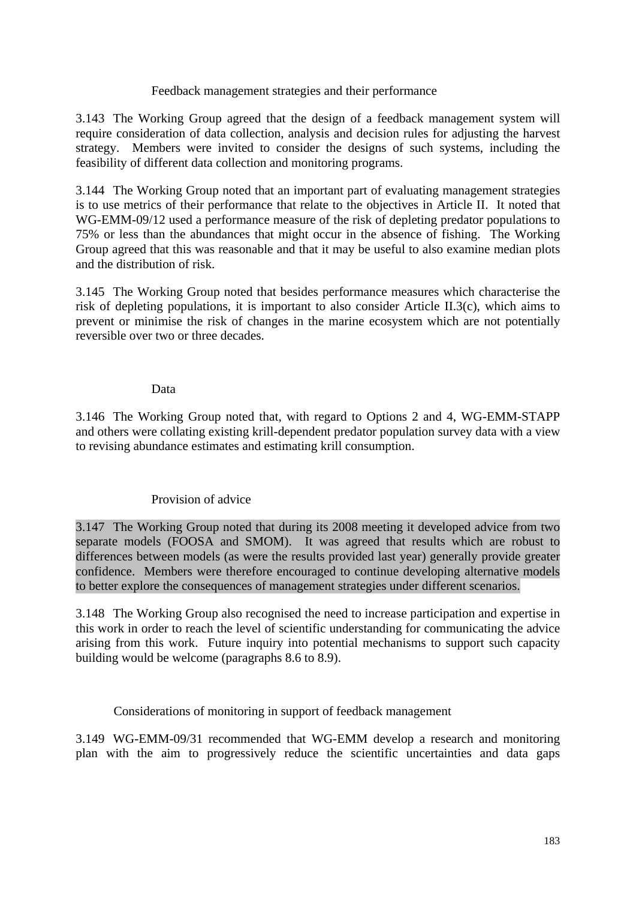### Feedback management strategies and their performance

3.143 The Working Group agreed that the design of a feedback management system will require consideration of data collection, analysis and decision rules for adjusting the harvest strategy. Members were invited to consider the designs of such systems, including the feasibility of different data collection and monitoring programs.

3.144 The Working Group noted that an important part of evaluating management strategies is to use metrics of their performance that relate to the objectives in Article II. It noted that WG-EMM-09/12 used a performance measure of the risk of depleting predator populations to 75% or less than the abundances that might occur in the absence of fishing. The Working Group agreed that this was reasonable and that it may be useful to also examine median plots and the distribution of risk.

3.145 The Working Group noted that besides performance measures which characterise the risk of depleting populations, it is important to also consider Article II.3(c), which aims to prevent or minimise the risk of changes in the marine ecosystem which are not potentially reversible over two or three decades.

### Data

3.146 The Working Group noted that, with regard to Options 2 and 4, WG-EMM-STAPP and others were collating existing krill-dependent predator population survey data with a view to revising abundance estimates and estimating krill consumption.

## Provision of advice

3.147 The Working Group noted that during its 2008 meeting it developed advice from two separate models (FOOSA and SMOM). It was agreed that results which are robust to differences between models (as were the results provided last year) generally provide greater confidence. Members were therefore encouraged to continue developing alternative models to better explore the consequences of management strategies under different scenarios.

3.148 The Working Group also recognised the need to increase participation and expertise in this work in order to reach the level of scientific understanding for communicating the advice arising from this work. Future inquiry into potential mechanisms to support such capacity building would be welcome (paragraphs 8.6 to 8.9).

Considerations of monitoring in support of feedback management

3.149 WG-EMM-09/31 recommended that WG-EMM develop a research and monitoring plan with the aim to progressively reduce the scientific uncertainties and data gaps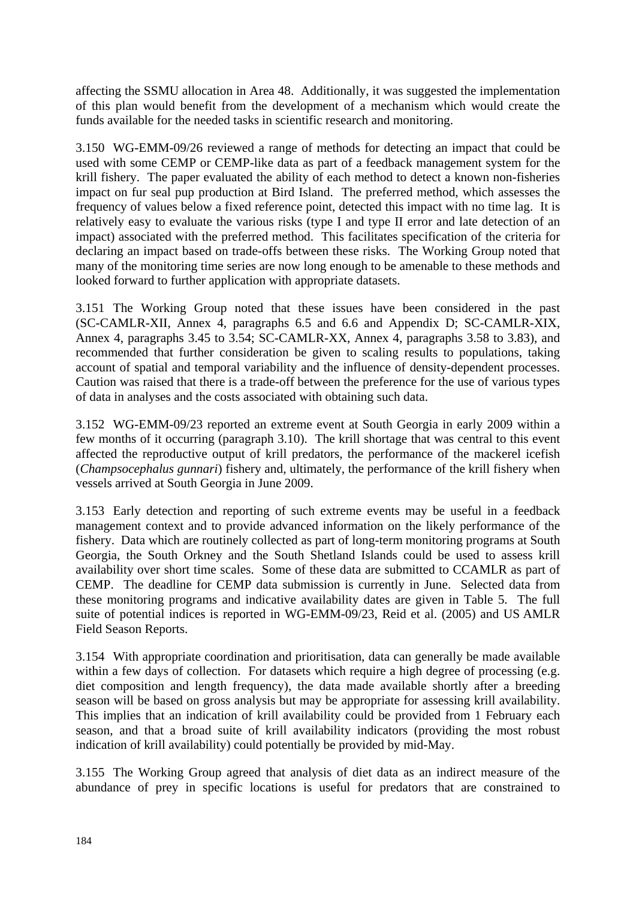affecting the SSMU allocation in Area 48. Additionally, it was suggested the implementation of this plan would benefit from the development of a mechanism which would create the funds available for the needed tasks in scientific research and monitoring.

3.150 WG-EMM-09/26 reviewed a range of methods for detecting an impact that could be used with some CEMP or CEMP-like data as part of a feedback management system for the krill fishery. The paper evaluated the ability of each method to detect a known non-fisheries impact on fur seal pup production at Bird Island. The preferred method, which assesses the frequency of values below a fixed reference point, detected this impact with no time lag. It is relatively easy to evaluate the various risks (type I and type II error and late detection of an impact) associated with the preferred method. This facilitates specification of the criteria for declaring an impact based on trade-offs between these risks. The Working Group noted that many of the monitoring time series are now long enough to be amenable to these methods and looked forward to further application with appropriate datasets.

3.151 The Working Group noted that these issues have been considered in the past (SC-CAMLR-XII, Annex 4, paragraphs 6.5 and 6.6 and Appendix D; SC-CAMLR-XIX, Annex 4, paragraphs 3.45 to 3.54; SC-CAMLR-XX, Annex 4, paragraphs 3.58 to 3.83), and recommended that further consideration be given to scaling results to populations, taking account of spatial and temporal variability and the influence of density-dependent processes. Caution was raised that there is a trade-off between the preference for the use of various types of data in analyses and the costs associated with obtaining such data.

3.152 WG-EMM-09/23 reported an extreme event at South Georgia in early 2009 within a few months of it occurring (paragraph 3.10). The krill shortage that was central to this event affected the reproductive output of krill predators, the performance of the mackerel icefish (*Champsocephalus gunnari*) fishery and, ultimately, the performance of the krill fishery when vessels arrived at South Georgia in June 2009.

3.153 Early detection and reporting of such extreme events may be useful in a feedback management context and to provide advanced information on the likely performance of the fishery. Data which are routinely collected as part of long-term monitoring programs at South Georgia, the South Orkney and the South Shetland Islands could be used to assess krill availability over short time scales. Some of these data are submitted to CCAMLR as part of CEMP. The deadline for CEMP data submission is currently in June. Selected data from these monitoring programs and indicative availability dates are given in Table 5. The full suite of potential indices is reported in WG-EMM-09/23, Reid et al. (2005) and US AMLR Field Season Reports.

3.154 With appropriate coordination and prioritisation, data can generally be made available within a few days of collection. For datasets which require a high degree of processing (e.g. diet composition and length frequency), the data made available shortly after a breeding season will be based on gross analysis but may be appropriate for assessing krill availability. This implies that an indication of krill availability could be provided from 1 February each season, and that a broad suite of krill availability indicators (providing the most robust indication of krill availability) could potentially be provided by mid-May.

3.155 The Working Group agreed that analysis of diet data as an indirect measure of the abundance of prey in specific locations is useful for predators that are constrained to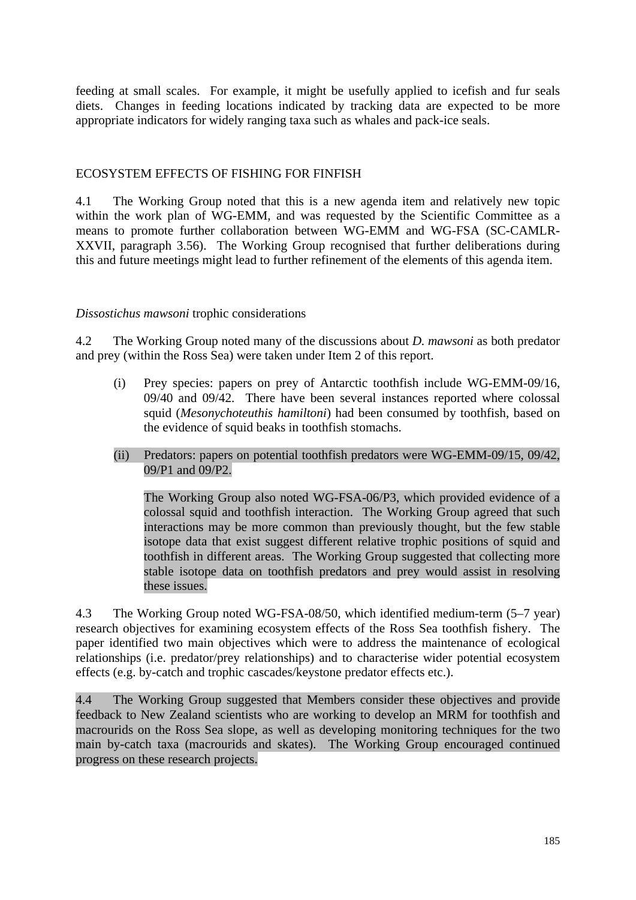feeding at small scales. For example, it might be usefully applied to icefish and fur seals diets. Changes in feeding locations indicated by tracking data are expected to be more appropriate indicators for widely ranging taxa such as whales and pack-ice seals.

### ECOSYSTEM EFFECTS OF FISHING FOR FINFISH

4.1 The Working Group noted that this is a new agenda item and relatively new topic within the work plan of WG-EMM, and was requested by the Scientific Committee as a means to promote further collaboration between WG-EMM and WG-FSA (SC-CAMLR-XXVII, paragraph 3.56). The Working Group recognised that further deliberations during this and future meetings might lead to further refinement of the elements of this agenda item.

#### *Dissostichus mawsoni* trophic considerations

4.2 The Working Group noted many of the discussions about *D. mawsoni* as both predator and prey (within the Ross Sea) were taken under Item 2 of this report.

- (i) Prey species: papers on prey of Antarctic toothfish include WG-EMM-09/16, 09/40 and 09/42. There have been several instances reported where colossal squid (*Mesonychoteuthis hamiltoni*) had been consumed by toothfish, based on the evidence of squid beaks in toothfish stomachs.
- (ii) Predators: papers on potential toothfish predators were WG-EMM-09/15, 09/42, 09/P1 and 09/P2.

 The Working Group also noted WG-FSA-06/P3, which provided evidence of a colossal squid and toothfish interaction. The Working Group agreed that such interactions may be more common than previously thought, but the few stable isotope data that exist suggest different relative trophic positions of squid and toothfish in different areas. The Working Group suggested that collecting more stable isotope data on toothfish predators and prey would assist in resolving these issues.

4.3 The Working Group noted WG-FSA-08/50, which identified medium-term (5–7 year) research objectives for examining ecosystem effects of the Ross Sea toothfish fishery. The paper identified two main objectives which were to address the maintenance of ecological relationships (i.e. predator/prey relationships) and to characterise wider potential ecosystem effects (e.g. by-catch and trophic cascades/keystone predator effects etc.).

4.4 The Working Group suggested that Members consider these objectives and provide feedback to New Zealand scientists who are working to develop an MRM for toothfish and macrourids on the Ross Sea slope, as well as developing monitoring techniques for the two main by-catch taxa (macrourids and skates). The Working Group encouraged continued progress on these research projects.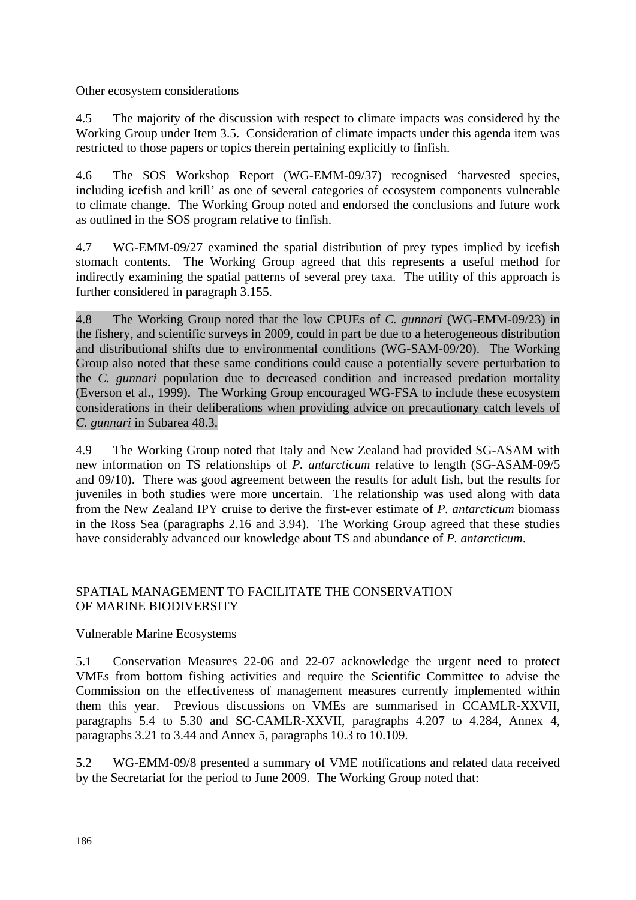Other ecosystem considerations

4.5 The majority of the discussion with respect to climate impacts was considered by the Working Group under Item 3.5. Consideration of climate impacts under this agenda item was restricted to those papers or topics therein pertaining explicitly to finfish.

4.6 The SOS Workshop Report (WG-EMM-09/37) recognised 'harvested species, including icefish and krill' as one of several categories of ecosystem components vulnerable to climate change. The Working Group noted and endorsed the conclusions and future work as outlined in the SOS program relative to finfish.

4.7 WG-EMM-09/27 examined the spatial distribution of prey types implied by icefish stomach contents. The Working Group agreed that this represents a useful method for indirectly examining the spatial patterns of several prey taxa. The utility of this approach is further considered in paragraph 3.155.

4.8 The Working Group noted that the low CPUEs of *C. gunnari* (WG-EMM-09/23) in the fishery, and scientific surveys in 2009, could in part be due to a heterogeneous distribution and distributional shifts due to environmental conditions (WG-SAM-09/20). The Working Group also noted that these same conditions could cause a potentially severe perturbation to the *C. gunnari* population due to decreased condition and increased predation mortality (Everson et al., 1999). The Working Group encouraged WG-FSA to include these ecosystem considerations in their deliberations when providing advice on precautionary catch levels of *C. gunnari* in Subarea 48.3.

4.9 The Working Group noted that Italy and New Zealand had provided SG-ASAM with new information on TS relationships of *P. antarcticum* relative to length (SG-ASAM-09/5 and 09/10). There was good agreement between the results for adult fish, but the results for juveniles in both studies were more uncertain. The relationship was used along with data from the New Zealand IPY cruise to derive the first-ever estimate of *P. antarcticum* biomass in the Ross Sea (paragraphs 2.16 and 3.94). The Working Group agreed that these studies have considerably advanced our knowledge about TS and abundance of *P. antarcticum*.

## SPATIAL MANAGEMENT TO FACILITATE THE CONSERVATION OF MARINE BIODIVERSITY

## Vulnerable Marine Ecosystems

5.1 Conservation Measures 22-06 and 22-07 acknowledge the urgent need to protect VMEs from bottom fishing activities and require the Scientific Committee to advise the Commission on the effectiveness of management measures currently implemented within them this year. Previous discussions on VMEs are summarised in CCAMLR-XXVII, paragraphs 5.4 to 5.30 and SC-CAMLR-XXVII, paragraphs 4.207 to 4.284, Annex 4, paragraphs 3.21 to 3.44 and Annex 5, paragraphs 10.3 to 10.109.

5.2 WG-EMM-09/8 presented a summary of VME notifications and related data received by the Secretariat for the period to June 2009. The Working Group noted that: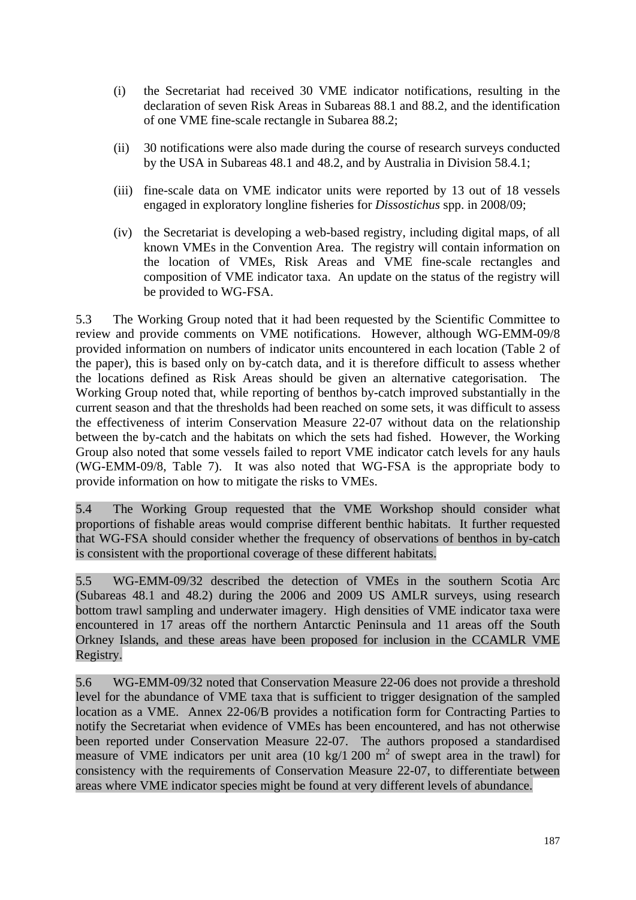- (i) the Secretariat had received 30 VME indicator notifications, resulting in the declaration of seven Risk Areas in Subareas 88.1 and 88.2, and the identification of one VME fine-scale rectangle in Subarea 88.2;
- (ii) 30 notifications were also made during the course of research surveys conducted by the USA in Subareas 48.1 and 48.2, and by Australia in Division 58.4.1;
- (iii) fine-scale data on VME indicator units were reported by 13 out of 18 vessels engaged in exploratory longline fisheries for *Dissostichus* spp. in 2008/09;
- (iv) the Secretariat is developing a web-based registry, including digital maps, of all known VMEs in the Convention Area. The registry will contain information on the location of VMEs, Risk Areas and VME fine-scale rectangles and composition of VME indicator taxa. An update on the status of the registry will be provided to WG-FSA.

5.3 The Working Group noted that it had been requested by the Scientific Committee to review and provide comments on VME notifications. However, although WG-EMM-09/8 provided information on numbers of indicator units encountered in each location (Table 2 of the paper), this is based only on by-catch data, and it is therefore difficult to assess whether the locations defined as Risk Areas should be given an alternative categorisation. The Working Group noted that, while reporting of benthos by-catch improved substantially in the current season and that the thresholds had been reached on some sets, it was difficult to assess the effectiveness of interim Conservation Measure 22-07 without data on the relationship between the by-catch and the habitats on which the sets had fished. However, the Working Group also noted that some vessels failed to report VME indicator catch levels for any hauls (WG-EMM-09/8, Table 7). It was also noted that WG-FSA is the appropriate body to provide information on how to mitigate the risks to VMEs.

5.4 The Working Group requested that the VME Workshop should consider what proportions of fishable areas would comprise different benthic habitats. It further requested that WG-FSA should consider whether the frequency of observations of benthos in by-catch is consistent with the proportional coverage of these different habitats.

5.5 WG-EMM-09/32 described the detection of VMEs in the southern Scotia Arc (Subareas 48.1 and 48.2) during the 2006 and 2009 US AMLR surveys, using research bottom trawl sampling and underwater imagery. High densities of VME indicator taxa were encountered in 17 areas off the northern Antarctic Peninsula and 11 areas off the South Orkney Islands, and these areas have been proposed for inclusion in the CCAMLR VME Registry.

5.6 WG-EMM-09/32 noted that Conservation Measure 22-06 does not provide a threshold level for the abundance of VME taxa that is sufficient to trigger designation of the sampled location as a VME. Annex 22-06/B provides a notification form for Contracting Parties to notify the Secretariat when evidence of VMEs has been encountered, and has not otherwise been reported under Conservation Measure 22-07. The authors proposed a standardised measure of VME indicators per unit area  $(10 \text{ kg}/1200 \text{ m}^2)$  of swept area in the trawl) for consistency with the requirements of Conservation Measure 22-07, to differentiate between areas where VME indicator species might be found at very different levels of abundance.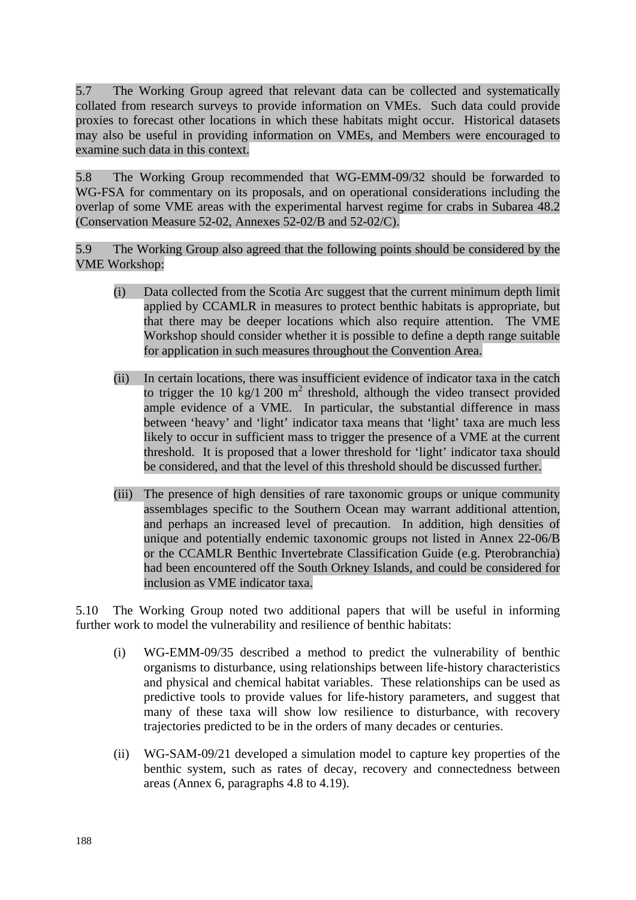5.7 The Working Group agreed that relevant data can be collected and systematically collated from research surveys to provide information on VMEs. Such data could provide proxies to forecast other locations in which these habitats might occur. Historical datasets may also be useful in providing information on VMEs, and Members were encouraged to examine such data in this context.

5.8 The Working Group recommended that WG-EMM-09/32 should be forwarded to WG-FSA for commentary on its proposals, and on operational considerations including the overlap of some VME areas with the experimental harvest regime for crabs in Subarea 48.2 (Conservation Measure 52-02, Annexes 52-02/B and 52-02/C).

5.9 The Working Group also agreed that the following points should be considered by the VME Workshop:

- (i) Data collected from the Scotia Arc suggest that the current minimum depth limit applied by CCAMLR in measures to protect benthic habitats is appropriate, but that there may be deeper locations which also require attention. The VME Workshop should consider whether it is possible to define a depth range suitable for application in such measures throughout the Convention Area.
- (ii) In certain locations, there was insufficient evidence of indicator taxa in the catch to trigger the 10 kg/1 200  $m^2$  threshold, although the video transect provided ample evidence of a VME. In particular, the substantial difference in mass between 'heavy' and 'light' indicator taxa means that 'light' taxa are much less likely to occur in sufficient mass to trigger the presence of a VME at the current threshold. It is proposed that a lower threshold for 'light' indicator taxa should be considered, and that the level of this threshold should be discussed further.
- (iii) The presence of high densities of rare taxonomic groups or unique community assemblages specific to the Southern Ocean may warrant additional attention, and perhaps an increased level of precaution. In addition, high densities of unique and potentially endemic taxonomic groups not listed in Annex 22-06/B or the CCAMLR Benthic Invertebrate Classification Guide (e.g. Pterobranchia) had been encountered off the South Orkney Islands, and could be considered for inclusion as VME indicator taxa.

5.10 The Working Group noted two additional papers that will be useful in informing further work to model the vulnerability and resilience of benthic habitats:

- (i) WG-EMM-09/35 described a method to predict the vulnerability of benthic organisms to disturbance, using relationships between life-history characteristics and physical and chemical habitat variables. These relationships can be used as predictive tools to provide values for life-history parameters, and suggest that many of these taxa will show low resilience to disturbance, with recovery trajectories predicted to be in the orders of many decades or centuries.
- (ii) WG-SAM-09/21 developed a simulation model to capture key properties of the benthic system, such as rates of decay, recovery and connectedness between areas (Annex 6, paragraphs 4.8 to 4.19).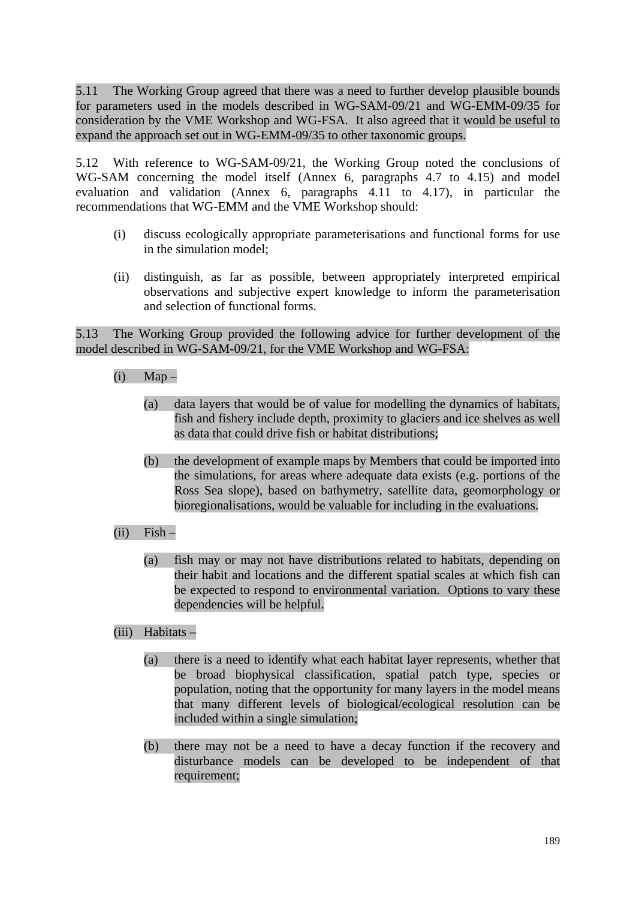5.11 The Working Group agreed that there was a need to further develop plausible bounds for parameters used in the models described in WG-SAM-09/21 and WG-EMM-09/35 for consideration by the VME Workshop and WG-FSA. It also agreed that it would be useful to expand the approach set out in WG-EMM-09/35 to other taxonomic groups.

5.12 With reference to WG-SAM-09/21, the Working Group noted the conclusions of WG-SAM concerning the model itself (Annex 6, paragraphs 4.7 to 4.15) and model evaluation and validation (Annex 6, paragraphs 4.11 to 4.17), in particular the recommendations that WG-EMM and the VME Workshop should:

- (i) discuss ecologically appropriate parameterisations and functional forms for use in the simulation model;
- (ii) distinguish, as far as possible, between appropriately interpreted empirical observations and subjective expert knowledge to inform the parameterisation and selection of functional forms.

5.13 The Working Group provided the following advice for further development of the model described in WG-SAM-09/21, for the VME Workshop and WG-FSA:

- $(i)$  Map
	- (a) data layers that would be of value for modelling the dynamics of habitats, fish and fishery include depth, proximity to glaciers and ice shelves as well as data that could drive fish or habitat distributions;
	- (b) the development of example maps by Members that could be imported into the simulations, for areas where adequate data exists (e.g. portions of the Ross Sea slope), based on bathymetry, satellite data, geomorphology or bioregionalisations, would be valuable for including in the evaluations.
- $(ii)$  Fish
	- (a) fish may or may not have distributions related to habitats, depending on their habit and locations and the different spatial scales at which fish can be expected to respond to environmental variation. Options to vary these dependencies will be helpful.
- (iii) Habitats
	- (a) there is a need to identify what each habitat layer represents, whether that be broad biophysical classification, spatial patch type, species or population, noting that the opportunity for many layers in the model means that many different levels of biological/ecological resolution can be included within a single simulation;
	- (b) there may not be a need to have a decay function if the recovery and disturbance models can be developed to be independent of that requirement;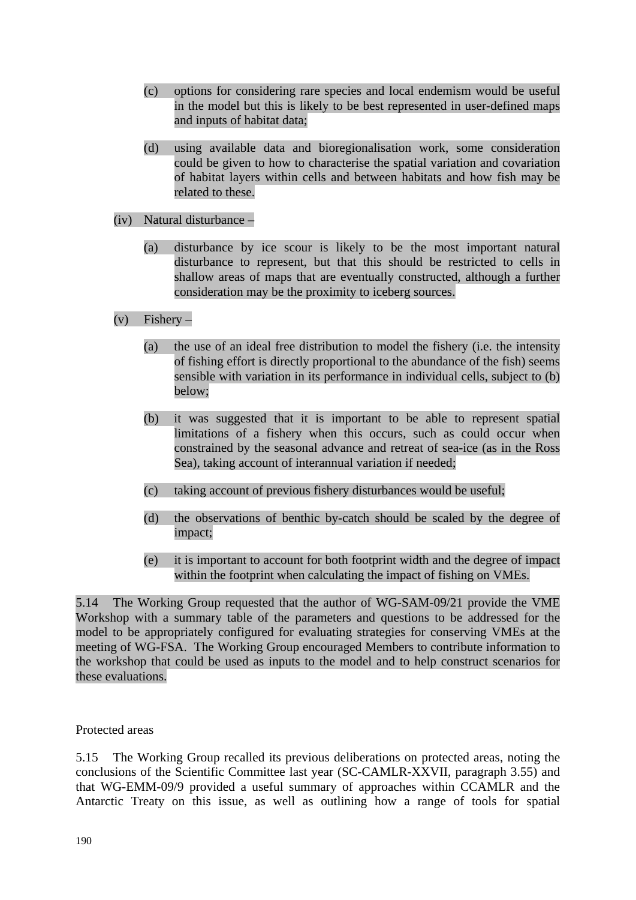- (c) options for considering rare species and local endemism would be useful in the model but this is likely to be best represented in user-defined maps and inputs of habitat data;
- (d) using available data and bioregionalisation work, some consideration could be given to how to characterise the spatial variation and covariation of habitat layers within cells and between habitats and how fish may be related to these.

### (iv) Natural disturbance –

(a) disturbance by ice scour is likely to be the most important natural disturbance to represent, but that this should be restricted to cells in shallow areas of maps that are eventually constructed, although a further consideration may be the proximity to iceberg sources.

## $(v)$  Fishery –

- (a) the use of an ideal free distribution to model the fishery (i.e. the intensity of fishing effort is directly proportional to the abundance of the fish) seems sensible with variation in its performance in individual cells, subject to (b) below;
- (b) it was suggested that it is important to be able to represent spatial limitations of a fishery when this occurs, such as could occur when constrained by the seasonal advance and retreat of sea-ice (as in the Ross Sea), taking account of interannual variation if needed;
- (c) taking account of previous fishery disturbances would be useful;
- (d) the observations of benthic by-catch should be scaled by the degree of impact;
- (e) it is important to account for both footprint width and the degree of impact within the footprint when calculating the impact of fishing on VMEs.

5.14 The Working Group requested that the author of WG-SAM-09/21 provide the VME Workshop with a summary table of the parameters and questions to be addressed for the model to be appropriately configured for evaluating strategies for conserving VMEs at the meeting of WG-FSA. The Working Group encouraged Members to contribute information to the workshop that could be used as inputs to the model and to help construct scenarios for these evaluations.

## Protected areas

5.15 The Working Group recalled its previous deliberations on protected areas, noting the conclusions of the Scientific Committee last year (SC-CAMLR-XXVII, paragraph 3.55) and that WG-EMM-09/9 provided a useful summary of approaches within CCAMLR and the Antarctic Treaty on this issue, as well as outlining how a range of tools for spatial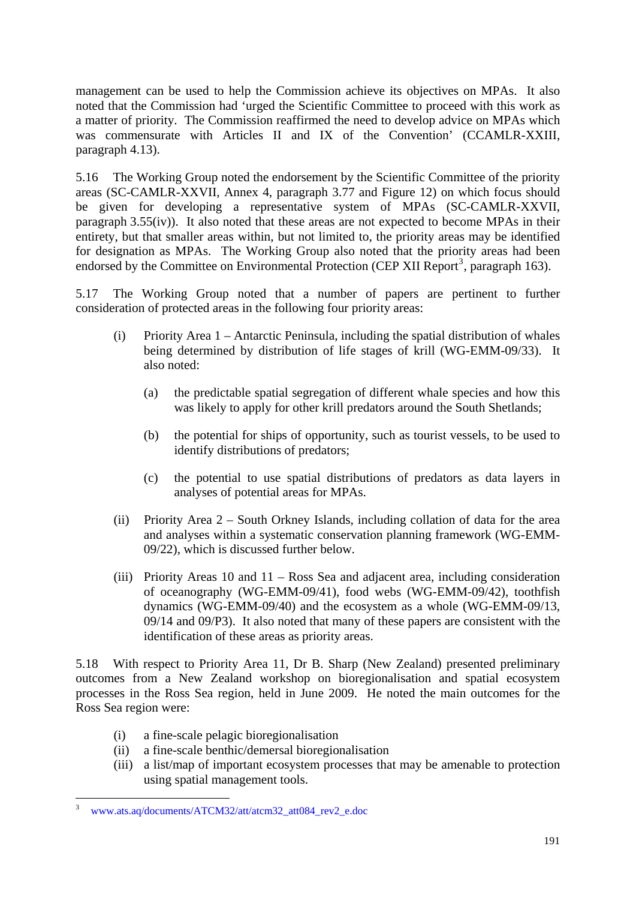management can be used to help the Commission achieve its objectives on MPAs. It also noted that the Commission had 'urged the Scientific Committee to proceed with this work as a matter of priority. The Commission reaffirmed the need to develop advice on MPAs which was commensurate with Articles II and IX of the Convention' (CCAMLR-XXIII, paragraph 4.13).

5.16 The Working Group noted the endorsement by the Scientific Committee of the priority areas (SC-CAMLR-XXVII, Annex 4, paragraph 3.77 and Figure 12) on which focus should be given for developing a representative system of MPAs (SC-CAMLR-XXVII, paragraph 3.55(iv)). It also noted that these areas are not expected to become MPAs in their entirety, but that smaller areas within, but not limited to, the priority areas may be identified for designation as MPAs. The Working Group also noted that the priority areas had been endorsed by the Committee on Environmental Protection (CEP XII Report<sup>3</sup>, paragraph 163).

5.17 The Working Group noted that a number of papers are pertinent to further consideration of protected areas in the following four priority areas:

- (i) Priority Area  $1 -$  Antarctic Peninsula, including the spatial distribution of whales being determined by distribution of life stages of krill (WG-EMM-09/33). It also noted:
	- (a) the predictable spatial segregation of different whale species and how this was likely to apply for other krill predators around the South Shetlands;
	- (b) the potential for ships of opportunity, such as tourist vessels, to be used to identify distributions of predators;
	- (c) the potential to use spatial distributions of predators as data layers in analyses of potential areas for MPAs.
- (ii) Priority Area 2 South Orkney Islands, including collation of data for the area and analyses within a systematic conservation planning framework (WG-EMM-09/22), which is discussed further below.
- (iii) Priority Areas 10 and 11 Ross Sea and adjacent area, including consideration of oceanography (WG-EMM-09/41), food webs (WG-EMM-09/42), toothfish dynamics (WG-EMM-09/40) and the ecosystem as a whole (WG-EMM-09/13, 09/14 and 09/P3). It also noted that many of these papers are consistent with the identification of these areas as priority areas.

5.18 With respect to Priority Area 11, Dr B. Sharp (New Zealand) presented preliminary outcomes from a New Zealand workshop on bioregionalisation and spatial ecosystem processes in the Ross Sea region, held in June 2009. He noted the main outcomes for the Ross Sea region were:

- (i) a fine-scale pelagic bioregionalisation
- (ii) a fine-scale benthic/demersal bioregionalisation
- (iii) a list/map of important ecosystem processes that may be amenable to protection using spatial management tools.

<sup>3</sup> www.ats.aq/documents/ATCM32/att/atcm32\_att084\_rev2\_e.doc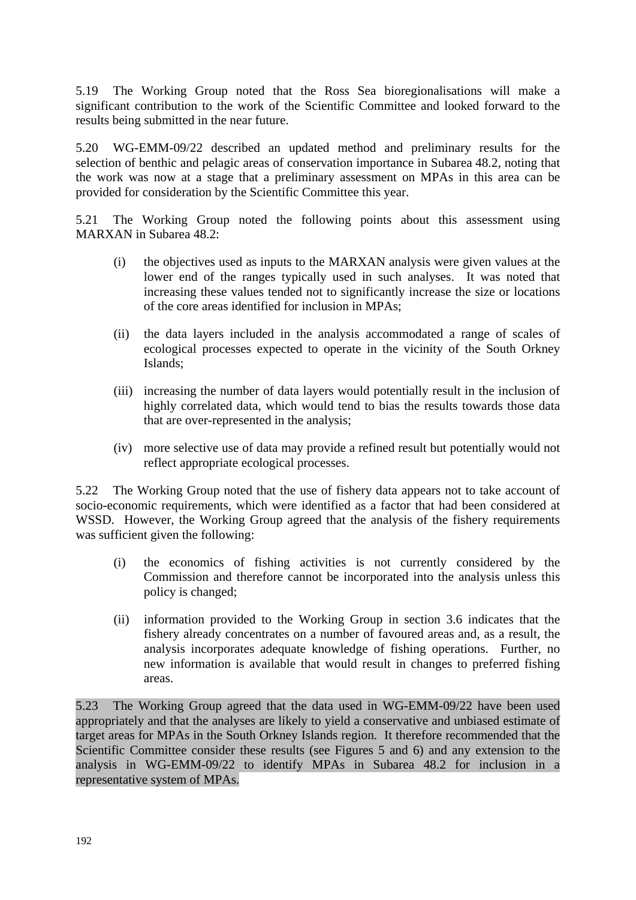5.19 The Working Group noted that the Ross Sea bioregionalisations will make a significant contribution to the work of the Scientific Committee and looked forward to the results being submitted in the near future.

5.20 WG-EMM-09/22 described an updated method and preliminary results for the selection of benthic and pelagic areas of conservation importance in Subarea 48.2, noting that the work was now at a stage that a preliminary assessment on MPAs in this area can be provided for consideration by the Scientific Committee this year.

5.21 The Working Group noted the following points about this assessment using MARXAN in Subarea 48.2:

- (i) the objectives used as inputs to the MARXAN analysis were given values at the lower end of the ranges typically used in such analyses. It was noted that increasing these values tended not to significantly increase the size or locations of the core areas identified for inclusion in MPAs;
- (ii) the data layers included in the analysis accommodated a range of scales of ecological processes expected to operate in the vicinity of the South Orkney Islands;
- (iii) increasing the number of data layers would potentially result in the inclusion of highly correlated data, which would tend to bias the results towards those data that are over-represented in the analysis;
- (iv) more selective use of data may provide a refined result but potentially would not reflect appropriate ecological processes.

5.22 The Working Group noted that the use of fishery data appears not to take account of socio-economic requirements, which were identified as a factor that had been considered at WSSD. However, the Working Group agreed that the analysis of the fishery requirements was sufficient given the following:

- (i) the economics of fishing activities is not currently considered by the Commission and therefore cannot be incorporated into the analysis unless this policy is changed;
- (ii) information provided to the Working Group in section 3.6 indicates that the fishery already concentrates on a number of favoured areas and, as a result, the analysis incorporates adequate knowledge of fishing operations. Further, no new information is available that would result in changes to preferred fishing areas.

5.23 The Working Group agreed that the data used in WG-EMM-09/22 have been used appropriately and that the analyses are likely to yield a conservative and unbiased estimate of target areas for MPAs in the South Orkney Islands region. It therefore recommended that the Scientific Committee consider these results (see Figures 5 and 6) and any extension to the analysis in WG-EMM-09/22 to identify MPAs in Subarea 48.2 for inclusion in a representative system of MPAs.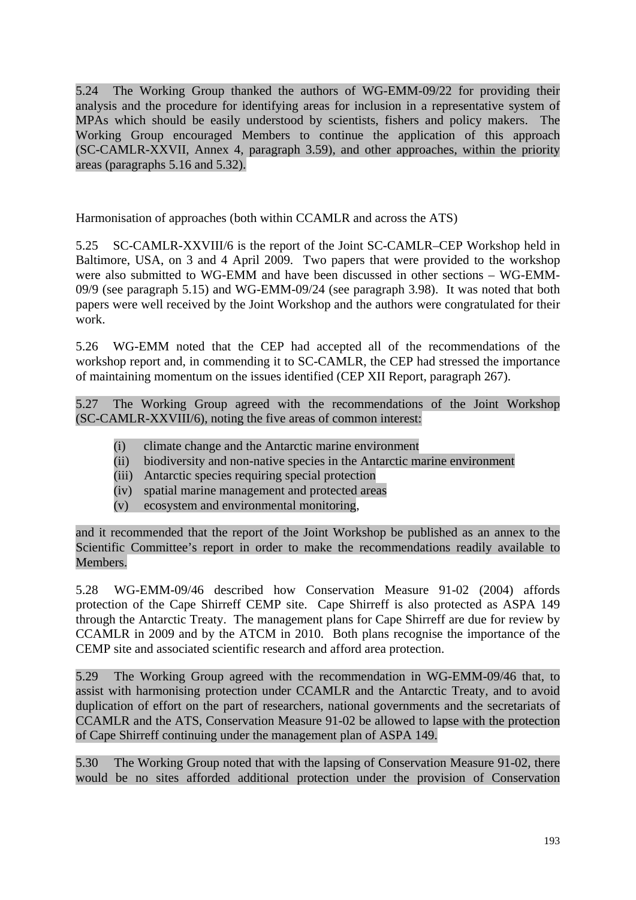5.24 The Working Group thanked the authors of WG-EMM-09/22 for providing their analysis and the procedure for identifying areas for inclusion in a representative system of MPAs which should be easily understood by scientists, fishers and policy makers. The Working Group encouraged Members to continue the application of this approach (SC-CAMLR-XXVII, Annex 4, paragraph 3.59), and other approaches, within the priority areas (paragraphs 5.16 and 5.32).

Harmonisation of approaches (both within CCAMLR and across the ATS)

5.25 SC-CAMLR-XXVIII/6 is the report of the Joint SC-CAMLR–CEP Workshop held in Baltimore, USA, on 3 and 4 April 2009. Two papers that were provided to the workshop were also submitted to WG-EMM and have been discussed in other sections – WG-EMM-09/9 (see paragraph 5.15) and WG-EMM-09/24 (see paragraph 3.98). It was noted that both papers were well received by the Joint Workshop and the authors were congratulated for their work.

5.26 WG-EMM noted that the CEP had accepted all of the recommendations of the workshop report and, in commending it to SC-CAMLR, the CEP had stressed the importance of maintaining momentum on the issues identified (CEP XII Report, paragraph 267).

5.27 The Working Group agreed with the recommendations of the Joint Workshop (SC-CAMLR-XXVIII/6), noting the five areas of common interest:

- (i) climate change and the Antarctic marine environment
- (ii) biodiversity and non-native species in the Antarctic marine environment
- (iii) Antarctic species requiring special protection
- (iv) spatial marine management and protected areas
- (v) ecosystem and environmental monitoring,

and it recommended that the report of the Joint Workshop be published as an annex to the Scientific Committee's report in order to make the recommendations readily available to Members.

5.28 WG-EMM-09/46 described how Conservation Measure 91-02 (2004) affords protection of the Cape Shirreff CEMP site. Cape Shirreff is also protected as ASPA 149 through the Antarctic Treaty. The management plans for Cape Shirreff are due for review by CCAMLR in 2009 and by the ATCM in 2010. Both plans recognise the importance of the CEMP site and associated scientific research and afford area protection.

5.29 The Working Group agreed with the recommendation in WG-EMM-09/46 that, to assist with harmonising protection under CCAMLR and the Antarctic Treaty, and to avoid duplication of effort on the part of researchers, national governments and the secretariats of CCAMLR and the ATS, Conservation Measure 91-02 be allowed to lapse with the protection of Cape Shirreff continuing under the management plan of ASPA 149.

5.30 The Working Group noted that with the lapsing of Conservation Measure 91-02, there would be no sites afforded additional protection under the provision of Conservation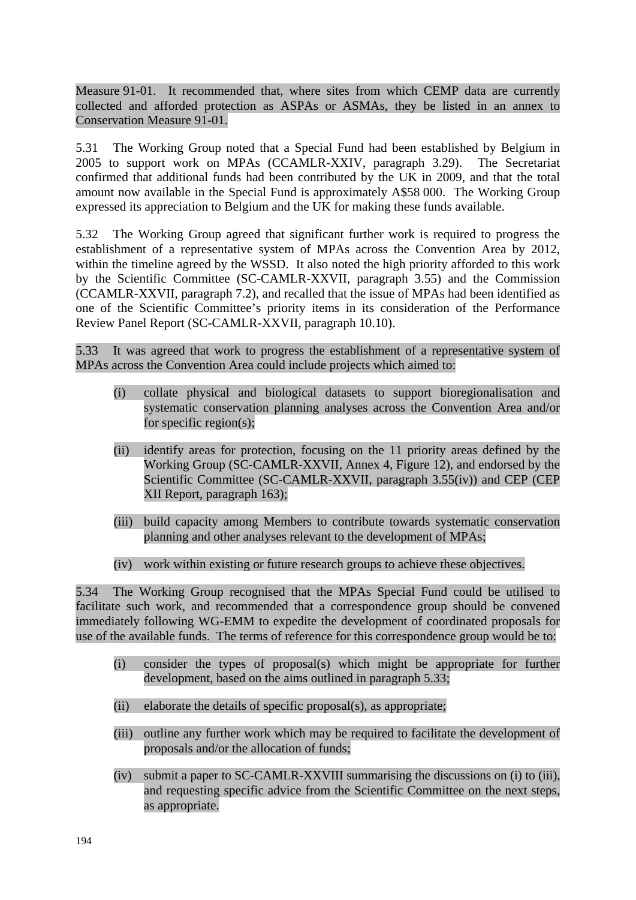Measure 91-01. It recommended that, where sites from which CEMP data are currently collected and afforded protection as ASPAs or ASMAs, they be listed in an annex to Conservation Measure 91-01.

5.31 The Working Group noted that a Special Fund had been established by Belgium in 2005 to support work on MPAs (CCAMLR-XXIV, paragraph 3.29). The Secretariat confirmed that additional funds had been contributed by the UK in 2009, and that the total amount now available in the Special Fund is approximately A\$58 000. The Working Group expressed its appreciation to Belgium and the UK for making these funds available.

5.32 The Working Group agreed that significant further work is required to progress the establishment of a representative system of MPAs across the Convention Area by 2012, within the timeline agreed by the WSSD. It also noted the high priority afforded to this work by the Scientific Committee (SC-CAMLR-XXVII, paragraph 3.55) and the Commission (CCAMLR-XXVII, paragraph 7.2), and recalled that the issue of MPAs had been identified as one of the Scientific Committee's priority items in its consideration of the Performance Review Panel Report (SC-CAMLR-XXVII, paragraph 10.10).

5.33 It was agreed that work to progress the establishment of a representative system of MPAs across the Convention Area could include projects which aimed to:

- (i) collate physical and biological datasets to support bioregionalisation and systematic conservation planning analyses across the Convention Area and/or for specific region(s);
- (ii) identify areas for protection, focusing on the 11 priority areas defined by the Working Group (SC-CAMLR-XXVII, Annex 4, Figure 12), and endorsed by the Scientific Committee (SC-CAMLR-XXVII, paragraph 3.55(iv)) and CEP (CEP XII Report, paragraph 163);
- (iii) build capacity among Members to contribute towards systematic conservation planning and other analyses relevant to the development of MPAs;
- (iv) work within existing or future research groups to achieve these objectives.

5.34 The Working Group recognised that the MPAs Special Fund could be utilised to facilitate such work, and recommended that a correspondence group should be convened immediately following WG-EMM to expedite the development of coordinated proposals for use of the available funds. The terms of reference for this correspondence group would be to:

- (i) consider the types of proposal(s) which might be appropriate for further development, based on the aims outlined in paragraph 5.33;
- (ii) elaborate the details of specific proposal(s), as appropriate;
- (iii) outline any further work which may be required to facilitate the development of proposals and/or the allocation of funds;
- (iv) submit a paper to SC-CAMLR-XXVIII summarising the discussions on (i) to (iii), and requesting specific advice from the Scientific Committee on the next steps, as appropriate.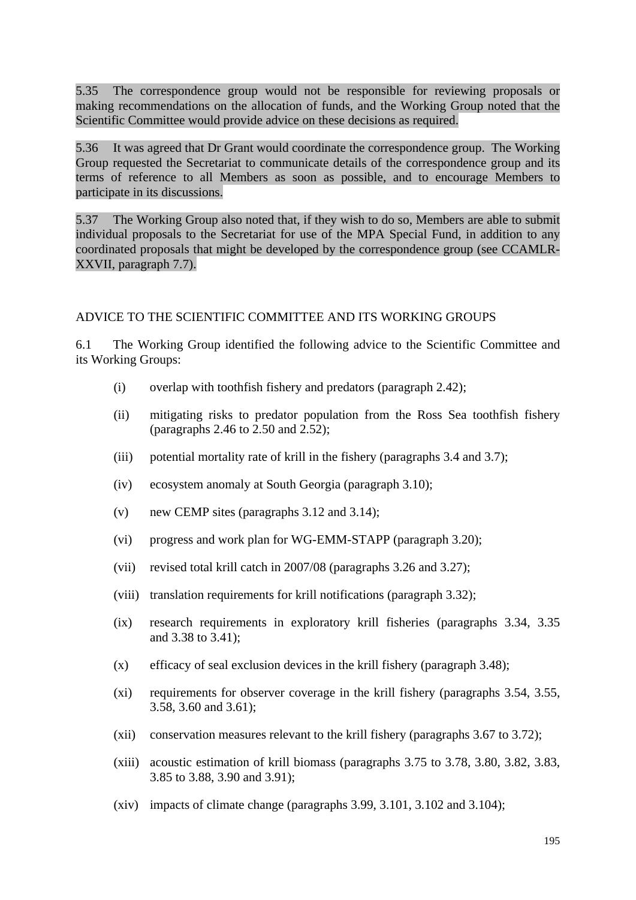5.35 The correspondence group would not be responsible for reviewing proposals or making recommendations on the allocation of funds, and the Working Group noted that the Scientific Committee would provide advice on these decisions as required.

5.36 It was agreed that Dr Grant would coordinate the correspondence group. The Working Group requested the Secretariat to communicate details of the correspondence group and its terms of reference to all Members as soon as possible, and to encourage Members to participate in its discussions.

5.37 The Working Group also noted that, if they wish to do so, Members are able to submit individual proposals to the Secretariat for use of the MPA Special Fund, in addition to any coordinated proposals that might be developed by the correspondence group (see CCAMLR-XXVII, paragraph 7.7).

#### ADVICE TO THE SCIENTIFIC COMMITTEE AND ITS WORKING GROUPS

6.1 The Working Group identified the following advice to the Scientific Committee and its Working Groups:

- (i) overlap with toothfish fishery and predators (paragraph 2.42);
- (ii) mitigating risks to predator population from the Ross Sea toothfish fishery (paragraphs 2.46 to 2.50 and 2.52);
- (iii) potential mortality rate of krill in the fishery (paragraphs 3.4 and 3.7);
- (iv) ecosystem anomaly at South Georgia (paragraph 3.10);
- (v) new CEMP sites (paragraphs 3.12 and 3.14);
- (vi) progress and work plan for WG-EMM-STAPP (paragraph 3.20);
- (vii) revised total krill catch in 2007/08 (paragraphs 3.26 and 3.27);
- (viii) translation requirements for krill notifications (paragraph 3.32);
- (ix) research requirements in exploratory krill fisheries (paragraphs 3.34, 3.35 and 3.38 to 3.41);
- (x) efficacy of seal exclusion devices in the krill fishery (paragraph 3.48);
- (xi) requirements for observer coverage in the krill fishery (paragraphs 3.54, 3.55, 3.58, 3.60 and 3.61);
- (xii) conservation measures relevant to the krill fishery (paragraphs 3.67 to 3.72);
- (xiii) acoustic estimation of krill biomass (paragraphs 3.75 to 3.78, 3.80, 3.82, 3.83, 3.85 to 3.88, 3.90 and 3.91);
- (xiv) impacts of climate change (paragraphs 3.99, 3.101, 3.102 and 3.104);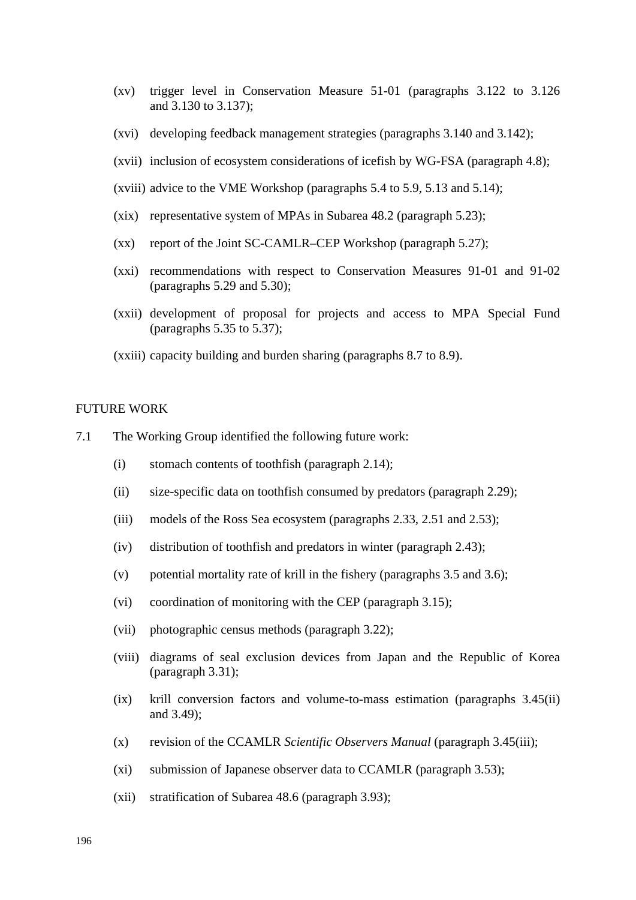- (xv) trigger level in Conservation Measure 51-01 (paragraphs 3.122 to 3.126 and 3.130 to 3.137);
- (xvi) developing feedback management strategies (paragraphs 3.140 and 3.142);
- (xvii) inclusion of ecosystem considerations of icefish by WG-FSA (paragraph 4.8);
- (xviii) advice to the VME Workshop (paragraphs 5.4 to 5.9, 5.13 and 5.14);
- (xix) representative system of MPAs in Subarea 48.2 (paragraph 5.23);
- (xx) report of the Joint SC-CAMLR–CEP Workshop (paragraph 5.27);
- (xxi) recommendations with respect to Conservation Measures 91-01 and 91-02 (paragraphs 5.29 and 5.30);
- (xxii) development of proposal for projects and access to MPA Special Fund (paragraphs 5.35 to 5.37);
- (xxiii) capacity building and burden sharing (paragraphs 8.7 to 8.9).

#### FUTURE WORK

- 7.1 The Working Group identified the following future work:
	- (i) stomach contents of toothfish (paragraph 2.14);
	- (ii) size-specific data on toothfish consumed by predators (paragraph 2.29);
	- (iii) models of the Ross Sea ecosystem (paragraphs 2.33, 2.51 and 2.53);
	- (iv) distribution of toothfish and predators in winter (paragraph 2.43);
	- (v) potential mortality rate of krill in the fishery (paragraphs 3.5 and 3.6);
	- (vi) coordination of monitoring with the CEP (paragraph 3.15);
	- (vii) photographic census methods (paragraph 3.22);
	- (viii) diagrams of seal exclusion devices from Japan and the Republic of Korea (paragraph 3.31);
	- (ix) krill conversion factors and volume-to-mass estimation (paragraphs 3.45(ii) and 3.49);
	- (x) revision of the CCAMLR *Scientific Observers Manual* (paragraph 3.45(iii);
	- (xi) submission of Japanese observer data to CCAMLR (paragraph 3.53);
	- (xii) stratification of Subarea 48.6 (paragraph 3.93);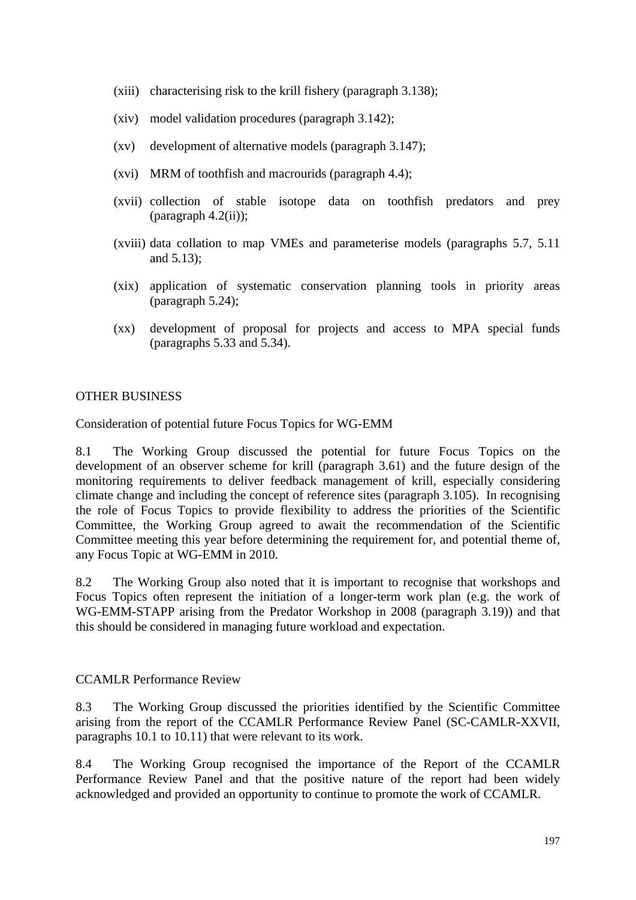- (xiii) characterising risk to the krill fishery (paragraph 3.138);
- (xiv) model validation procedures (paragraph 3.142);
- (xv) development of alternative models (paragraph 3.147);
- (xvi) MRM of toothfish and macrourids (paragraph 4.4);
- (xvii) collection of stable isotope data on toothfish predators and prey (paragraph 4.2(ii));
- (xviii) data collation to map VMEs and parameterise models (paragraphs 5.7, 5.11 and 5.13);
- (xix) application of systematic conservation planning tools in priority areas (paragraph 5.24);
- (xx) development of proposal for projects and access to MPA special funds (paragraphs 5.33 and 5.34).

### OTHER BUSINESS

Consideration of potential future Focus Topics for WG-EMM

8.1 The Working Group discussed the potential for future Focus Topics on the development of an observer scheme for krill (paragraph 3.61) and the future design of the monitoring requirements to deliver feedback management of krill, especially considering climate change and including the concept of reference sites (paragraph 3.105). In recognising the role of Focus Topics to provide flexibility to address the priorities of the Scientific Committee, the Working Group agreed to await the recommendation of the Scientific Committee meeting this year before determining the requirement for, and potential theme of, any Focus Topic at WG-EMM in 2010.

8.2 The Working Group also noted that it is important to recognise that workshops and Focus Topics often represent the initiation of a longer-term work plan (e.g. the work of WG-EMM-STAPP arising from the Predator Workshop in 2008 (paragraph 3.19)) and that this should be considered in managing future workload and expectation.

#### CCAMLR Performance Review

8.3 The Working Group discussed the priorities identified by the Scientific Committee arising from the report of the CCAMLR Performance Review Panel (SC-CAMLR-XXVII, paragraphs 10.1 to 10.11) that were relevant to its work.

8.4 The Working Group recognised the importance of the Report of the CCAMLR Performance Review Panel and that the positive nature of the report had been widely acknowledged and provided an opportunity to continue to promote the work of CCAMLR.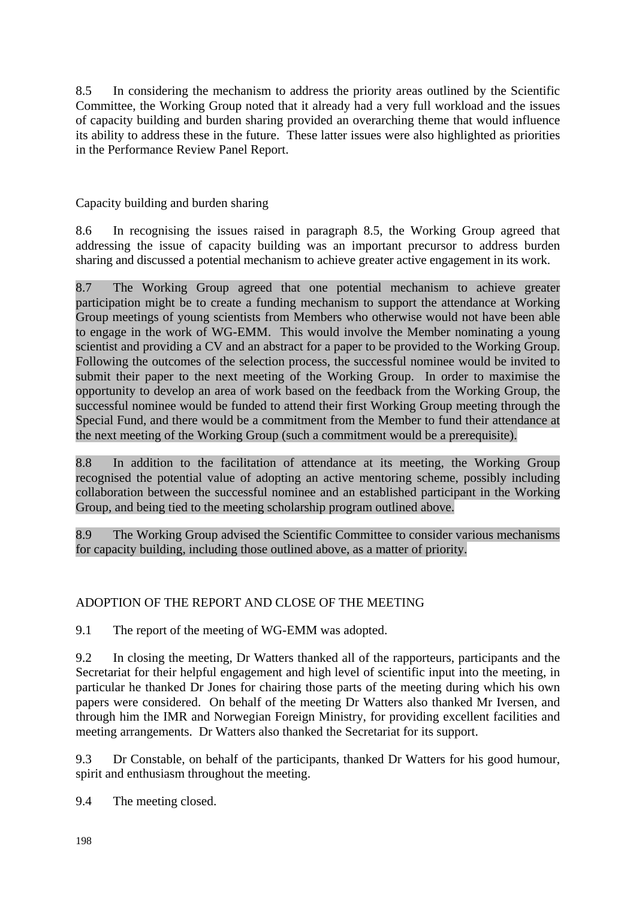8.5 In considering the mechanism to address the priority areas outlined by the Scientific Committee, the Working Group noted that it already had a very full workload and the issues of capacity building and burden sharing provided an overarching theme that would influence its ability to address these in the future. These latter issues were also highlighted as priorities in the Performance Review Panel Report.

Capacity building and burden sharing

8.6 In recognising the issues raised in paragraph 8.5, the Working Group agreed that addressing the issue of capacity building was an important precursor to address burden sharing and discussed a potential mechanism to achieve greater active engagement in its work.

8.7 The Working Group agreed that one potential mechanism to achieve greater participation might be to create a funding mechanism to support the attendance at Working Group meetings of young scientists from Members who otherwise would not have been able to engage in the work of WG-EMM. This would involve the Member nominating a young scientist and providing a CV and an abstract for a paper to be provided to the Working Group. Following the outcomes of the selection process, the successful nominee would be invited to submit their paper to the next meeting of the Working Group. In order to maximise the opportunity to develop an area of work based on the feedback from the Working Group, the successful nominee would be funded to attend their first Working Group meeting through the Special Fund, and there would be a commitment from the Member to fund their attendance at the next meeting of the Working Group (such a commitment would be a prerequisite).

8.8 In addition to the facilitation of attendance at its meeting, the Working Group recognised the potential value of adopting an active mentoring scheme, possibly including collaboration between the successful nominee and an established participant in the Working Group, and being tied to the meeting scholarship program outlined above.

8.9 The Working Group advised the Scientific Committee to consider various mechanisms for capacity building, including those outlined above, as a matter of priority.

## ADOPTION OF THE REPORT AND CLOSE OF THE MEETING

9.1 The report of the meeting of WG-EMM was adopted.

9.2 In closing the meeting, Dr Watters thanked all of the rapporteurs, participants and the Secretariat for their helpful engagement and high level of scientific input into the meeting, in particular he thanked Dr Jones for chairing those parts of the meeting during which his own papers were considered. On behalf of the meeting Dr Watters also thanked Mr Iversen, and through him the IMR and Norwegian Foreign Ministry, for providing excellent facilities and meeting arrangements. Dr Watters also thanked the Secretariat for its support.

9.3 Dr Constable, on behalf of the participants, thanked Dr Watters for his good humour, spirit and enthusiasm throughout the meeting.

9.4 The meeting closed.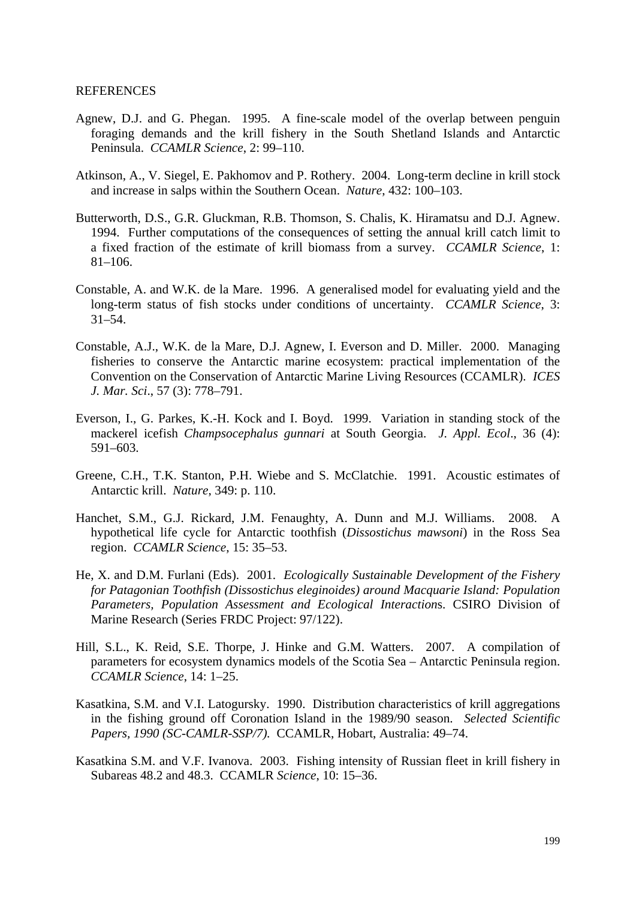#### **REFERENCES**

- Agnew, D.J. and G. Phegan. 1995. A fine-scale model of the overlap between penguin foraging demands and the krill fishery in the South Shetland Islands and Antarctic Peninsula. *CCAMLR Science*, 2: 99–110.
- Atkinson, A., V. Siegel, E. Pakhomov and P. Rothery. 2004. Long-term decline in krill stock and increase in salps within the Southern Ocean. *Nature*, 432: 100–103.
- Butterworth, D.S., G.R. Gluckman, R.B. Thomson, S. Chalis, K. Hiramatsu and D.J. Agnew. 1994. Further computations of the consequences of setting the annual krill catch limit to a fixed fraction of the estimate of krill biomass from a survey. *CCAMLR Science*, 1: 81–106.
- Constable, A. and W.K. de la Mare. 1996. A generalised model for evaluating yield and the long-term status of fish stocks under conditions of uncertainty. *CCAMLR Science*, 3: 31–54.
- Constable, A.J., W.K. de la Mare, D.J. Agnew, I. Everson and D. Miller. 2000. Managing fisheries to conserve the Antarctic marine ecosystem: practical implementation of the Convention on the Conservation of Antarctic Marine Living Resources (CCAMLR). *ICES J. Mar. Sci*., 57 (3): 778–791.
- Everson, I., G. Parkes, K.-H. Kock and I. Boyd. 1999. Variation in standing stock of the mackerel icefish *Champsocephalus gunnari* at South Georgia. *J. Appl. Ecol*., 36 (4): 591–603.
- Greene, C.H., T.K. Stanton, P.H. Wiebe and S. McClatchie. 1991. Acoustic estimates of Antarctic krill. *Nature*, 349: p. 110.
- Hanchet, S.M., G.J. Rickard, J.M. Fenaughty, A. Dunn and M.J. Williams. 2008. A hypothetical life cycle for Antarctic toothfish (*Dissostichus mawsoni*) in the Ross Sea region. *CCAMLR Science*, 15: 35–53.
- He, X. and D.M. Furlani (Eds). 2001. *Ecologically Sustainable Development of the Fishery for Patagonian Toothfish (Dissostichus eleginoides) around Macquarie Island: Population Parameters, Population Assessment and Ecological Interaction*s. CSIRO Division of Marine Research (Series FRDC Project: 97/122).
- Hill, S.L., K. Reid, S.E. Thorpe, J. Hinke and G.M. Watters. 2007. A compilation of parameters for ecosystem dynamics models of the Scotia Sea – Antarctic Peninsula region. *CCAMLR Science*, 14: 1–25.
- Kasatkina, S.M. and V.I. Latogursky. 1990. Distribution characteristics of krill aggregations in the fishing ground off Coronation Island in the 1989/90 season. *Selected Scientific Papers, 1990 (SC-CAMLR-SSP/7).* CCAMLR, Hobart, Australia: 49–74.
- Kasatkina S.M. and V.F. Ivanova. 2003. Fishing intensity of Russian fleet in krill fishery in Subareas 48.2 and 48.3. CCAMLR *Science*, 10: 15–36.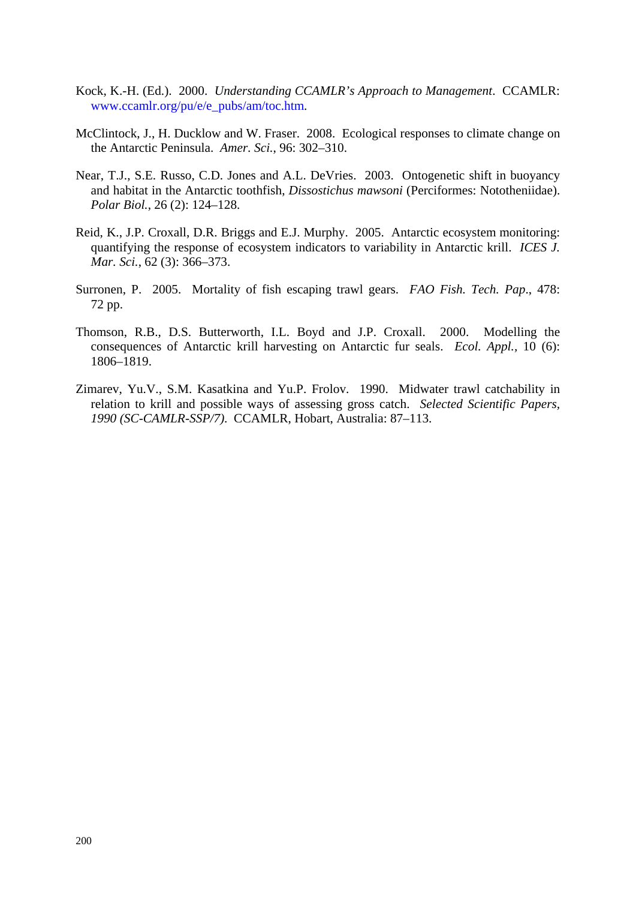- Kock, K.-H. (Ed.). 2000. *Understanding CCAMLR's Approach to Management*. CCAMLR: www.ccamlr.org/pu/e/e\_pubs/am/toc.htm.
- McClintock, J., H. Ducklow and W. Fraser. 2008. Ecological responses to climate change on the Antarctic Peninsula. *Amer. Sci.*, 96: 302–310.
- Near, T.J., S.E. Russo, C.D. Jones and A.L. DeVries. 2003. Ontogenetic shift in buoyancy and habitat in the Antarctic toothfish, *Dissostichus mawsoni* (Perciformes: Nototheniidae). *Polar Biol.*, 26 (2): 124–128.
- Reid, K., J.P. Croxall, D.R. Briggs and E.J. Murphy. 2005. Antarctic ecosystem monitoring: quantifying the response of ecosystem indicators to variability in Antarctic krill. *ICES J. Mar. Sci.*, 62 (3): 366–373.
- Surronen, P. 2005. Mortality of fish escaping trawl gears. *FAO Fish. Tech. Pap*., 478: 72 pp.
- Thomson, R.B., D.S. Butterworth, I.L. Boyd and J.P. Croxall. 2000. Modelling the consequences of Antarctic krill harvesting on Antarctic fur seals. *Ecol. Appl.,* 10 (6): 1806–1819.
- Zimarev, Yu.V., S.M. Kasatkina and Yu.P. Frolov. 1990. Midwater trawl catchability in relation to krill and possible ways of assessing gross catch. *Selected Scientific Papers, 1990 (SC-CAMLR-SSP/7)*. CCAMLR, Hobart, Australia: 87–113.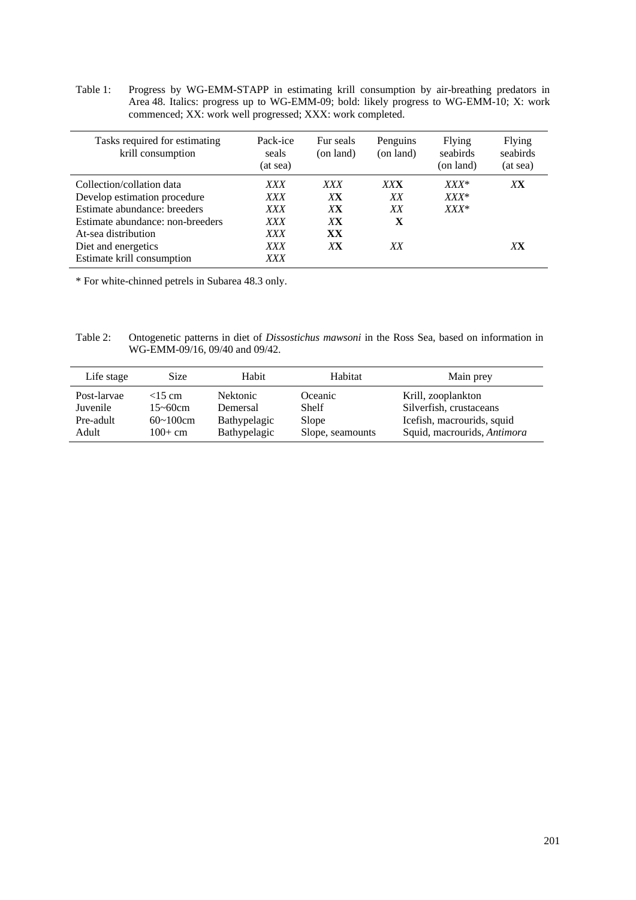Table 1: Progress by WG-EMM-STAPP in estimating krill consumption by air-breathing predators in Area 48. Italics: progress up to WG-EMM-09; bold: likely progress to WG-EMM-10; X: work commenced; XX: work well progressed; XXX: work completed.

| Tasks required for estimating<br>krill consumption | Pack-ice<br>seals<br>(at sea) | Fur seals<br>(on land) | Penguins<br>(on land) | Flying<br>seabirds<br>(on land) | Flying<br>seabirds<br>(at sea) |
|----------------------------------------------------|-------------------------------|------------------------|-----------------------|---------------------------------|--------------------------------|
| Collection/collation data                          | <i>XXX</i>                    | <i>XXX</i>             | <b>XXX</b>            | $XXX^*$                         | XX                             |
| Develop estimation procedure                       | <i>XXX</i>                    | XX                     | XX                    | $XXX^*$                         |                                |
| Estimate abundance: breeders                       | XXX                           | XX                     | XX                    | $XXX^*$                         |                                |
| Estimate abundance: non-breeders                   | <i>XXX</i>                    | XX                     | X                     |                                 |                                |
| At-sea distribution                                | <i>XXX</i>                    | XX                     |                       |                                 |                                |
| Diet and energetics                                | XXX                           | XХ                     | XX                    |                                 | XX                             |
| Estimate krill consumption                         | XXX                           |                        |                       |                                 |                                |

\* For white-chinned petrels in Subarea 48.3 only.

Table 2: Ontogenetic patterns in diet of *Dissostichus mawsoni* in the Ross Sea, based on information in WG-EMM-09/16, 09/40 and 09/42.

| Life stage  | <b>Size</b>      | Habit           | Habitat          | Main prev                   |
|-------------|------------------|-----------------|------------------|-----------------------------|
| Post-larvae | $<$ 15 cm        | <b>Nektonic</b> | Oceanic          | Krill, zooplankton          |
| Juvenile    | 15~60cm          | Demersal        | Shelf            | Silverfish, crustaceans     |
| Pre-adult   | $60 \sim 100$ cm | Bathypelagic    | Slope            | Icefish, macrourids, squid  |
| Adult       | $100+$ cm        | Bathypelagic    | Slope, seamounts | Squid, macrourids, Antimora |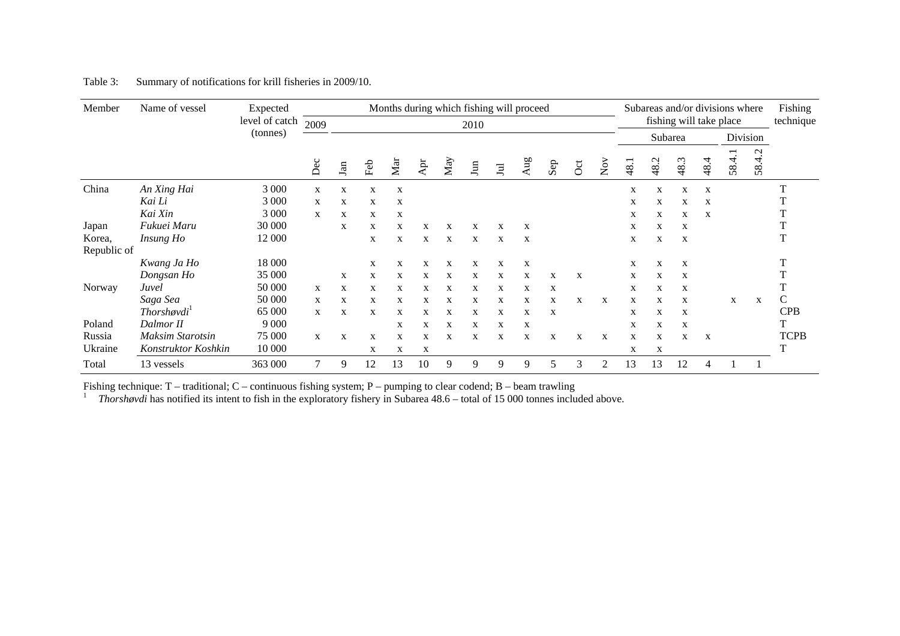| Member      | Name of vessel          | Expected       |      |     |     | Months during which fishing will proceed |     |     |                        |       |     |     |                |                                      |                         |         |      |              | Subareas and/or divisions where |        | Fishing     |
|-------------|-------------------------|----------------|------|-----|-----|------------------------------------------|-----|-----|------------------------|-------|-----|-----|----------------|--------------------------------------|-------------------------|---------|------|--------------|---------------------------------|--------|-------------|
|             |                         | level of catch | 2009 |     |     |                                          |     |     | 2010                   |       |     |     |                |                                      | fishing will take place |         |      | technique    |                                 |        |             |
|             |                         | (tonnes)       |      |     |     |                                          |     |     |                        |       |     |     |                |                                      |                         | Subarea |      |              | Division                        |        |             |
|             |                         |                | Dec  | Jan | Feb | $M_{\rm{air}}$                           | Ąpr | May | $\mathop{\mathrm{Im}}$ | $\Xi$ | Aug | Sep | $\overline{c}$ | $\overset{\sim}{\operatorname{Now}}$ | 48.1                    | 48.2    | 48.3 | 48.4         | 58.4.1                          | 58.4.2 |             |
| China       | An Xing Hai             | 3 000          | X    | X   | X   | $\mathbf X$                              |     |     |                        |       |     |     |                |                                      | X                       | X       | X    | X            |                                 |        |             |
|             | Kai Li                  | 3 0 0 0        | X    | X   | X   | X                                        |     |     |                        |       |     |     |                |                                      | X                       | X       | X    | X            |                                 |        |             |
|             | Kai Xin                 | 3 0 0 0        | X    | X   | X   | X                                        |     |     |                        |       |     |     |                |                                      | X                       | X       | X    | X            |                                 |        |             |
| Japan       | Fukuei Maru             | 30 000         |      | X   | X   | X                                        | X   | X   | X                      | X     | X   |     |                |                                      | X                       | X       | X    |              |                                 |        |             |
| Korea,      | Insung Ho               | 12 000         |      |     | X   | X                                        | X   | X   | X                      | X     | X   |     |                |                                      | X                       | X       | X    |              |                                 |        |             |
| Republic of |                         |                |      |     |     |                                          |     |     |                        |       |     |     |                |                                      |                         |         |      |              |                                 |        |             |
|             | Kwang Ja Ho             | 18 000         |      |     | X   | X                                        | X   | X   | X                      | X     | X   |     |                |                                      | X                       | X       | X    |              |                                 |        |             |
|             | Dongsan Ho              | 35 000         |      | X   | X   | X                                        | X   | X   | X                      | X     | X   | X   | X              |                                      | X                       | X       | X    |              |                                 |        |             |
| Norway      | Juvel                   | 50 000         | X    | X   | X   | X                                        | X   | X   | X                      | X     | X   | X   |                |                                      | X                       | X       | X    |              |                                 |        |             |
|             | Saga Sea                | 50 000         | X    | X   | X   | X                                        | X   | X   | X                      | X     | X   | X   | X              | X                                    | X                       | X       | X    |              | X                               | X      | C           |
|             | $Thorsh\phi\nu di'$     | 65 000         | X    | X   | X   | X                                        | X   | X   | X                      | X     | X   | X   |                |                                      | X                       | X       | X    |              |                                 |        | <b>CPB</b>  |
| Poland      | Dalmor II               | 9 0 0 0        |      |     |     | X                                        | X   | X   | X                      | X     | X   |     |                |                                      | X                       | X       | X    |              |                                 |        |             |
| Russia      | <b>Maksim Starotsin</b> | 75 000         | X    | X   | X   | X                                        | X   | X   | X                      | X     | X   | X   | X              | X                                    | X                       | X       | X    | $\mathbf{x}$ |                                 |        | <b>TCPB</b> |
| Ukraine     | Konstruktor Koshkin     | 10 000         |      |     | X   | X                                        | X   |     |                        |       |     |     |                |                                      | X                       | X       |      |              |                                 |        |             |
| Total       | 13 vessels              | 363 000        | 7    | 9   | 12  | 13                                       | 10  | 9   | 9                      | 9     | 9   | 5   | 3              | 2                                    | 13                      | 13      | 12   | 4            |                                 |        |             |

#### Table 3: Summary of notifications for krill fisheries in 2009/10.

Fishing technique: T – traditional; C – continuous fishing system; P – pumping to clear codend; B – beam trawling<br><sup>1</sup> Thorshøvdi has notified its intent to fish in the exploratory fishery in Subarea 48.6 – total of 15 000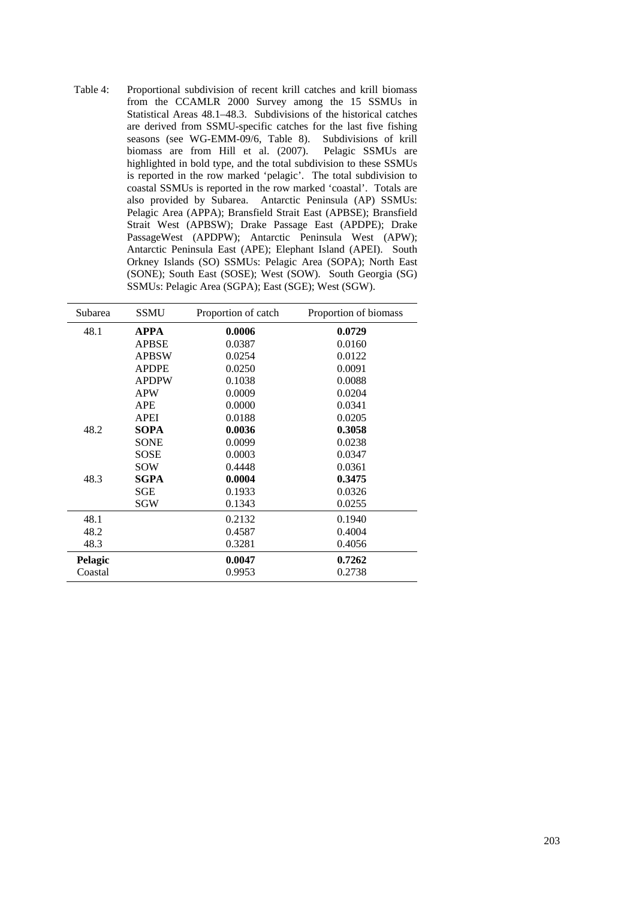Table 4: Proportional subdivision of recent krill catches and krill biomass from the CCAMLR 2000 Survey among the 15 SSMUs in Statistical Areas 48.1–48.3. Subdivisions of the historical catches are derived from SSMU-specific catches for the last five fishing seasons (see WG-EMM-09/6, Table 8). Subdivisions of krill biomass are from Hill et al. (2007). Pelagic SSMUs are highlighted in bold type, and the total subdivision to these SSMUs is reported in the row marked 'pelagic'. The total subdivision to coastal SSMUs is reported in the row marked 'coastal'. Totals are also provided by Subarea. Antarctic Peninsula (AP) SSMUs: Pelagic Area (APPA); Bransfield Strait East (APBSE); Bransfield Strait West (APBSW); Drake Passage East (APDPE); Drake PassageWest (APDPW); Antarctic Peninsula West (APW); Antarctic Peninsula East (APE); Elephant Island (APEI). South Orkney Islands (SO) SSMUs: Pelagic Area (SOPA); North East (SONE); South East (SOSE); West (SOW). South Georgia (SG) SSMUs: Pelagic Area (SGPA); East (SGE); West (SGW).

| Subarea        | <b>SSMU</b>  | Proportion of catch | Proportion of biomass |
|----------------|--------------|---------------------|-----------------------|
| 48.1           | <b>APPA</b>  | 0.0006              | 0.0729                |
|                | <b>APBSE</b> | 0.0387              | 0.0160                |
|                | <b>APBSW</b> | 0.0254              | 0.0122                |
|                | <b>APDPE</b> | 0.0250              | 0.0091                |
|                | <b>APDPW</b> | 0.1038              | 0.0088                |
|                | <b>APW</b>   | 0.0009              | 0.0204                |
|                | APE          | 0.0000              | 0.0341                |
|                | APEI         | 0.0188              | 0.0205                |
| 48.2           | <b>SOPA</b>  | 0.0036              | 0.3058                |
|                | <b>SONE</b>  | 0.0099              | 0.0238                |
|                | SOSE         | 0.0003              | 0.0347                |
|                | SOW          | 0.4448              | 0.0361                |
| 48.3           | <b>SGPA</b>  | 0.0004              | 0.3475                |
|                | SGE          | 0.1933              | 0.0326                |
|                | SGW          | 0.1343              | 0.0255                |
| 48.1           |              | 0.2132              | 0.1940                |
| 48.2           |              | 0.4587              | 0.4004                |
| 48.3           |              | 0.3281              | 0.4056                |
| <b>Pelagic</b> |              | 0.0047              | 0.7262                |
| Coastal        |              | 0.9953              | 0.2738                |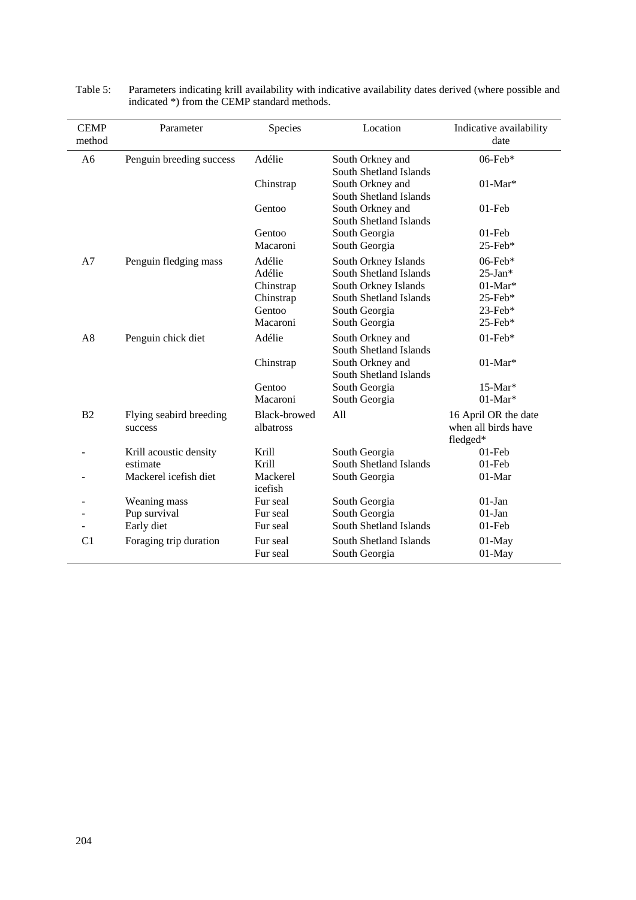| <b>CEMP</b><br>method | Parameter                          | Species                          | Location                                   | Indicative availability<br>date                         |
|-----------------------|------------------------------------|----------------------------------|--------------------------------------------|---------------------------------------------------------|
| A <sub>6</sub>        | Penguin breeding success           | Adélie                           | South Orkney and<br>South Shetland Islands | 06-Feb*                                                 |
|                       |                                    | Chinstrap                        | South Orkney and<br>South Shetland Islands | $01$ -Mar*                                              |
|                       |                                    | Gentoo                           | South Orkney and<br>South Shetland Islands | $01$ -Feb                                               |
|                       |                                    | Gentoo                           | South Georgia                              | $01$ -Feb                                               |
|                       |                                    | Macaroni                         | South Georgia                              | $25$ -Feb*                                              |
| A7                    | Penguin fledging mass              | Adélie                           | South Orkney Islands                       | $06$ -Feb*                                              |
|                       |                                    | Adélie                           | South Shetland Islands                     | $25$ -Jan*                                              |
|                       |                                    | Chinstrap                        | South Orkney Islands                       | $01$ -Mar*                                              |
|                       |                                    | Chinstrap                        | South Shetland Islands                     | 25-Feb*                                                 |
|                       |                                    | Gentoo                           | South Georgia                              | 23-Feb*                                                 |
|                       |                                    | Macaroni                         | South Georgia                              | 25-Feb*                                                 |
| A8                    | Penguin chick diet                 | Adélie                           | South Orkney and<br>South Shetland Islands | $01$ -Feb*                                              |
|                       |                                    | Chinstrap                        | South Orkney and<br>South Shetland Islands | $01-Mar*$                                               |
|                       |                                    | Gentoo                           | South Georgia                              | 15-Mar*                                                 |
|                       |                                    | Macaroni                         | South Georgia                              | $01$ -Mar*                                              |
| B2                    | Flying seabird breeding<br>success | <b>Black-browed</b><br>albatross | All                                        | 16 April OR the date<br>when all birds have<br>fledged* |
|                       | Krill acoustic density             | Krill                            | South Georgia                              | $01$ -Feb                                               |
|                       | estimate                           | Krill                            | South Shetland Islands                     | $01$ -Feb                                               |
|                       | Mackerel icefish diet              | Mackerel<br>icefish              | South Georgia                              | 01-Mar                                                  |
|                       | Weaning mass                       | Fur seal                         | South Georgia                              | $01-Jan$                                                |
|                       | Pup survival                       | Fur seal                         | South Georgia                              | $01-Jan$                                                |
|                       | Early diet                         | Fur seal                         | South Shetland Islands                     | $01$ -Feb                                               |
| C <sub>1</sub>        | Foraging trip duration             | Fur seal                         | South Shetland Islands                     | $01-May$                                                |
|                       |                                    | Fur seal                         | South Georgia                              | $01-May$                                                |

| Table 5: | Parameters indicating krill availability with indicative availability dates derived (where possible and |
|----------|---------------------------------------------------------------------------------------------------------|
|          | indicated *) from the CEMP standard methods.                                                            |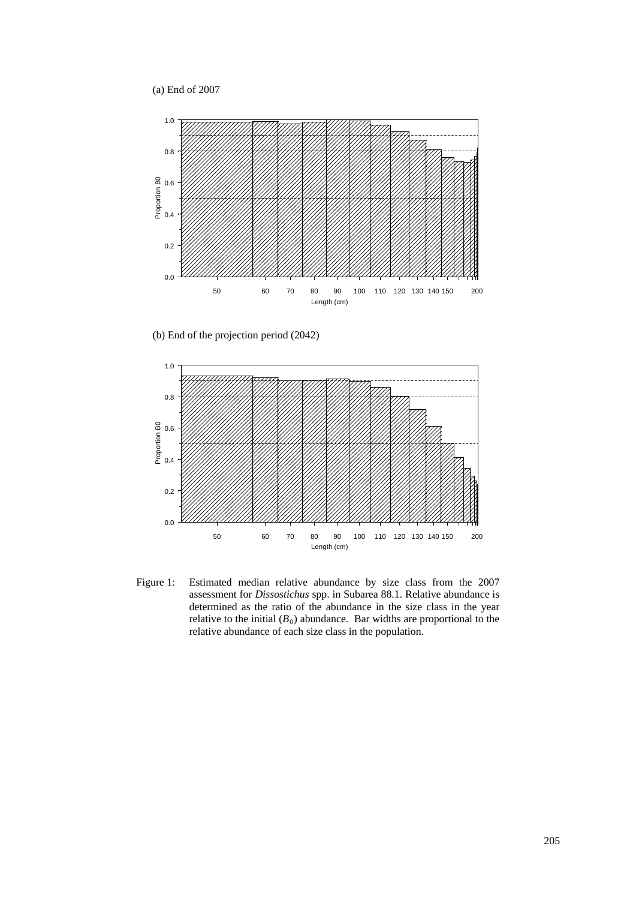(a) End of 2007



(b) End of the projection period (2042)



Figure 1: Estimated median relative abundance by size class from the 2007 assessment for *Dissostichus* spp. in Subarea 88.1. Relative abundance is determined as the ratio of the abundance in the size class in the year relative to the initial  $(B_0)$  abundance. Bar widths are proportional to the relative abundance of each size class in the population.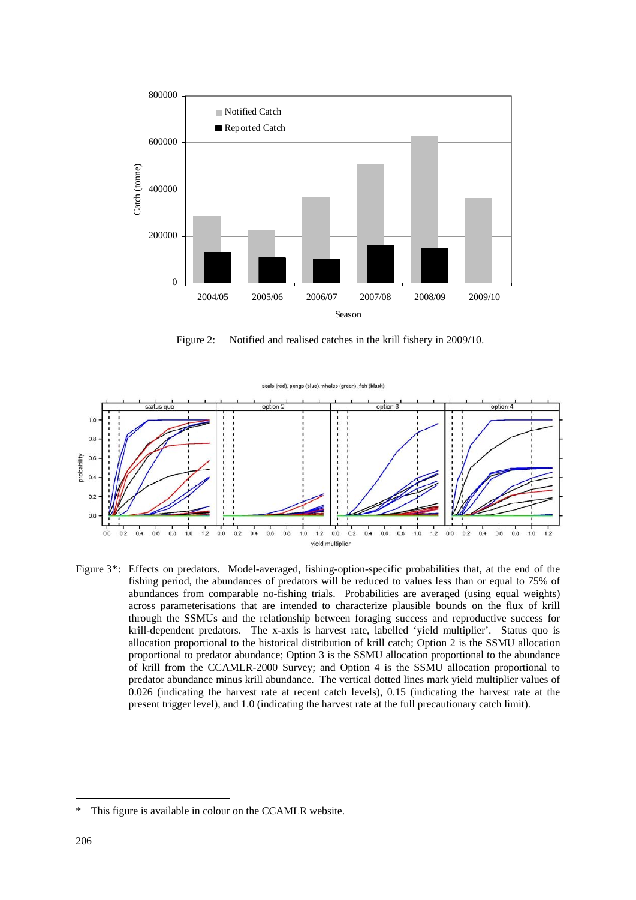

Figure 2: Notified and realised catches in the krill fishery in 2009/10.



Figure 3<sup>\*</sup>: Effects on predators. Model-averaged, fishing-option-specific probabilities that, at the end of the fishing period, the abundances of predators will be reduced to values less than or equal to 75% of abundances from comparable no-fishing trials. Probabilities are averaged (using equal weights) across parameterisations that are intended to characterize plausible bounds on the flux of krill through the SSMUs and the relationship between foraging success and reproductive success for krill-dependent predators. The x-axis is harvest rate, labelled 'yield multiplier'. Status quo is allocation proportional to the historical distribution of krill catch; Option 2 is the SSMU allocation proportional to predator abundance; Option 3 is the SSMU allocation proportional to the abundance of krill from the CCAMLR-2000 Survey; and Option 4 is the SSMU allocation proportional to predator abundance minus krill abundance. The vertical dotted lines mark yield multiplier values of 0.026 (indicating the harvest rate at recent catch levels), 0.15 (indicating the harvest rate at the present trigger level), and 1.0 (indicating the harvest rate at the full precautionary catch limit).

This figure is available in colour on the CCAMLR website.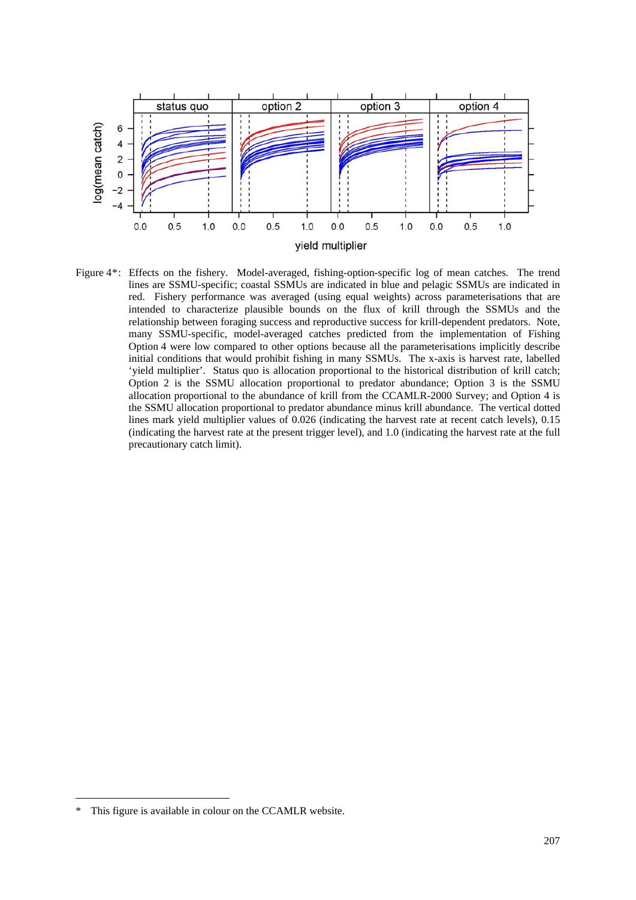

Figure 4\*: Effects on the fishery. Model-averaged, fishing-option-specific log of mean catches. The trend lines are SSMU-specific; coastal SSMUs are indicated in blue and pelagic SSMUs are indicated in red. Fishery performance was averaged (using equal weights) across parameterisations that are intended to characterize plausible bounds on the flux of krill through the SSMUs and the relationship between foraging success and reproductive success for krill-dependent predators. Note, many SSMU-specific, model-averaged catches predicted from the implementation of Fishing Option 4 were low compared to other options because all the parameterisations implicitly describe initial conditions that would prohibit fishing in many SSMUs. The x-axis is harvest rate, labelled 'yield multiplier'. Status quo is allocation proportional to the historical distribution of krill catch; Option 2 is the SSMU allocation proportional to predator abundance; Option 3 is the SSMU allocation proportional to the abundance of krill from the CCAMLR-2000 Survey; and Option 4 is the SSMU allocation proportional to predator abundance minus krill abundance. The vertical dotted lines mark yield multiplier values of 0.026 (indicating the harvest rate at recent catch levels), 0.15 (indicating the harvest rate at the present trigger level), and 1.0 (indicating the harvest rate at the full precautionary catch limit).

This figure is available in colour on the CCAMLR website.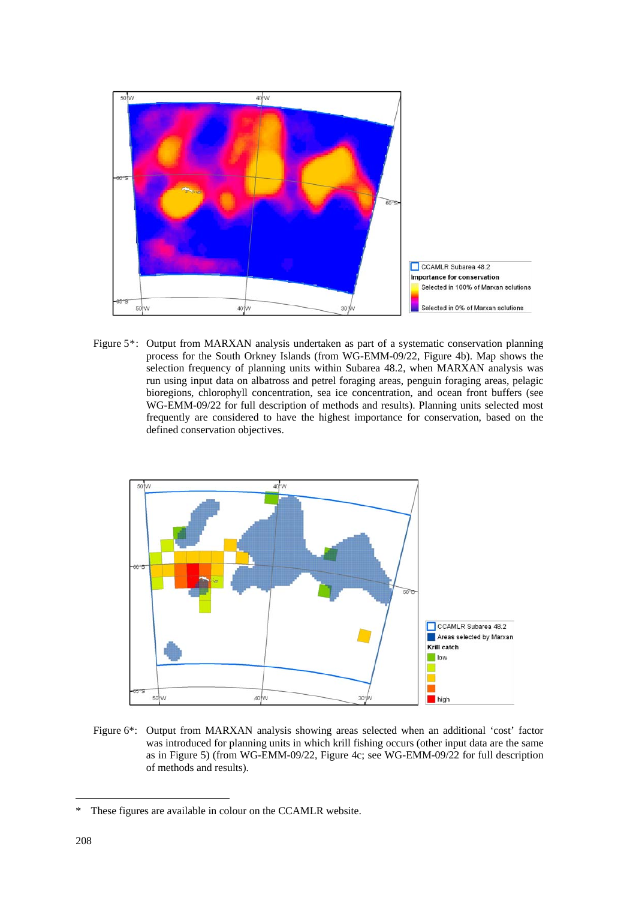

Figure 5\*: Output from MARXAN analysis undertaken as part of a systematic conservation planning process for the South Orkney Islands (from WG-EMM-09/22, Figure 4b). Map shows the selection frequency of planning units within Subarea 48.2, when MARXAN analysis was run using input data on albatross and petrel foraging areas, penguin foraging areas, pelagic bioregions, chlorophyll concentration, sea ice concentration, and ocean front buffers (see WG-EMM-09/22 for full description of methods and results). Planning units selected most frequently are considered to have the highest importance for conservation, based on the defined conservation objectives.



Figure 6\*: Output from MARXAN analysis showing areas selected when an additional 'cost' factor was introduced for planning units in which krill fishing occurs (other input data are the same as in Figure 5) (from WG-EMM-09/22, Figure 4c; see WG-EMM-09/22 for full description of methods and results).

These figures are available in colour on the CCAMLR website.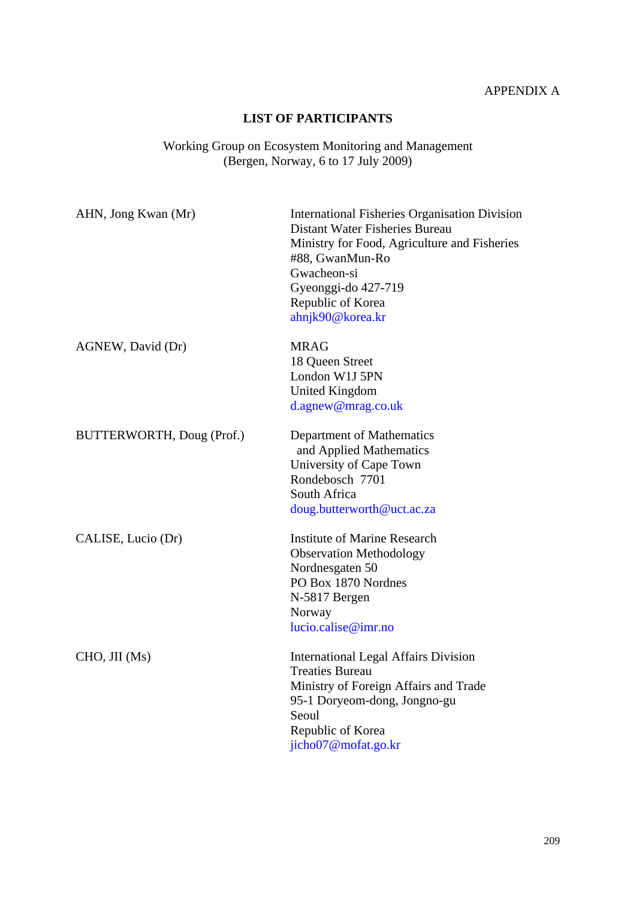# APPENDIX A

# **LIST OF PARTICIPANTS**

#### Working Group on Ecosystem Monitoring and Management (Bergen, Norway, 6 to 17 July 2009)

| AHN, Jong Kwan (Mr)       | International Fisheries Organisation Division<br>Distant Water Fisheries Bureau<br>Ministry for Food, Agriculture and Fisheries<br>#88, GwanMun-Ro<br>Gwacheon-si<br>Gyeonggi-do 427-719<br>Republic of Korea<br>ahnjk90@korea.kr |
|---------------------------|-----------------------------------------------------------------------------------------------------------------------------------------------------------------------------------------------------------------------------------|
| AGNEW, David (Dr)         | <b>MRAG</b><br>18 Queen Street<br>London W1J 5PN<br><b>United Kingdom</b><br>d.agnew@mrag.co.uk                                                                                                                                   |
| BUTTERWORTH, Doug (Prof.) | Department of Mathematics<br>and Applied Mathematics<br>University of Cape Town<br>Rondebosch 7701<br>South Africa<br>doug.butterworth@uct.ac.za                                                                                  |
| CALISE, Lucio (Dr)        | <b>Institute of Marine Research</b><br><b>Observation Methodology</b><br>Nordnesgaten 50<br>PO Box 1870 Nordnes<br>N-5817 Bergen<br>Norway<br>lucio.calise@imr.no                                                                 |
| CHO, JII (Ms)             | <b>International Legal Affairs Division</b><br><b>Treaties Bureau</b><br>Ministry of Foreign Affairs and Trade<br>95-1 Doryeom-dong, Jongno-gu<br>Seoul<br>Republic of Korea<br>jicho07@mofat.go.kr                               |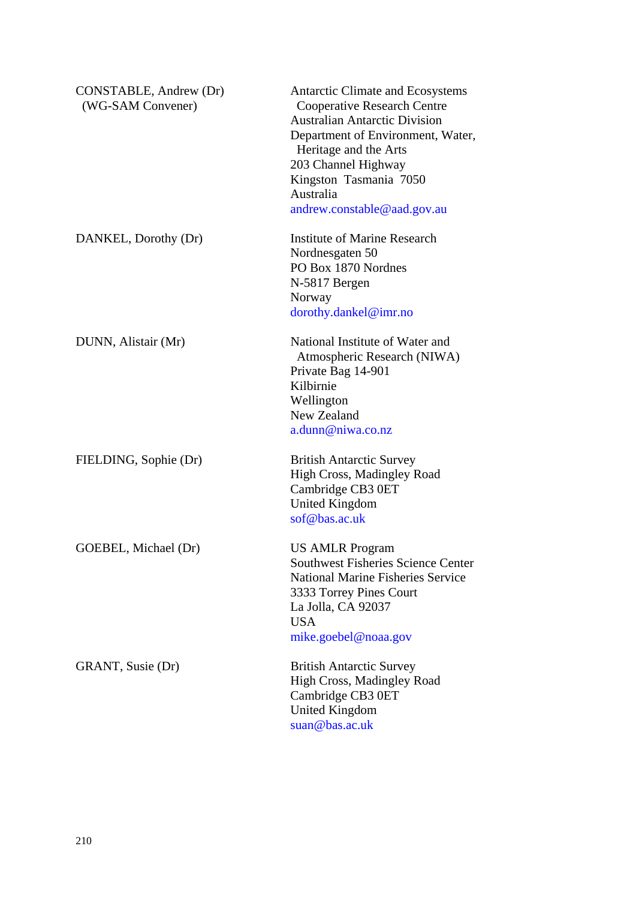| CONSTABLE, Andrew (Dr)<br>(WG-SAM Convener) | Antarctic Climate and Ecosystems<br><b>Cooperative Research Centre</b><br><b>Australian Antarctic Division</b><br>Department of Environment, Water,<br>Heritage and the Arts<br>203 Channel Highway<br>Kingston Tasmania 7050<br>Australia<br>andrew.constable@aad.gov.au |
|---------------------------------------------|---------------------------------------------------------------------------------------------------------------------------------------------------------------------------------------------------------------------------------------------------------------------------|
| DANKEL, Dorothy (Dr)                        | <b>Institute of Marine Research</b><br>Nordnesgaten 50<br>PO Box 1870 Nordnes<br>N-5817 Bergen<br>Norway<br>dorothy.dankel@imr.no                                                                                                                                         |
| DUNN, Alistair (Mr)                         | National Institute of Water and<br>Atmospheric Research (NIWA)<br>Private Bag 14-901<br>Kilbirnie<br>Wellington<br>New Zealand<br>a.dunn@niwa.co.nz                                                                                                                       |
| FIELDING, Sophie (Dr)                       | <b>British Antarctic Survey</b><br>High Cross, Madingley Road<br>Cambridge CB3 0ET<br><b>United Kingdom</b><br>$\operatorname{sof}\nolimits$ @bas.ac.uk                                                                                                                   |
| GOEBEL, Michael (Dr)                        | <b>US AMLR Program</b><br><b>Southwest Fisheries Science Center</b><br><b>National Marine Fisheries Service</b><br>3333 Torrey Pines Court<br>La Jolla, CA 92037<br><b>USA</b><br>mike.goebel@noaa.gov                                                                    |
| GRANT, Susie (Dr)                           | <b>British Antarctic Survey</b><br>High Cross, Madingley Road<br>Cambridge CB3 0ET<br><b>United Kingdom</b><br>suan@bas.ac.uk                                                                                                                                             |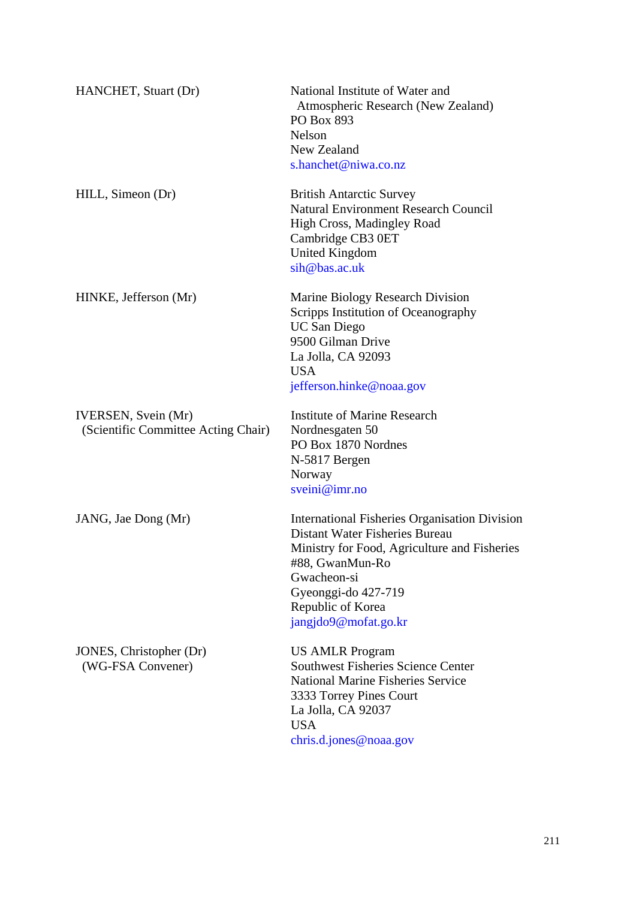| HANCHET, Stuart (Dr)                                               | National Institute of Water and<br>Atmospheric Research (New Zealand)<br>PO Box 893<br><b>Nelson</b><br>New Zealand<br>s.hanchet@niwa.co.nz                                                                                                  |
|--------------------------------------------------------------------|----------------------------------------------------------------------------------------------------------------------------------------------------------------------------------------------------------------------------------------------|
| HILL, Simeon (Dr)                                                  | <b>British Antarctic Survey</b><br><b>Natural Environment Research Council</b><br>High Cross, Madingley Road<br>Cambridge CB3 0ET<br>United Kingdom<br>sih@bas.ac.uk                                                                         |
| HINKE, Jefferson (Mr)                                              | Marine Biology Research Division<br>Scripps Institution of Oceanography<br><b>UC San Diego</b><br>9500 Gilman Drive<br>La Jolla, CA 92093<br><b>USA</b><br>jefferson.hinke@noaa.gov                                                          |
| <b>IVERSEN</b> , Svein (Mr)<br>(Scientific Committee Acting Chair) | <b>Institute of Marine Research</b><br>Nordnesgaten 50<br>PO Box 1870 Nordnes<br>N-5817 Bergen<br>Norway<br>sveini@imr.no                                                                                                                    |
| JANG, Jae Dong (Mr)                                                | <b>International Fisheries Organisation Division</b><br>Distant Water Fisheries Bureau<br>Ministry for Food, Agriculture and Fisheries<br>#88, GwanMun-Ro<br>Gwacheon-si<br>Gyeonggi-do 427-719<br>Republic of Korea<br>jangjdo9@mofat.go.kr |
| JONES, Christopher (Dr)<br>(WG-FSA Convener)                       | <b>US AMLR Program</b><br><b>Southwest Fisheries Science Center</b><br><b>National Marine Fisheries Service</b><br>3333 Torrey Pines Court<br>La Jolla, CA 92037<br><b>USA</b><br>chris.d.jones@noaa.gov                                     |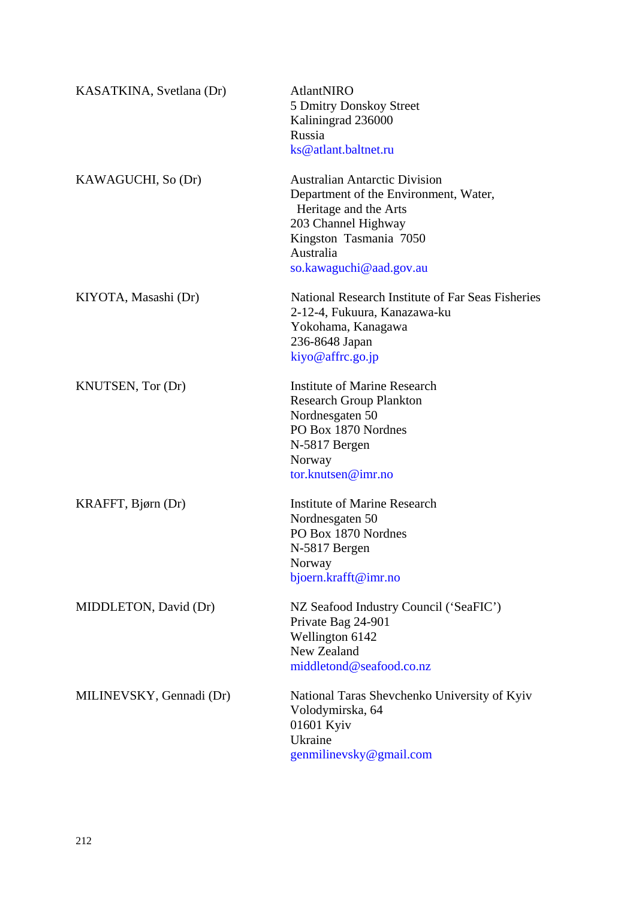| KASATKINA, Svetlana (Dr) | <b>AtlantNIRO</b><br>5 Dmitry Donskoy Street<br>Kaliningrad 236000<br>Russia<br>ks@atlant.baltnet.ru                                                                                            |
|--------------------------|-------------------------------------------------------------------------------------------------------------------------------------------------------------------------------------------------|
| KAWAGUCHI, So (Dr)       | <b>Australian Antarctic Division</b><br>Department of the Environment, Water,<br>Heritage and the Arts<br>203 Channel Highway<br>Kingston Tasmania 7050<br>Australia<br>so.kawaguchi@aad.gov.au |
| KIYOTA, Masashi (Dr)     | National Research Institute of Far Seas Fisheries<br>2-12-4, Fukuura, Kanazawa-ku<br>Yokohama, Kanagawa<br>236-8648 Japan<br>kiyo@affrc.go.jp                                                   |
| KNUTSEN, Tor (Dr)        | <b>Institute of Marine Research</b><br><b>Research Group Plankton</b><br>Nordnesgaten 50<br>PO Box 1870 Nordnes<br>N-5817 Bergen<br>Norway<br>tor.knutsen@imr.no                                |
| KRAFFT, Bjørn (Dr)       | <b>Institute of Marine Research</b><br>Nordnesgaten 50<br>PO Box 1870 Nordnes<br>N-5817 Bergen<br>Norway<br>bjoern.krafft@imr.no                                                                |
| MIDDLETON, David (Dr)    | NZ Seafood Industry Council ('SeaFIC')<br>Private Bag 24-901<br>Wellington 6142<br>New Zealand<br>middletond@seafood.co.nz                                                                      |
| MILINEVSKY, Gennadi (Dr) | National Taras Shevchenko University of Kyiv<br>Volodymirska, 64<br>01601 Kyiv<br>Ukraine<br>genmilinevsky@gmail.com                                                                            |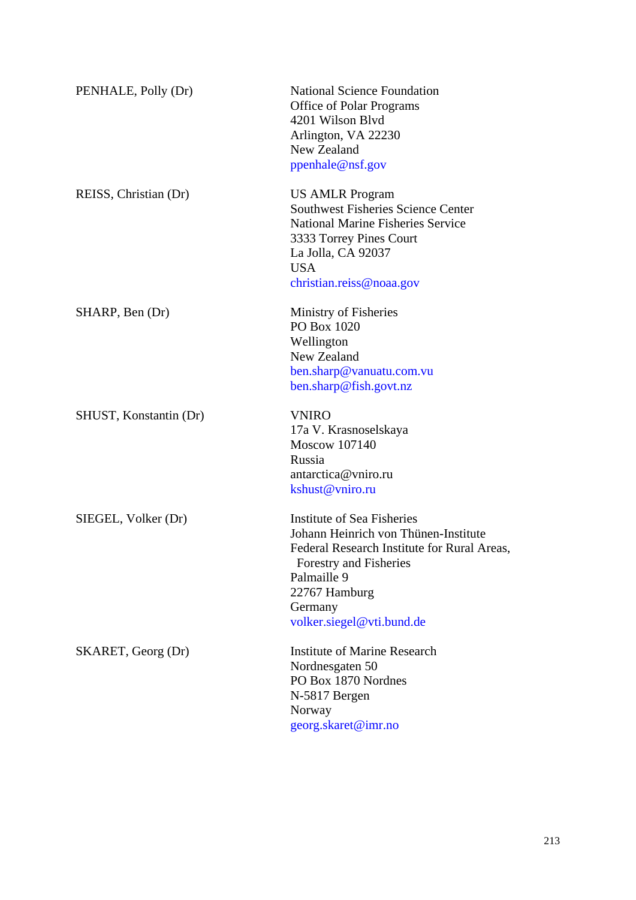| PENHALE, Polly (Dr)    | <b>National Science Foundation</b><br>Office of Polar Programs<br>4201 Wilson Blyd<br>Arlington, VA 22230<br>New Zealand<br>ppenhale@nsf.gov                                                                        |
|------------------------|---------------------------------------------------------------------------------------------------------------------------------------------------------------------------------------------------------------------|
| REISS, Christian (Dr)  | <b>US AMLR Program</b><br><b>Southwest Fisheries Science Center</b><br><b>National Marine Fisheries Service</b><br>3333 Torrey Pines Court<br>La Jolla, CA 92037<br><b>USA</b><br>christian.reiss@noaa.gov          |
| SHARP, Ben (Dr)        | Ministry of Fisheries<br>PO Box 1020<br>Wellington<br>New Zealand<br>ben.sharp@vanuatu.com.vu<br>ben.sharp@fish.govt.nz                                                                                             |
| SHUST, Konstantin (Dr) | <b>VNIRO</b><br>17a V. Krasnoselskaya<br>Moscow 107140<br>Russia<br>antarctica@vniro.ru<br>kshust@vniro.ru                                                                                                          |
| SIEGEL, Volker (Dr)    | Institute of Sea Fisheries<br>Johann Heinrich von Thünen-Institute<br>Federal Research Institute for Rural Areas,<br>Forestry and Fisheries<br>Palmaille 9<br>22767 Hamburg<br>Germany<br>volker.siegel@vti.bund.de |
| SKARET, Georg (Dr)     | Institute of Marine Research<br>Nordnesgaten 50<br>PO Box 1870 Nordnes<br>N-5817 Bergen<br>Norway<br>georg.skaret@imr.no                                                                                            |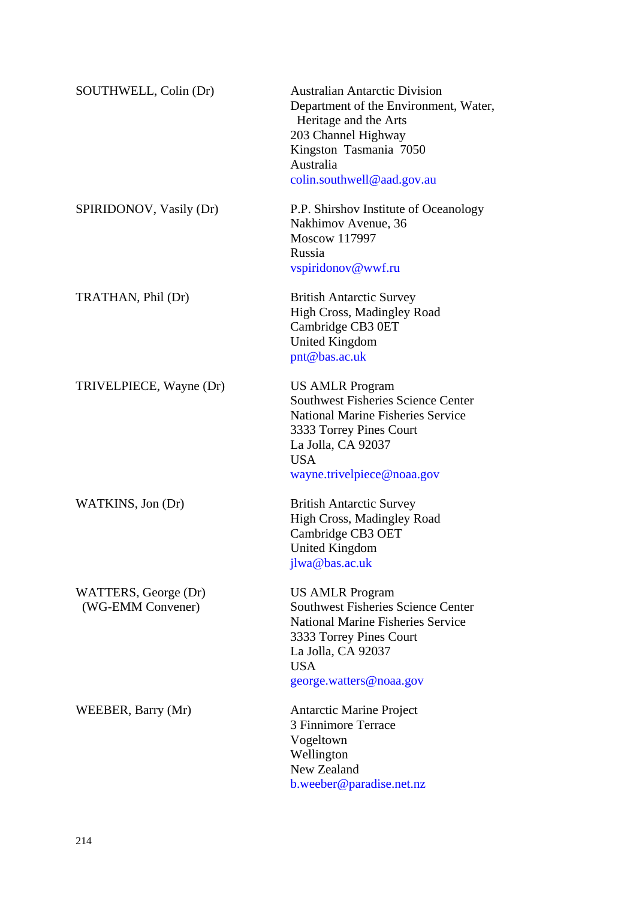| SOUTHWELL, Colin (Dr)                     | <b>Australian Antarctic Division</b><br>Department of the Environment, Water,<br>Heritage and the Arts<br>203 Channel Highway<br>Kingston Tasmania 7050<br>Australia<br>colin.southwell@aad.gov.au           |
|-------------------------------------------|--------------------------------------------------------------------------------------------------------------------------------------------------------------------------------------------------------------|
| SPIRIDONOV, Vasily (Dr)                   | P.P. Shirshov Institute of Oceanology<br>Nakhimov Avenue, 36<br>Moscow 117997<br>Russia<br>vspiridonov@wwf.ru                                                                                                |
| TRATHAN, Phil (Dr)                        | <b>British Antarctic Survey</b><br>High Cross, Madingley Road<br>Cambridge CB3 0ET<br><b>United Kingdom</b><br>pnt@bas.ac.uk                                                                                 |
| TRIVELPIECE, Wayne (Dr)                   | <b>US AMLR Program</b><br><b>Southwest Fisheries Science Center</b><br><b>National Marine Fisheries Service</b><br>3333 Torrey Pines Court<br>La Jolla, CA 92037<br><b>USA</b><br>wayne.trivelpiece@noaa.gov |
| WATKINS, Jon (Dr)                         | <b>British Antarctic Survey</b><br>High Cross, Madingley Road<br>Cambridge CB3 OET<br><b>United Kingdom</b><br>jlwa@bas.ac.uk                                                                                |
| WATTERS, George (Dr)<br>(WG-EMM Convener) | <b>US AMLR Program</b><br><b>Southwest Fisheries Science Center</b><br><b>National Marine Fisheries Service</b><br>3333 Torrey Pines Court<br>La Jolla, CA 92037<br><b>USA</b><br>george.watters@noaa.gov    |
| WEEBER, Barry (Mr)                        | <b>Antarctic Marine Project</b><br>3 Finnimore Terrace<br>Vogeltown<br>Wellington<br>New Zealand<br>b.weeber@paradise.net.nz                                                                                 |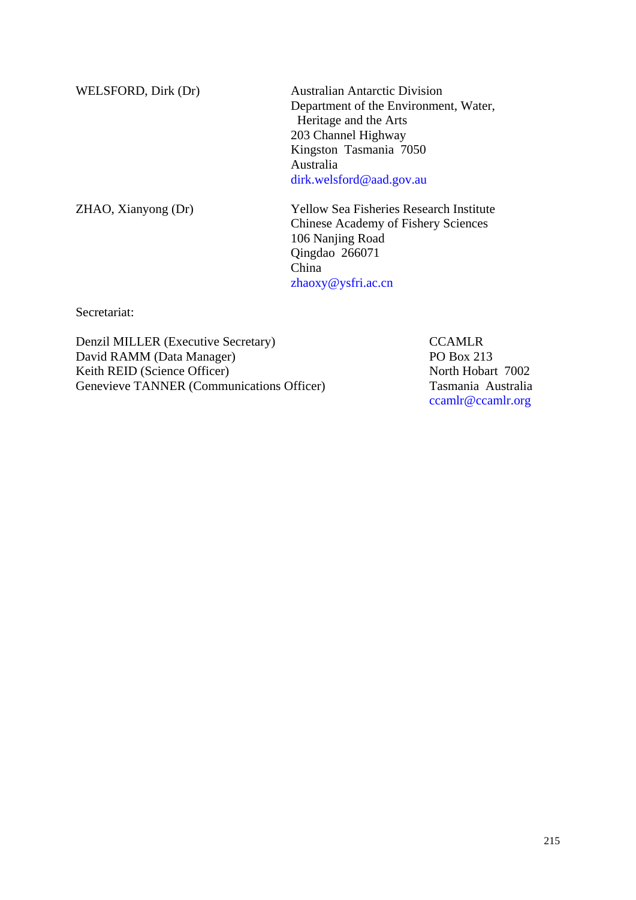WELSFORD, Dirk (Dr) Australian Antarctic Division Department of the Environment, Water, Heritage and the Arts 203 Channel Highway Kingston Tasmania 7050 Australia dirk.welsford@aad.gov.au

ZHAO, Xianyong (Dr) Yellow Sea Fisheries Research Institute Chinese Academy of Fishery Sciences 106 Nanjing Road Qingdao 266071 China zhaoxy@ysfri.ac.cn

Secretariat:

Denzil MILLER (Executive Secretary) CCAMLR David RAMM (Data Manager) PO Box 213<br>
Reith REID (Science Officer) PO Box 213 Keith REID (Science Officer) Genevieve TANNER (Communications Officer) Tasmania Australia

ccamlr@ccamlr.org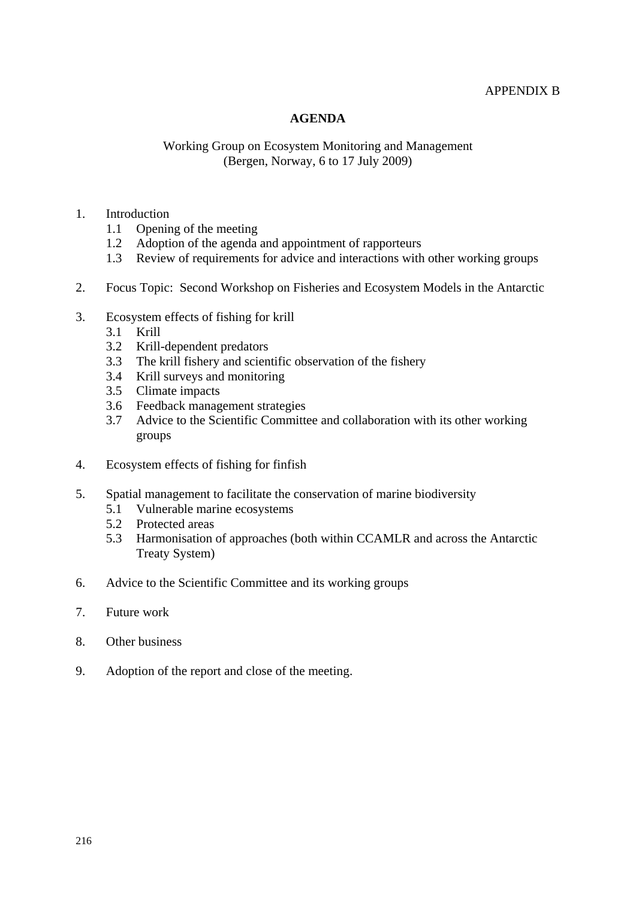## APPENDIX B

# **AGENDA**

# Working Group on Ecosystem Monitoring and Management (Bergen, Norway, 6 to 17 July 2009)

#### 1. Introduction

- 1.1 Opening of the meeting
- 1.2 Adoption of the agenda and appointment of rapporteurs
- 1.3 Review of requirements for advice and interactions with other working groups
- 2. Focus Topic: Second Workshop on Fisheries and Ecosystem Models in the Antarctic
- 3. Ecosystem effects of fishing for krill
	- 3.1 Krill
	- 3.2 Krill-dependent predators
	- 3.3 The krill fishery and scientific observation of the fishery
	- 3.4 Krill surveys and monitoring
	- 3.5 Climate impacts
	- 3.6 Feedback management strategies
	- 3.7 Advice to the Scientific Committee and collaboration with its other working groups
- 4. Ecosystem effects of fishing for finfish
- 5. Spatial management to facilitate the conservation of marine biodiversity
	- 5.1 Vulnerable marine ecosystems
	- 5.2 Protected areas
	- 5.3 Harmonisation of approaches (both within CCAMLR and across the Antarctic Treaty System)
- 6. Advice to the Scientific Committee and its working groups
- 7. Future work
- 8. Other business
- 9. Adoption of the report and close of the meeting.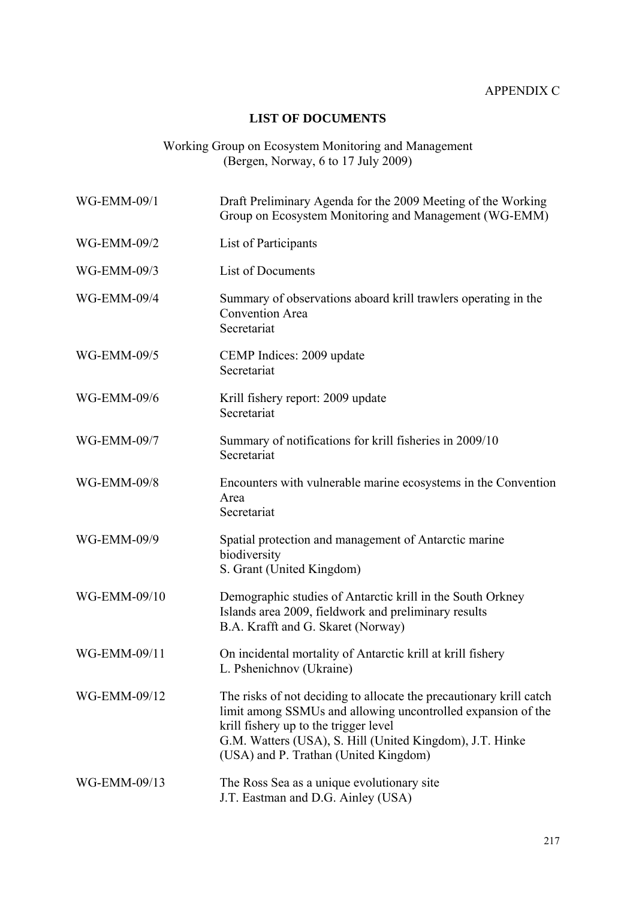# **LIST OF DOCUMENTS**

## Working Group on Ecosystem Monitoring and Management (Bergen, Norway, 6 to 17 July 2009)

| WG-EMM-09/1        | Draft Preliminary Agenda for the 2009 Meeting of the Working<br>Group on Ecosystem Monitoring and Management (WG-EMM)                                                                                                                                                             |
|--------------------|-----------------------------------------------------------------------------------------------------------------------------------------------------------------------------------------------------------------------------------------------------------------------------------|
| WG-EMM-09/2        | List of Participants                                                                                                                                                                                                                                                              |
| WG-EMM-09/3        | List of Documents                                                                                                                                                                                                                                                                 |
| <b>WG-EMM-09/4</b> | Summary of observations aboard krill trawlers operating in the<br><b>Convention Area</b><br>Secretariat                                                                                                                                                                           |
| WG-EMM-09/5        | CEMP Indices: 2009 update<br>Secretariat                                                                                                                                                                                                                                          |
| WG-EMM-09/6        | Krill fishery report: 2009 update<br>Secretariat                                                                                                                                                                                                                                  |
| WG-EMM-09/7        | Summary of notifications for krill fisheries in 2009/10<br>Secretariat                                                                                                                                                                                                            |
| <b>WG-EMM-09/8</b> | Encounters with vulnerable marine ecosystems in the Convention<br>Area<br>Secretariat                                                                                                                                                                                             |
| WG-EMM-09/9        | Spatial protection and management of Antarctic marine<br>biodiversity<br>S. Grant (United Kingdom)                                                                                                                                                                                |
| WG-EMM-09/10       | Demographic studies of Antarctic krill in the South Orkney<br>Islands area 2009, fieldwork and preliminary results<br>B.A. Krafft and G. Skaret (Norway)                                                                                                                          |
| WG-EMM-09/11       | On incidental mortality of Antarctic krill at krill fishery<br>L. Pshenichnov (Ukraine)                                                                                                                                                                                           |
| WG-EMM-09/12       | The risks of not deciding to allocate the precautionary krill catch<br>limit among SSMUs and allowing uncontrolled expansion of the<br>krill fishery up to the trigger level<br>G.M. Watters (USA), S. Hill (United Kingdom), J.T. Hinke<br>(USA) and P. Trathan (United Kingdom) |
| WG-EMM-09/13       | The Ross Sea as a unique evolutionary site<br>J.T. Eastman and D.G. Ainley (USA)                                                                                                                                                                                                  |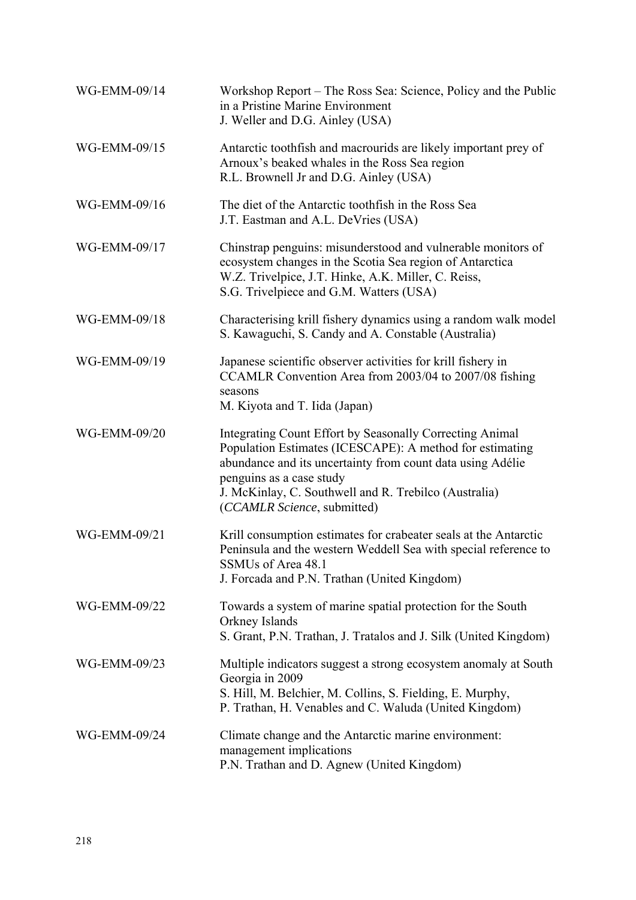| WG-EMM-09/14 | Workshop Report – The Ross Sea: Science, Policy and the Public<br>in a Pristine Marine Environment<br>J. Weller and D.G. Ainley (USA)                                                                                                                                                                  |
|--------------|--------------------------------------------------------------------------------------------------------------------------------------------------------------------------------------------------------------------------------------------------------------------------------------------------------|
| WG-EMM-09/15 | Antarctic toothfish and macrourids are likely important prey of<br>Arnoux's beaked whales in the Ross Sea region<br>R.L. Brownell Jr and D.G. Ainley (USA)                                                                                                                                             |
| WG-EMM-09/16 | The diet of the Antarctic toothfish in the Ross Sea<br>J.T. Eastman and A.L. DeVries (USA)                                                                                                                                                                                                             |
| WG-EMM-09/17 | Chinstrap penguins: misunderstood and vulnerable monitors of<br>ecosystem changes in the Scotia Sea region of Antarctica<br>W.Z. Trivelpice, J.T. Hinke, A.K. Miller, C. Reiss,<br>S.G. Trivelpiece and G.M. Watters (USA)                                                                             |
| WG-EMM-09/18 | Characterising krill fishery dynamics using a random walk model<br>S. Kawaguchi, S. Candy and A. Constable (Australia)                                                                                                                                                                                 |
| WG-EMM-09/19 | Japanese scientific observer activities for krill fishery in<br>CCAMLR Convention Area from 2003/04 to 2007/08 fishing<br>seasons<br>M. Kiyota and T. Iida (Japan)                                                                                                                                     |
| WG-EMM-09/20 | Integrating Count Effort by Seasonally Correcting Animal<br>Population Estimates (ICESCAPE): A method for estimating<br>abundance and its uncertainty from count data using Adélie<br>penguins as a case study<br>J. McKinlay, C. Southwell and R. Trebilco (Australia)<br>(CCAMLR Science, submitted) |
| WG-EMM-09/21 | Krill consumption estimates for crabeater seals at the Antarctic<br>Peninsula and the western Weddell Sea with special reference to<br>SSMUs of Area 48.1<br>J. Forcada and P.N. Trathan (United Kingdom)                                                                                              |
| WG-EMM-09/22 | Towards a system of marine spatial protection for the South<br>Orkney Islands<br>S. Grant, P.N. Trathan, J. Tratalos and J. Silk (United Kingdom)                                                                                                                                                      |
| WG-EMM-09/23 | Multiple indicators suggest a strong ecosystem anomaly at South<br>Georgia in 2009<br>S. Hill, M. Belchier, M. Collins, S. Fielding, E. Murphy,<br>P. Trathan, H. Venables and C. Waluda (United Kingdom)                                                                                              |
| WG-EMM-09/24 | Climate change and the Antarctic marine environment:<br>management implications<br>P.N. Trathan and D. Agnew (United Kingdom)                                                                                                                                                                          |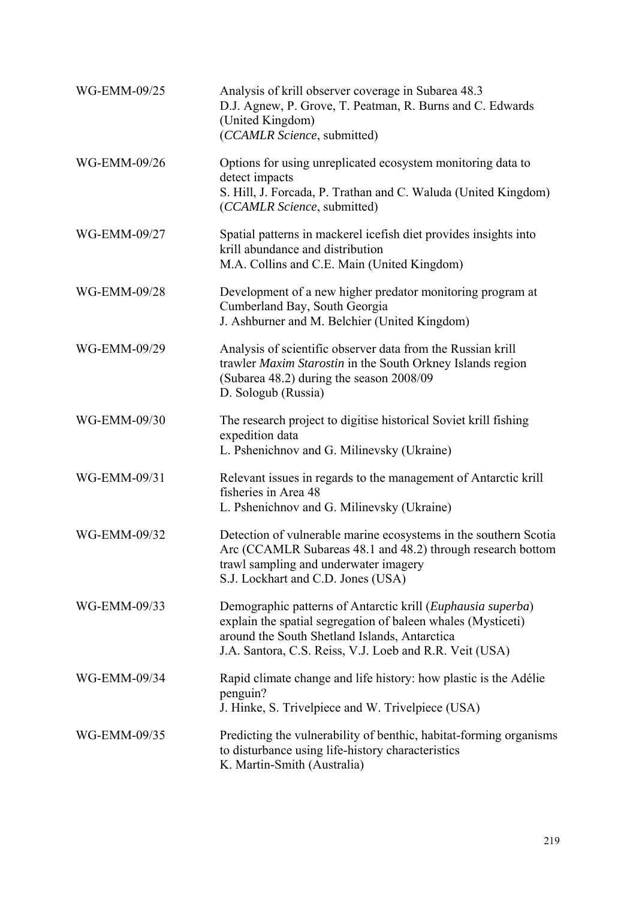| WG-EMM-09/25 | Analysis of krill observer coverage in Subarea 48.3<br>D.J. Agnew, P. Grove, T. Peatman, R. Burns and C. Edwards<br>(United Kingdom)<br>(CCAMLR Science, submitted)                                                                     |
|--------------|-----------------------------------------------------------------------------------------------------------------------------------------------------------------------------------------------------------------------------------------|
| WG-EMM-09/26 | Options for using unreplicated ecosystem monitoring data to<br>detect impacts<br>S. Hill, J. Forcada, P. Trathan and C. Waluda (United Kingdom)<br>(CCAMLR Science, submitted)                                                          |
| WG-EMM-09/27 | Spatial patterns in mackerel icefish diet provides insights into<br>krill abundance and distribution<br>M.A. Collins and C.E. Main (United Kingdom)                                                                                     |
| WG-EMM-09/28 | Development of a new higher predator monitoring program at<br>Cumberland Bay, South Georgia<br>J. Ashburner and M. Belchier (United Kingdom)                                                                                            |
| WG-EMM-09/29 | Analysis of scientific observer data from the Russian krill<br>trawler Maxim Starostin in the South Orkney Islands region<br>(Subarea 48.2) during the season 2008/09<br>D. Sologub (Russia)                                            |
| WG-EMM-09/30 | The research project to digitise historical Soviet krill fishing<br>expedition data<br>L. Pshenichnov and G. Milinevsky (Ukraine)                                                                                                       |
| WG-EMM-09/31 | Relevant issues in regards to the management of Antarctic krill<br>fisheries in Area 48<br>L. Pshenichnov and G. Milinevsky (Ukraine)                                                                                                   |
| WG-EMM-09/32 | Detection of vulnerable marine ecosystems in the southern Scotia<br>Arc (CCAMLR Subareas 48.1 and 48.2) through research bottom<br>trawl sampling and underwater imagery<br>S.J. Lockhart and C.D. Jones (USA)                          |
| WG-EMM-09/33 | Demographic patterns of Antarctic krill (Euphausia superba)<br>explain the spatial segregation of baleen whales (Mysticeti)<br>around the South Shetland Islands, Antarctica<br>J.A. Santora, C.S. Reiss, V.J. Loeb and R.R. Veit (USA) |
| WG-EMM-09/34 | Rapid climate change and life history: how plastic is the Adélie<br>penguin?<br>J. Hinke, S. Trivelpiece and W. Trivelpiece (USA)                                                                                                       |
| WG-EMM-09/35 | Predicting the vulnerability of benthic, habitat-forming organisms<br>to disturbance using life-history characteristics<br>K. Martin-Smith (Australia)                                                                                  |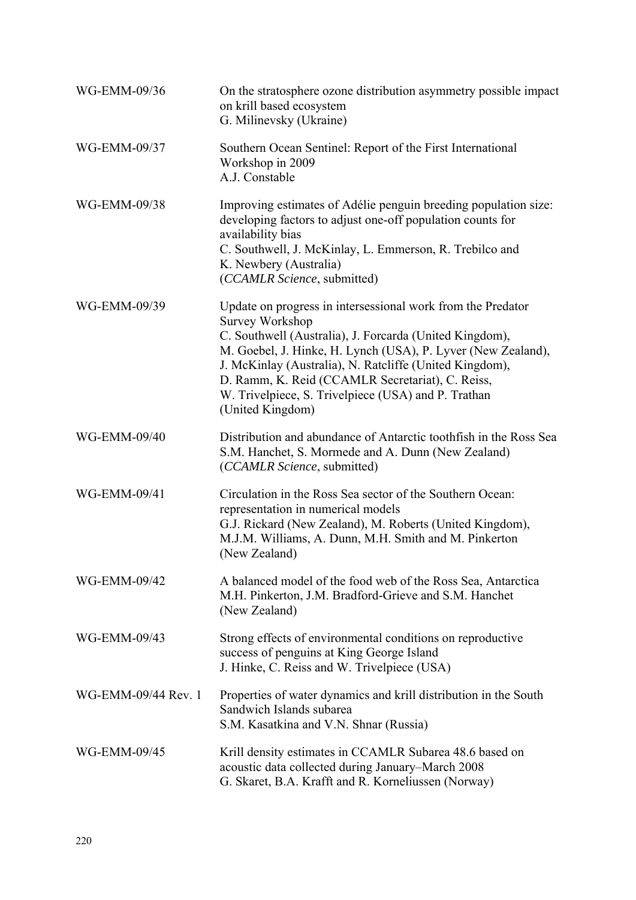| WG-EMM-09/36        | On the stratosphere ozone distribution asymmetry possible impact<br>on krill based ecosystem<br>G. Milinevsky (Ukraine)                                                                                                                                                                                                                                                                                    |
|---------------------|------------------------------------------------------------------------------------------------------------------------------------------------------------------------------------------------------------------------------------------------------------------------------------------------------------------------------------------------------------------------------------------------------------|
| WG-EMM-09/37        | Southern Ocean Sentinel: Report of the First International<br>Workshop in 2009<br>A.J. Constable                                                                                                                                                                                                                                                                                                           |
| WG-EMM-09/38        | Improving estimates of Adélie penguin breeding population size:<br>developing factors to adjust one-off population counts for<br>availability bias<br>C. Southwell, J. McKinlay, L. Emmerson, R. Trebilco and<br>K. Newbery (Australia)<br>(CCAMLR Science, submitted)                                                                                                                                     |
| WG-EMM-09/39        | Update on progress in intersessional work from the Predator<br><b>Survey Workshop</b><br>C. Southwell (Australia), J. Forcarda (United Kingdom),<br>M. Goebel, J. Hinke, H. Lynch (USA), P. Lyver (New Zealand),<br>J. McKinlay (Australia), N. Ratcliffe (United Kingdom),<br>D. Ramm, K. Reid (CCAMLR Secretariat), C. Reiss,<br>W. Trivelpiece, S. Trivelpiece (USA) and P. Trathan<br>(United Kingdom) |
| WG-EMM-09/40        | Distribution and abundance of Antarctic tooth fish in the Ross Sea<br>S.M. Hanchet, S. Mormede and A. Dunn (New Zealand)<br>(CCAMLR Science, submitted)                                                                                                                                                                                                                                                    |
| WG-EMM-09/41        | Circulation in the Ross Sea sector of the Southern Ocean:<br>representation in numerical models<br>G.J. Rickard (New Zealand), M. Roberts (United Kingdom),<br>M.J.M. Williams, A. Dunn, M.H. Smith and M. Pinkerton<br>(New Zealand)                                                                                                                                                                      |
| WG-EMM-09/42        | A balanced model of the food web of the Ross Sea, Antarctica<br>M.H. Pinkerton, J.M. Bradford-Grieve and S.M. Hanchet<br>(New Zealand)                                                                                                                                                                                                                                                                     |
| WG-EMM-09/43        | Strong effects of environmental conditions on reproductive<br>success of penguins at King George Island<br>J. Hinke, C. Reiss and W. Trivelpiece (USA)                                                                                                                                                                                                                                                     |
| WG-EMM-09/44 Rev. 1 | Properties of water dynamics and krill distribution in the South<br>Sandwich Islands subarea<br>S.M. Kasatkina and V.N. Shnar (Russia)                                                                                                                                                                                                                                                                     |
| WG-EMM-09/45        | Krill density estimates in CCAMLR Subarea 48.6 based on<br>acoustic data collected during January–March 2008<br>G. Skaret, B.A. Krafft and R. Korneliussen (Norway)                                                                                                                                                                                                                                        |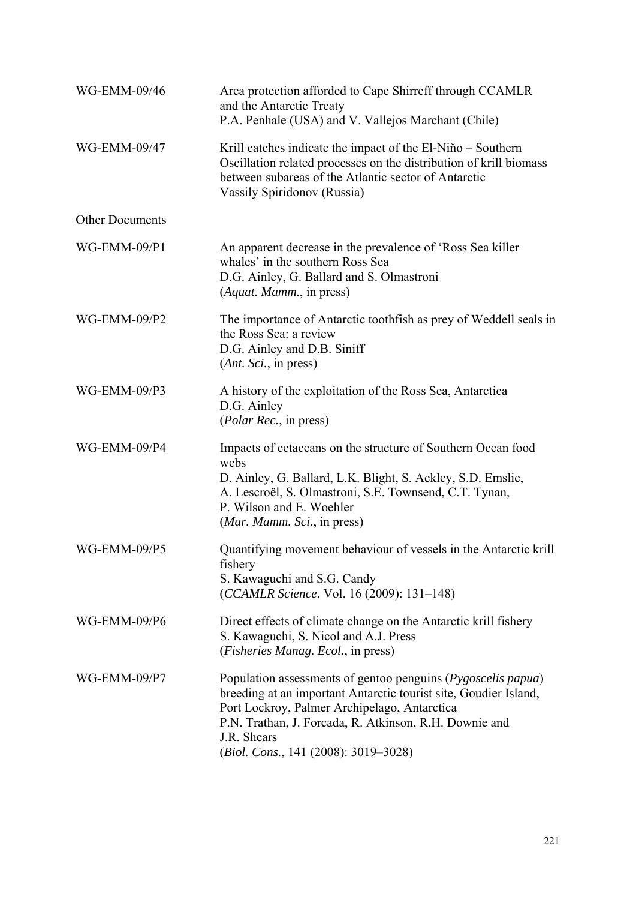| WG-EMM-09/46           | Area protection afforded to Cape Shirreff through CCAMLR<br>and the Antarctic Treaty<br>P.A. Penhale (USA) and V. Vallejos Marchant (Chile)                                                                                                                                                                         |
|------------------------|---------------------------------------------------------------------------------------------------------------------------------------------------------------------------------------------------------------------------------------------------------------------------------------------------------------------|
| WG-EMM-09/47           | Krill catches indicate the impact of the El-Niňo – Southern<br>Oscillation related processes on the distribution of krill biomass<br>between subareas of the Atlantic sector of Antarctic<br>Vassily Spiridonov (Russia)                                                                                            |
| <b>Other Documents</b> |                                                                                                                                                                                                                                                                                                                     |
| WG-EMM-09/P1           | An apparent decrease in the prevalence of 'Ross Sea killer<br>whales' in the southern Ross Sea<br>D.G. Ainley, G. Ballard and S. Olmastroni<br>(Aquat. Mamm., in press)                                                                                                                                             |
| WG-EMM-09/P2           | The importance of Antarctic toothfish as prey of Weddell seals in<br>the Ross Sea: a review<br>D.G. Ainley and D.B. Siniff<br>( <i>Ant. Sci.</i> , in press)                                                                                                                                                        |
| WG-EMM-09/P3           | A history of the exploitation of the Ross Sea, Antarctica<br>D.G. Ainley<br>( <i>Polar Rec.</i> , in press)                                                                                                                                                                                                         |
| WG-EMM-09/P4           | Impacts of cetaceans on the structure of Southern Ocean food<br>webs<br>D. Ainley, G. Ballard, L.K. Blight, S. Ackley, S.D. Emslie,<br>A. Lescroël, S. Olmastroni, S.E. Townsend, C.T. Tynan,<br>P. Wilson and E. Woehler<br>(Mar. Mamm. Sci., in press)                                                            |
| WG-EMM-09/P5           | Quantifying movement behaviour of vessels in the Antarctic krill<br>fishery<br>S. Kawaguchi and S.G. Candy<br>(CCAMLR Science, Vol. 16 (2009): 131-148)                                                                                                                                                             |
| WG-EMM-09/P6           | Direct effects of climate change on the Antarctic krill fishery<br>S. Kawaguchi, S. Nicol and A.J. Press<br>( <i>Fisheries Manag. Ecol.</i> , in press)                                                                                                                                                             |
| <b>WG-EMM-09/P7</b>    | Population assessments of gentoo penguins ( <i>Pygoscelis papua</i> )<br>breeding at an important Antarctic tourist site, Goudier Island,<br>Port Lockroy, Palmer Archipelago, Antarctica<br>P.N. Trathan, J. Forcada, R. Atkinson, R.H. Downie and<br>J.R. Shears<br>( <i>Biol. Cons.</i> , 141 (2008): 3019–3028) |